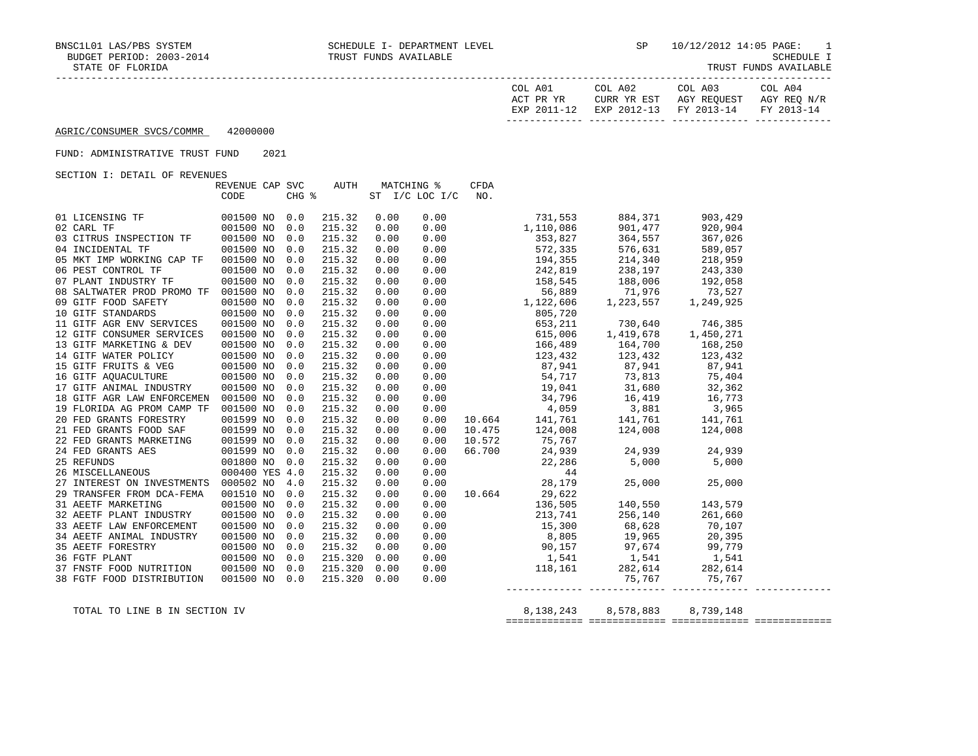| COL A01<br>ACT PR YR | COL A02<br>CURR YR EST            | COL A03<br>AGY REOUEST | COL A04<br>AGY REO N/R |
|----------------------|-----------------------------------|------------------------|------------------------|
| EXP 2011-12          | EXP 2012-13 FY 2013-14 FY 2013-14 |                        |                        |

#### FUND: ADMINISTRATIVE TRUST FUND 2021

SECTION I: DETAIL OF REVENUES

|                                                                                                                                | REVENUE CAP SVC |     | AUTH            |      | MATCHING %         | CFDA |                                                                                                                                                                                                                                                                                                                  |  |
|--------------------------------------------------------------------------------------------------------------------------------|-----------------|-----|-----------------|------|--------------------|------|------------------------------------------------------------------------------------------------------------------------------------------------------------------------------------------------------------------------------------------------------------------------------------------------------------------|--|
|                                                                                                                                | CODE            |     | $CHG$ $\approx$ |      | ST I/C LOC I/C NO. |      |                                                                                                                                                                                                                                                                                                                  |  |
|                                                                                                                                |                 |     |                 |      |                    |      |                                                                                                                                                                                                                                                                                                                  |  |
|                                                                                                                                |                 |     | 215.32          | 0.00 |                    |      | $\begin{array}{cccccc} 0.00 & & & & & 731,553 & & 884,371 & & 903,429 \\ 0.00 & & & 1,110,086 & & 901,477 & & 920,904 \\ 0.00 & & & 353,827 & & 364,557 & & 367,026 \\ 0.00 & & & 572,335 & & 576,631 & & 589,057 \\ 0.00 & & & 194,355 & & 214,340 & & 218,959 \\ 0.00 & & & 242,819 & & 238,$                  |  |
|                                                                                                                                |                 |     | 215.32          | 0.00 |                    |      |                                                                                                                                                                                                                                                                                                                  |  |
| 03 CITRUS INSPECTION TF   001500 NO   0.0                                                                                      |                 |     | 215.32          | 0.00 |                    |      |                                                                                                                                                                                                                                                                                                                  |  |
| 04 INCIDENTAL TF                                                                                                               | 001500 NO 0.0   |     | 215.32          | 0.00 |                    |      |                                                                                                                                                                                                                                                                                                                  |  |
| 05 MKT IMP WORKING CAP TF                                                                                                      | 001500 NO 0.0   |     | 215.32          | 0.00 |                    |      |                                                                                                                                                                                                                                                                                                                  |  |
| 06 PEST CONTROL TF                                                                                                             | 001500 NO 0.0   |     | 215.32          | 0.00 |                    |      |                                                                                                                                                                                                                                                                                                                  |  |
| 07 PLANT INDUSTRY TF                                                                                                           | 001500 NO 0.0   |     | 215.32          | 0.00 |                    |      |                                                                                                                                                                                                                                                                                                                  |  |
| 08 SALTWATER PROD PROMO TF 001500 NO                                                                                           |                 | 0.0 | 215.32          | 0.00 |                    |      |                                                                                                                                                                                                                                                                                                                  |  |
| 09 GITF FOOD SAFETY                                                                                                            | 001500 NO       | 0.0 | 215.32          | 0.00 |                    |      |                                                                                                                                                                                                                                                                                                                  |  |
| $\begin{tabular}{llllll} \hline 10 GITT STANDARDS & 001500 NO \\ 11 GITT AGR ENV SERVICES & 001500 NO \\ \hline \end{tabular}$ |                 | 0.0 | 215.32          | 0.00 |                    |      |                                                                                                                                                                                                                                                                                                                  |  |
|                                                                                                                                |                 | 0.0 | 215.32          | 0.00 |                    |      |                                                                                                                                                                                                                                                                                                                  |  |
| 12 GITF CONSUMER SERVICES                                                                                                      | 001500 NO       | 0.0 | 215.32          | 0.00 |                    |      |                                                                                                                                                                                                                                                                                                                  |  |
|                                                                                                                                |                 |     | 215.32          | 0.00 |                    |      |                                                                                                                                                                                                                                                                                                                  |  |
|                                                                                                                                |                 |     | 215.32          | 0.00 |                    |      |                                                                                                                                                                                                                                                                                                                  |  |
|                                                                                                                                |                 |     | 215.32          | 0.00 |                    |      |                                                                                                                                                                                                                                                                                                                  |  |
|                                                                                                                                |                 |     | 215.32          | 0.00 |                    |      |                                                                                                                                                                                                                                                                                                                  |  |
|                                                                                                                                |                 |     | 215.32          | 0.00 |                    |      |                                                                                                                                                                                                                                                                                                                  |  |
| 18 GITF AGR LAW ENFORCEMEN 001500 NO 0.0                                                                                       |                 |     | 215.32          | 0.00 |                    |      |                                                                                                                                                                                                                                                                                                                  |  |
| 19 FLORIDA AG PROM CAMP TF 001500 NO 0.0                                                                                       |                 |     | 215.32          | 0.00 |                    |      |                                                                                                                                                                                                                                                                                                                  |  |
| 20 FED GRANTS FORESTRY                                                                                                         | 001599 NO 0.0   |     | 215.32          | 0.00 |                    |      |                                                                                                                                                                                                                                                                                                                  |  |
| 21 FED GRANTS FOOD SAF 001599 NO<br>22 FED GRANTS MARKETING 001599 NO                                                          |                 | 0.0 | 215.32          | 0.00 |                    |      |                                                                                                                                                                                                                                                                                                                  |  |
|                                                                                                                                |                 | 0.0 | 215.32          | 0.00 |                    |      |                                                                                                                                                                                                                                                                                                                  |  |
|                                                                                                                                |                 |     | 215.32          | 0.00 |                    |      |                                                                                                                                                                                                                                                                                                                  |  |
|                                                                                                                                |                 |     | 215.32          | 0.00 |                    |      |                                                                                                                                                                                                                                                                                                                  |  |
|                                                                                                                                |                 |     | 215.32          | 0.00 |                    |      | $\begin{array}{cccccc} 0.00 & 10.572 & 124,006 & 124,006 & 124,006 \\ 0.00 & 10.572 & 75,767 & 24,939 & 24,939 & 24,939 \\ 0.00 & 66.700 & 24,939 & 24,939 & 5,000 \\ 0.00 & 44 & 5,000 & 5,000 & 28,179 & 25,000 & 25,000 \\ 0.00 & 10.664 & 29,622 & 0.00 & 136,550 & 14$                                      |  |
| 27 INTEREST ON INVESTMENTS 000502 NO 4.0                                                                                       |                 |     | 215.32          | 0.00 |                    |      |                                                                                                                                                                                                                                                                                                                  |  |
| 29 TRANSFER FROM DCA-FEMA                                                                                                      | 001510 NO 0.0   |     | 215.32          | 0.00 |                    |      |                                                                                                                                                                                                                                                                                                                  |  |
| 31 AEETF MARKETING                                                                                                             | 001500 NO 0.0   |     | 215.32          | 0.00 |                    |      |                                                                                                                                                                                                                                                                                                                  |  |
| 32 AEETF PLANT INDUSTRY                                                                                                        | 001500 NO 0.0   |     | 215.32          | 0.00 |                    |      | $0.00$ 213, 741 256, 140 261, 660                                                                                                                                                                                                                                                                                |  |
| 33 AEETF LAW ENFORCEMENT                                                                                                       | 001500 NO 0.0   |     | 215.32          | 0.00 |                    |      | $0.00$ 15,300 68,628 70,107                                                                                                                                                                                                                                                                                      |  |
| 34 AEETF ANIMAL INDUSTRY                                                                                                       | 001500 NO       | 0.0 | 215.32          | 0.00 |                    |      |                                                                                                                                                                                                                                                                                                                  |  |
| 35 AEETF FORESTRY 001500 NO<br>36 FGTF PLANT 001500 NO<br>37 FNSTF FOOD NUTRITION 001500 NO                                    |                 | 0.0 | 215.32          | 0.00 |                    |      |                                                                                                                                                                                                                                                                                                                  |  |
|                                                                                                                                |                 | 0.0 | 215.320         | 0.00 |                    |      |                                                                                                                                                                                                                                                                                                                  |  |
|                                                                                                                                |                 | 0.0 | 215.320         | 0.00 |                    |      |                                                                                                                                                                                                                                                                                                                  |  |
| 38 FGTF FOOD DISTRIBUTION                                                                                                      | 001500 NO 0.0   |     | 215.320         | 0.00 |                    |      | $\begin{array}{ccccccc} 0.00 & & & & & 15,500 & & & & 00,025 & & & 70,107 \\ 0.00 & & & & & 8,805 & & 19,965 & & 20,395 \\ 0.00 & & & & & 90,157 & & 97,674 & & 99,779 \\ 0.00 & & & & & 1,541 & & 1,541 & & 1,541 \\ 0.00 & & & & 18,161 & & 282,614 & & 282,614 \\ 0.00 & & & & & & & 75,767 & & 75,767 \\ 0.$ |  |
|                                                                                                                                |                 |     |                 |      |                    |      |                                                                                                                                                                                                                                                                                                                  |  |

TOTAL TO LINE B IN SECTION IV  $8,138,243$   $8,578,883$   $8,739,148$ ============= ============= ============= =============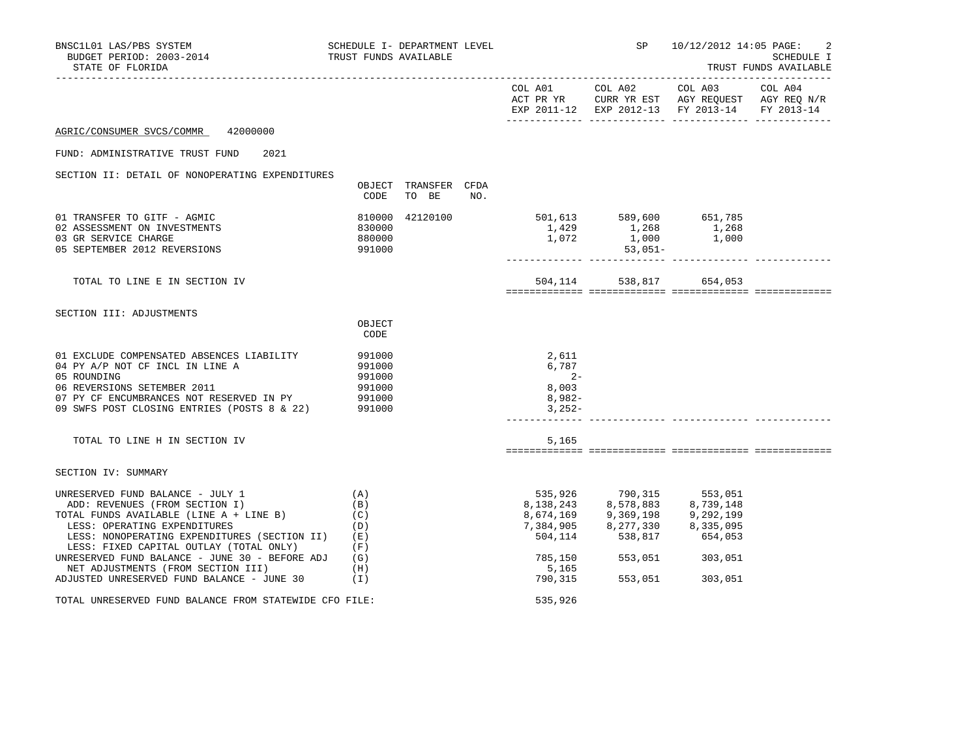| BNSC1L01 LAS/PBS SYSTEM SCHEDULE I- DEPARTMENT LEVEL<br>BUDGET PERIOD: 2003-2014<br>STATE OF FLORIDA                                                                                                                                                                                                                                | TRUST FUNDS AVAILABLE                          |                               |     |                                                                                                                                            |                                                                                                                                                                                                                                                                                                                                            | SP 10/12/2012 14:05 PAGE:  | 2<br>SCHEDULE I<br>TRUST FUNDS AVAILABLE |
|-------------------------------------------------------------------------------------------------------------------------------------------------------------------------------------------------------------------------------------------------------------------------------------------------------------------------------------|------------------------------------------------|-------------------------------|-----|--------------------------------------------------------------------------------------------------------------------------------------------|--------------------------------------------------------------------------------------------------------------------------------------------------------------------------------------------------------------------------------------------------------------------------------------------------------------------------------------------|----------------------------|------------------------------------------|
|                                                                                                                                                                                                                                                                                                                                     |                                                |                               |     | EXP 2011-12 EXP 2012-13 FY 2013-14 FY 2013-14                                                                                              |                                                                                                                                                                                                                                                                                                                                            |                            |                                          |
| 42000000<br>AGRIC/CONSUMER SVCS/COMMR                                                                                                                                                                                                                                                                                               |                                                |                               |     |                                                                                                                                            |                                                                                                                                                                                                                                                                                                                                            |                            |                                          |
| 2021<br>FUND: ADMINISTRATIVE TRUST FUND                                                                                                                                                                                                                                                                                             |                                                |                               |     |                                                                                                                                            |                                                                                                                                                                                                                                                                                                                                            |                            |                                          |
| SECTION II: DETAIL OF NONOPERATING EXPENDITURES                                                                                                                                                                                                                                                                                     | CODE                                           | OBJECT TRANSFER CFDA<br>TO BE | NO. |                                                                                                                                            |                                                                                                                                                                                                                                                                                                                                            |                            |                                          |
| 01 TRANSFER TO GITF - AGMIC<br>02 ASSESSMENT ON INVESTMENTS<br>03 GR SERVICE CHARGE<br>05 SEPTEMBER 2012 REVERSIONS                                                                                                                                                                                                                 | 830000<br>880000<br>991000                     | 810000 42120100               |     | $\begin{array}{cccc} 501, 613 & & & 589, 600 & & 651, 785 \\ 1, 429 & & & 1, 268 & & 1, 268 \\ 1, 072 & & & 1, 000 & & 1, 000 \end{array}$ | 53,051-                                                                                                                                                                                                                                                                                                                                    |                            |                                          |
| TOTAL TO LINE E IN SECTION IV                                                                                                                                                                                                                                                                                                       |                                                |                               |     |                                                                                                                                            |                                                                                                                                                                                                                                                                                                                                            | 504, 114 538, 817 654, 053 |                                          |
| SECTION III: ADJUSTMENTS                                                                                                                                                                                                                                                                                                            | OBJECT<br>CODE                                 |                               |     |                                                                                                                                            |                                                                                                                                                                                                                                                                                                                                            |                            |                                          |
| 01 EXCLUDE COMPENSATED ABSENCES LIABILITY<br>04 PY A/P NOT CF INCL IN LINE A<br>05 ROUNDING<br>06 REVERSIONS SETEMBER 2011<br>07 PY CF ENCUMBRANCES NOT RESERVED IN PY 991000<br>09 SWFS POST CLOSING ENTRIES (POSTS 8 & 22)                                                                                                        | 991000<br>991000<br>991000<br>991000<br>991000 |                               |     | 2,611<br>6,787<br>$2-$<br>8,003<br>$8,982-$<br>$3,252-$                                                                                    |                                                                                                                                                                                                                                                                                                                                            |                            |                                          |
| TOTAL TO LINE H IN SECTION IV                                                                                                                                                                                                                                                                                                       |                                                |                               |     | 5,165                                                                                                                                      |                                                                                                                                                                                                                                                                                                                                            |                            |                                          |
| SECTION IV: SUMMARY                                                                                                                                                                                                                                                                                                                 |                                                |                               |     |                                                                                                                                            |                                                                                                                                                                                                                                                                                                                                            |                            |                                          |
| UNRESERVED FUND BALANCE - JULY 1<br>ADD: REVENUES (FROM SECTION I)<br>TOTAL FUNDS AVAILABLE (LINE A + LINE B)<br>and the control of the control of<br>LESS: OPERATING EXPENDITURES<br>LESS: NONOPERATING EXPENDITURES (SECTION II) (E)<br>LESS: FIXED CAPITAL OUTLAY (TOTAL ONLY)<br>UNRESERVED FUND BALANCE - JUNE 30 - BEFORE ADJ | (A)<br>(B)<br>(C)<br>(D)<br>(F)<br>(G)         |                               |     | 8,138,243                                                                                                                                  | 535,926 790,315 553,051<br>138,243 8,578,883 8,739,148<br>$\begin{array}{cccc} 8\, , 674 \, , 169 &\qquad 9 \, , 369 \, , 198 &\qquad 9 \, , 292 \, , 199 \\ 7 \, , 384 \, , 905 &\qquad 8 \, , 277 \, , 330 &\qquad 8 \, , 335 \, , 095 \\ 504 \, , 114 &\qquad 538 \, , 817 &\qquad 654 \, , 053 \end{array}$<br>785,150 553,051 303,051 |                            |                                          |
| NET ADJUSTMENTS (FROM SECTION III)<br>ADJUSTED UNRESERVED FUND BALANCE - JUNE 30 (I)                                                                                                                                                                                                                                                | (H)                                            |                               |     | 5,165<br>790,315                                                                                                                           | 553,051                                                                                                                                                                                                                                                                                                                                    | 303,051                    |                                          |
| TOTAL UNRESERVED FUND BALANCE FROM STATEWIDE CFO FILE:                                                                                                                                                                                                                                                                              |                                                |                               |     | 535,926                                                                                                                                    |                                                                                                                                                                                                                                                                                                                                            |                            |                                          |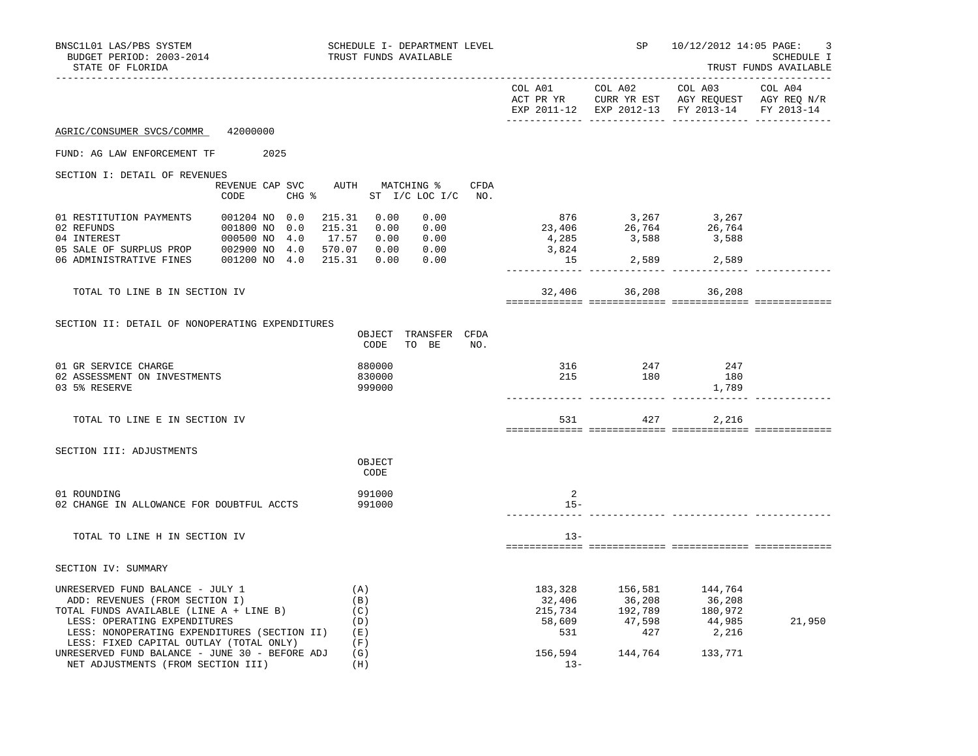| BNSC1L01 LAS/PBS SYSTEM<br>BUDGET PERIOD: 2003-2014<br>STATE OF FLORIDA                                                                                                                                                                      |                                                                                       | SCHEDULE I- DEPARTMENT LEVEL<br>TRUST FUNDS AVAILABLE |                |                                | SP 10/12/2012 14:05 PAGE:                                                                                                                                          | 3<br>SCHEDULE I<br>TRUST FUNDS AVAILABLE |
|----------------------------------------------------------------------------------------------------------------------------------------------------------------------------------------------------------------------------------------------|---------------------------------------------------------------------------------------|-------------------------------------------------------|----------------|--------------------------------|--------------------------------------------------------------------------------------------------------------------------------------------------------------------|------------------------------------------|
|                                                                                                                                                                                                                                              |                                                                                       |                                                       |                |                                | COL A01 COL A02 COL A03<br>ACT PR YR $\,$ CURR YR EST $\,$ AGY REQUEST $\,$ AGY REQ $\rm N/R$<br>EXP 2011-12 EXP 2012-13 FY 2013-14 FY 2013-14                     | COL A04                                  |
| AGRIC/CONSUMER SVCS/COMMR 42000000                                                                                                                                                                                                           |                                                                                       |                                                       |                |                                |                                                                                                                                                                    |                                          |
| FUND: AG LAW ENFORCEMENT TF 2025                                                                                                                                                                                                             |                                                                                       |                                                       |                |                                |                                                                                                                                                                    |                                          |
| SECTION I: DETAIL OF REVENUES                                                                                                                                                                                                                |                                                                                       |                                                       |                |                                |                                                                                                                                                                    |                                          |
|                                                                                                                                                                                                                                              | REVENUE CAP SVC AUTH MATCHING %<br>CODE                                               | CFDA<br>CHG % ST I/C LOC I/C NO.                      |                |                                |                                                                                                                                                                    |                                          |
| 01 RESTITUTION PAYMENTS<br>02 REFUNDS<br>04 INTEREST                                                                                                                                                                                         | 001204 NO 0.0<br>001800 NO 0.0 215.31 3.00 0.00<br>000500 NO 4.0 17.57 0.00 0.00 0.00 | 215.31 0.00<br>0.00<br>0.00<br>0.00                   | 4,285<br>3,824 | ______________ _______________ | $\begin{array}{cccc} & 876 & & 3\,, 267 & & 3\,, 267 \\ 23\,, 406 & & 26\,, 764 & & 26\,, 764 \\ 4\,, 285 & & 3\,, 588 & & 3\,, 588 \end{array}$<br>15 2,589 2,589 |                                          |
| TOTAL TO LINE B IN SECTION IV                                                                                                                                                                                                                |                                                                                       |                                                       |                |                                | 32,406 36,208 36,208                                                                                                                                               |                                          |
|                                                                                                                                                                                                                                              |                                                                                       |                                                       |                |                                |                                                                                                                                                                    |                                          |
| SECTION II: DETAIL OF NONOPERATING EXPENDITURES                                                                                                                                                                                              |                                                                                       | OBJECT TRANSFER CFDA<br>CODE<br>TO BE<br>NO.          |                |                                |                                                                                                                                                                    |                                          |
| 01 GR SERVICE CHARGE<br>02 ASSESSMENT ON INVESTMENTS<br>03 5% RESERVE                                                                                                                                                                        |                                                                                       | 880000<br>830000<br>999000                            |                | 316 247<br>215 180             | 247<br>180<br>1,789                                                                                                                                                |                                          |
| TOTAL TO LINE E IN SECTION IV                                                                                                                                                                                                                |                                                                                       |                                                       | 531            |                                | 427<br>2,216                                                                                                                                                       |                                          |
| SECTION III: ADJUSTMENTS                                                                                                                                                                                                                     |                                                                                       | OBJECT<br>CODE                                        |                |                                |                                                                                                                                                                    |                                          |
| 01 ROUNDING<br>02 CHANGE IN ALLOWANCE FOR DOUBTFUL ACCTS                                                                                                                                                                                     |                                                                                       | 991000<br>991000                                      | 2<br>$15 -$    |                                |                                                                                                                                                                    |                                          |
| TOTAL TO LINE H IN SECTION IV                                                                                                                                                                                                                |                                                                                       |                                                       | $13-$          |                                |                                                                                                                                                                    |                                          |
| SECTION IV: SUMMARY                                                                                                                                                                                                                          |                                                                                       |                                                       |                |                                |                                                                                                                                                                    |                                          |
| UNRESERVED FUND BALANCE - JULY 1<br>ADD: REVENUES (FROM SECTION I)<br>TOTAL FUNDS AVAILABLE (LINE A + LINE B)<br>LESS: OPERATING EXPENDITURES<br>LESS: NONOPERATING EXPENDITURES (SECTION II) (E)<br>LESS: FIXED CAPITAL OUTLAY (TOTAL ONLY) |                                                                                       | (A)<br>(B)<br>(C)<br>(D)<br>(F)                       | 183,328        |                                | 156,581 144,764<br>$32,406$<br>$215,734$<br>$58,609$<br>$531$<br>$42,789$<br>$531$<br>$427$<br>$598$<br>$44,985$<br>$215,734$<br>$427$<br>$2,216$                  | 21,950                                   |
| UNRESERVED FUND BALANCE - JUNE 30 - BEFORE ADJ<br>NET ADJUSTMENTS (FROM SECTION III)                                                                                                                                                         |                                                                                       | (G)<br>(H)                                            | $13 -$         |                                | 156,594 144,764 133,771                                                                                                                                            |                                          |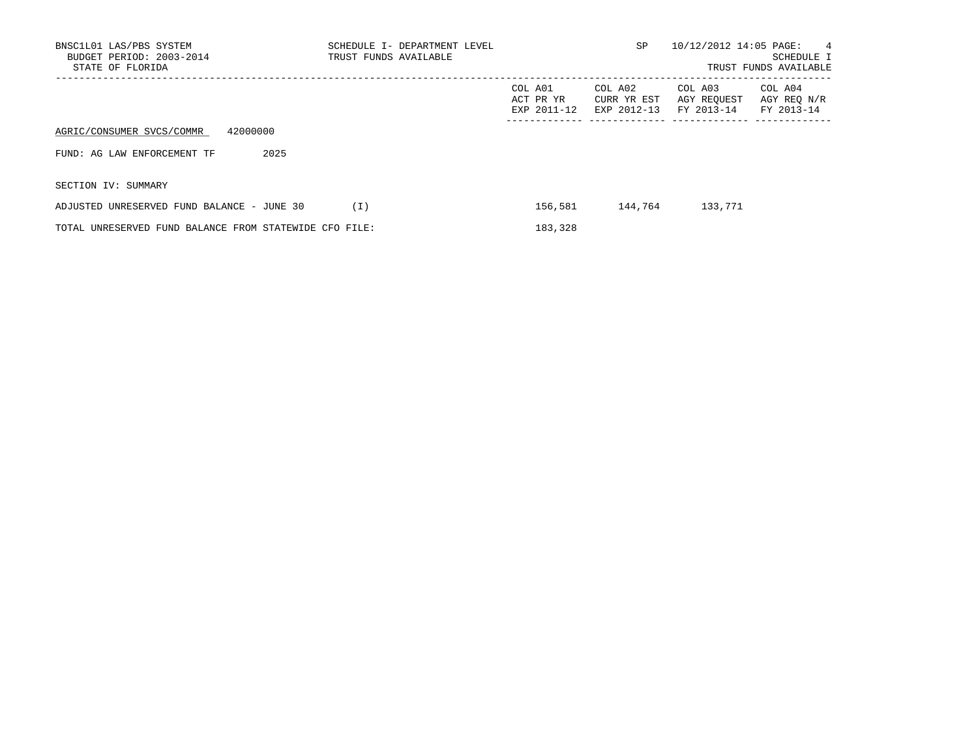| BNSC1L01 LAS/PBS SYSTEM<br>BUDGET PERIOD: 2003-2014<br>STATE OF FLORIDA | SCHEDULE I- DEPARTMENT LEVEL<br>TRUST FUNDS AVAILABLE |                                     | <b>SP</b>                             | 10/12/2012 14:05 PAGE:               | $\overline{4}$<br>SCHEDULE I<br>TRUST FUNDS AVAILABLE |
|-------------------------------------------------------------------------|-------------------------------------------------------|-------------------------------------|---------------------------------------|--------------------------------------|-------------------------------------------------------|
|                                                                         |                                                       | COL A01<br>ACT PR YR<br>EXP 2011-12 | COL A02<br>CURR YR EST<br>EXP 2012-13 | COL A03<br>AGY REOUEST<br>FY 2013-14 | COL A04<br>AGY REO N/R<br>FY 2013-14                  |
| 42000000<br>AGRIC/CONSUMER SVCS/COMMR                                   |                                                       |                                     |                                       |                                      |                                                       |
| 2025<br>FUND: AG LAW ENFORCEMENT TF                                     |                                                       |                                     |                                       |                                      |                                                       |
| SECTION IV: SUMMARY                                                     |                                                       |                                     |                                       |                                      |                                                       |
| ADJUSTED UNRESERVED FUND BALANCE - JUNE 30                              | (I)                                                   | 156,581                             | 144,764                               | 133,771                              |                                                       |
| TOTAL UNRESERVED FUND BALANCE FROM STATEWIDE CFO FILE:                  |                                                       | 183,328                             |                                       |                                      |                                                       |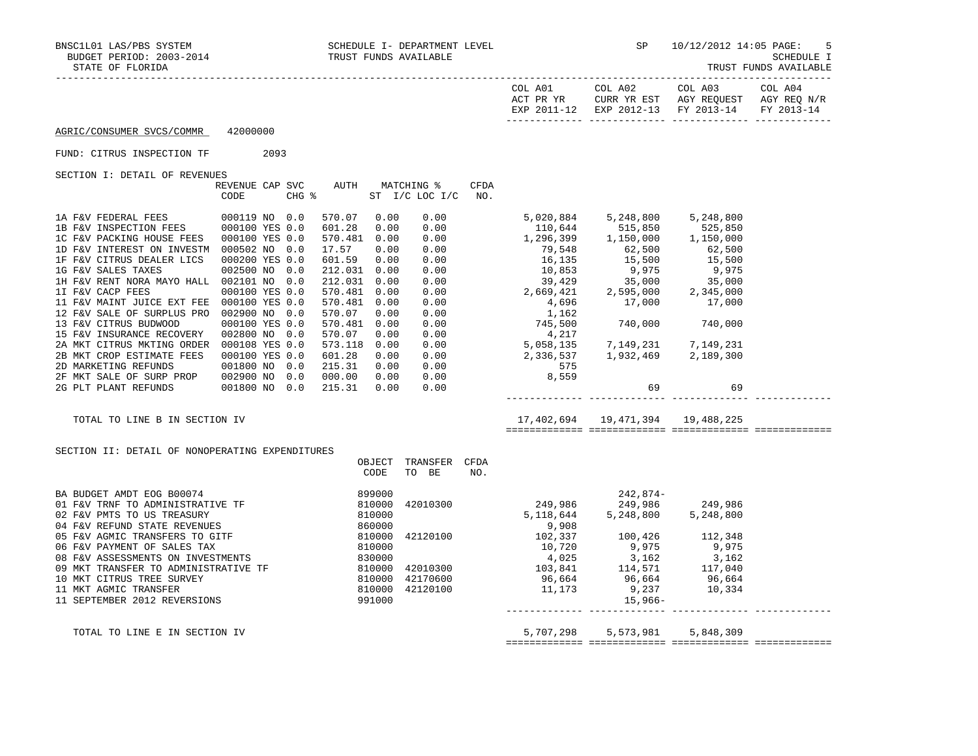| STATE OF FLORIDA                     |                |      |       |                      |      |                                     |             |                                                                               |                                       |                                                  | TRUST FUNDS AVAILABLE |
|--------------------------------------|----------------|------|-------|----------------------|------|-------------------------------------|-------------|-------------------------------------------------------------------------------|---------------------------------------|--------------------------------------------------|-----------------------|
|                                      |                |      |       |                      |      |                                     |             | COL A01<br>ACT PR YR<br>EXP 2011-12                                           | COL A02<br>CURR YR EST<br>EXP 2012-13 | COL A03<br>AGY REQUEST AGY REQ N/R<br>FY 2013-14 | COL A04<br>FY 2013-14 |
| AGRIC/CONSUMER SVCS/COMMR            | 42000000       |      |       |                      |      |                                     |             |                                                                               |                                       |                                                  |                       |
| FUND: CITRUS INSPECTION TF           |                | 2093 |       |                      |      |                                     |             |                                                                               |                                       |                                                  |                       |
| SECTION I: DETAIL OF REVENUES        |                |      |       |                      |      |                                     |             |                                                                               |                                       |                                                  |                       |
|                                      | CODE           |      | CHG % | REVENUE CAP SVC AUTH |      | <b>MATCHING %</b><br>ST I/C LOC I/C | CFDA<br>NO. |                                                                               |                                       |                                                  |                       |
| 1A F&V FEDERAL FEES                  | 000119 NO 0.0  |      |       | 570.07               | 0.00 | 0.00                                |             | 5,020,884 5,248,800 5,248,800<br>110,644 515,850 525,850                      |                                       |                                                  |                       |
| 1B F&V INSPECTION FEES               | 000100 YES 0.0 |      |       | 601.28               | 0.00 | 0.00                                |             |                                                                               |                                       |                                                  |                       |
| 1C F&V PACKING HOUSE FEES            | 000100 YES 0.0 |      |       | 570.481              | 0.00 | 0.00                                |             | 1,296,399   1,150,000   1,150,000                                             |                                       |                                                  |                       |
| 1D F&V INTEREST ON INVESTM           | 000502 NO 0.0  |      |       | 17.57                | 0.00 | 0.00                                |             | 79,548 62,500 62,500                                                          |                                       |                                                  |                       |
| 1F F&V CITRUS DEALER LICS            | 000200 YES 0.0 |      |       | 601.59               | 0.00 | 0.00                                |             | 16,135 15,500 15,500                                                          |                                       |                                                  |                       |
| 1G F&V SALES TAXES                   | 002500 NO      |      | 0.0   | 212.031              | 0.00 | 0.00                                |             |                                                                               |                                       |                                                  |                       |
| 1H F&V RENT NORA MAYO HALL 002101 NO |                |      | 0.0   | 212.031              | 0.00 | 0.00                                |             |                                                                               |                                       |                                                  |                       |
| 1I F&V CACP FEES                     | 000100 YES 0.0 |      |       | 570.481              | 0.00 | 0.00                                |             | $10,853$<br>39,429<br>39,429<br>35,000<br>2,669,421<br>2,595,000<br>2,345,000 |                                       |                                                  |                       |
| 11 F&V MAINT JUICE EXT FEE           | 000100 YES 0.0 |      |       | 570.481              | 0.00 | 0.00                                |             | 4,696                                                                         | 17,000                                | 17,000                                           |                       |
| 12 F&V SALE OF SURPLUS PRO           | 002900 NO 0.0  |      |       | 570.07               | 0.00 | 0.00                                |             | 1,162                                                                         |                                       |                                                  |                       |
| 13 F&V CITRUS BUDWOOD                | 000100 YES 0.0 |      |       | 570.481              | 0.00 | 0.00                                |             | 745,500                                                                       | 740,000 740,000                       |                                                  |                       |
| 15 F&V INSURANCE RECOVERY            | 002800 NO 0.0  |      |       | 570.07               | 0.00 | 0.00                                |             | $4,217$<br>5,058,135                                                          |                                       |                                                  |                       |
| 2A MKT CITRUS MKTING ORDER           | 000108 YES 0.0 |      |       | 573.118              | 0.00 | 0.00                                |             |                                                                               | 7, 149, 231 7, 149, 231               |                                                  |                       |
| 2B MKT CROP ESTIMATE FEES            | 000100 YES 0.0 |      |       | 601.28               | 0.00 | 0.00                                |             | 2,336,537<br>575                                                              | 1,932,469 2,189,300                   |                                                  |                       |
| 2D MARKETING REFUNDS                 | 001800 NO 0.0  |      |       | 215.31               | 0.00 | 0.00                                |             |                                                                               |                                       |                                                  |                       |
| 2F MKT SALE OF SURP PROP             | 002900 NO      |      | 0.0   | 000.00               | 0.00 | 0.00                                |             | 8,559                                                                         |                                       |                                                  |                       |
| 2G PLT PLANT REFUNDS                 | 001800 NO 0.0  |      |       | 215.31               | 0.00 | 0.00                                |             |                                                                               | 69                                    | 69                                               |                       |
| TOTAL TO LINE B IN SECTION IV        |                |      |       |                      |      |                                     |             |                                                                               | 17,402,694   19,471,394   19,488,225  |                                                  |                       |
|                                      |                |      |       |                      |      |                                     |             |                                                                               |                                       |                                                  |                       |
|                                      |                |      |       |                      |      |                                     |             |                                                                               |                                       |                                                  |                       |

SECTION II: DETAIL OF NONOPERATING EXPENDITURES

|                                      | OBJECT<br>CODE | TRANSFER<br>TO<br>BE | CFDA<br>NO. |           |            |           |  |
|--------------------------------------|----------------|----------------------|-------------|-----------|------------|-----------|--|
| BA BUDGET AMDT EOG B00074            | 899000         |                      |             |           | $242.874-$ |           |  |
| 01 F&V TRNF TO ADMINISTRATIVE TF     | 810000         | 42010300             |             | 249,986   | 249,986    | 249,986   |  |
| 02 F&V PMTS TO US TREASURY           | 810000         |                      |             | 5,118,644 | 5,248,800  | 5,248,800 |  |
| 04 F&V REFUND STATE REVENUES         | 860000         |                      |             | 9,908     |            |           |  |
| 05 F&V AGMIC TRANSFERS TO GITF       | 810000         | 42120100             |             | 102,337   | 100,426    | 112,348   |  |
| 06 F&V PAYMENT OF SALES TAX          | 810000         |                      |             | 10,720    | 9,975      | 9,975     |  |
| 08 F&V ASSESSMENTS ON INVESTMENTS    | 830000         |                      |             | 4,025     | 3,162      | 3,162     |  |
| 09 MKT TRANSFER TO ADMINISTRATIVE TF | 810000         | 42010300             |             | 103,841   | 114,571    | 117,040   |  |
| 10 MKT CITRUS TREE SURVEY            | 810000         | 42170600             |             | 96,664    | 96,664     | 96,664    |  |
| 11 MKT AGMIC TRANSFER                | 810000         | 42120100             |             | 11,173    | 9,237      | 10,334    |  |
| 11 SEPTEMBER 2012 REVERSIONS         | 991000         |                      |             |           | $15,966-$  |           |  |
| TOTAL TO LINE E IN SECTION IV        |                |                      |             | 5,707,298 | 5,573,981  | 5,848,309 |  |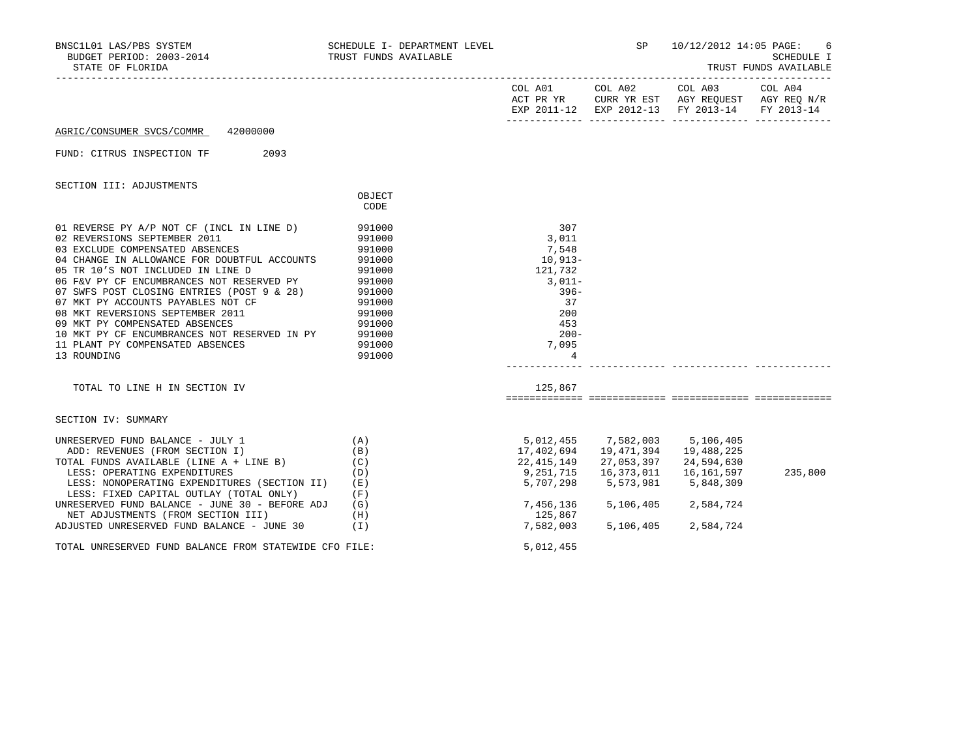| BNSC1L01 LAS/PBS SYSTEM<br>BUDGET PERIOD: 2003-2014<br>STATE OF FLORIDA                                                                                                                                                                                                                                                                                                                                                                                                                                                                      | SCHEDULE I- DEPARTMENT LEVEL<br>TRUST FUNDS AVAILABLE                                                                          |                                                                                                                                        | <b>SP</b>                                                                     | 10/12/2012 14:05 PAGE:                                                                                                            | - 6<br>SCHEDULE I<br>TRUST FUNDS AVAILABLE |
|----------------------------------------------------------------------------------------------------------------------------------------------------------------------------------------------------------------------------------------------------------------------------------------------------------------------------------------------------------------------------------------------------------------------------------------------------------------------------------------------------------------------------------------------|--------------------------------------------------------------------------------------------------------------------------------|----------------------------------------------------------------------------------------------------------------------------------------|-------------------------------------------------------------------------------|-----------------------------------------------------------------------------------------------------------------------------------|--------------------------------------------|
|                                                                                                                                                                                                                                                                                                                                                                                                                                                                                                                                              |                                                                                                                                |                                                                                                                                        |                                                                               | COL A01 COL A02 COL A03 COL A04<br>ACT PR YR CURR YR EST AGY REQUEST AGY REQ N/R<br>EXP 2011-12 EXP 2012-13 FY 2013-14 FY 2013-14 |                                            |
| 42000000<br>AGRIC/CONSUMER SVCS/COMMR                                                                                                                                                                                                                                                                                                                                                                                                                                                                                                        |                                                                                                                                |                                                                                                                                        |                                                                               |                                                                                                                                   |                                            |
| 2093<br>FUND: CITRUS INSPECTION TF                                                                                                                                                                                                                                                                                                                                                                                                                                                                                                           |                                                                                                                                |                                                                                                                                        |                                                                               |                                                                                                                                   |                                            |
| SECTION III: ADJUSTMENTS                                                                                                                                                                                                                                                                                                                                                                                                                                                                                                                     |                                                                                                                                |                                                                                                                                        |                                                                               |                                                                                                                                   |                                            |
|                                                                                                                                                                                                                                                                                                                                                                                                                                                                                                                                              | OBJECT<br>CODE                                                                                                                 |                                                                                                                                        |                                                                               |                                                                                                                                   |                                            |
| 01 REVERSE PY A/P NOT CF (INCL IN LINE D)<br>02 REVERSIONS SEPTEMBER 2011<br>03 EXCLUDE COMPENSATED ABSENCES<br>04 CHANGE IN ALLOWANCE FOR DOUBTFUL ACCOUNTS<br>05 TR 10'S NOT INCLUDED IN LINE D<br>06 F&V PY CF ENCUMBRANCES NOT RESERVED PY<br>07 SWFS POST CLOSING ENTRIES (POST 9 & 28)<br>07 MKT PY ACCOUNTS PAYABLES NOT CF<br>08 MKT REVERSIONS SEPTEMBER 2011<br>09 MKT PY COMPENSATED ABSENCES<br>10 MKT PY CF ENCUMBRANCES NOT RESERVED IN PY<br>11 PLANT PY COMPENSATED ABSENCES<br>13 ROUNDING<br>TOTAL TO LINE H IN SECTION IV | 991000<br>991000<br>991000<br>991000<br>991000<br>991000<br>991000<br>991000<br>991000<br>991000<br>991000<br>991000<br>991000 | 307<br>3,011<br>7,548<br>10,913-<br>121,732<br>$3,011-$<br>$396-$<br>37<br>200<br>453<br>$200 -$<br>7,095<br>$\overline{4}$<br>125,867 |                                                                               |                                                                                                                                   |                                            |
| SECTION IV: SUMMARY                                                                                                                                                                                                                                                                                                                                                                                                                                                                                                                          |                                                                                                                                |                                                                                                                                        |                                                                               |                                                                                                                                   |                                            |
| UNRESERVED FUND BALANCE - JULY 1<br>(A)<br>ADD: REVENUES (FROM SECTION I)<br>TOTAL FUNDS AVAILABLE (LINE A + LINE B)<br>LESS: OPERATING EXPENDITURES<br>LESS: NONOPERATING EXPENDITURES (SECTION II)<br>LESS: FIXED CAPITAL OUTLAY (TOTAL ONLY)<br>UNRESERVED FUND BALANCE - JUNE 30 - BEFORE ADJ<br>NET ADJUSTMENTS (FROM SECTION III)<br>ADJUSTED UNRESERVED FUND BALANCE - JUNE 30                                                                                                                                                        | (B)<br>(C)<br>(D)<br>(E)<br>(F)<br>(G)<br>(H)<br>(I)                                                                           | 5,012,455<br>17,402,694<br>22,415,149<br>9,251,715<br>5,707,298<br>7,456,136<br>125,867<br>7,582,003                                   | 7,582,003<br>19,471,394<br>27,053,397<br>16,373,011<br>5,573,981<br>5,106,405 | 5,106,405<br>19,488,225<br>24,594,630<br>16,161,597<br>5,848,309<br>5, 106, 405 2, 584, 724<br>2,584,724                          | 235,800                                    |
| TOTAL UNRESERVED FUND BALANCE FROM STATEWIDE CFO FILE:                                                                                                                                                                                                                                                                                                                                                                                                                                                                                       |                                                                                                                                | 5,012,455                                                                                                                              |                                                                               |                                                                                                                                   |                                            |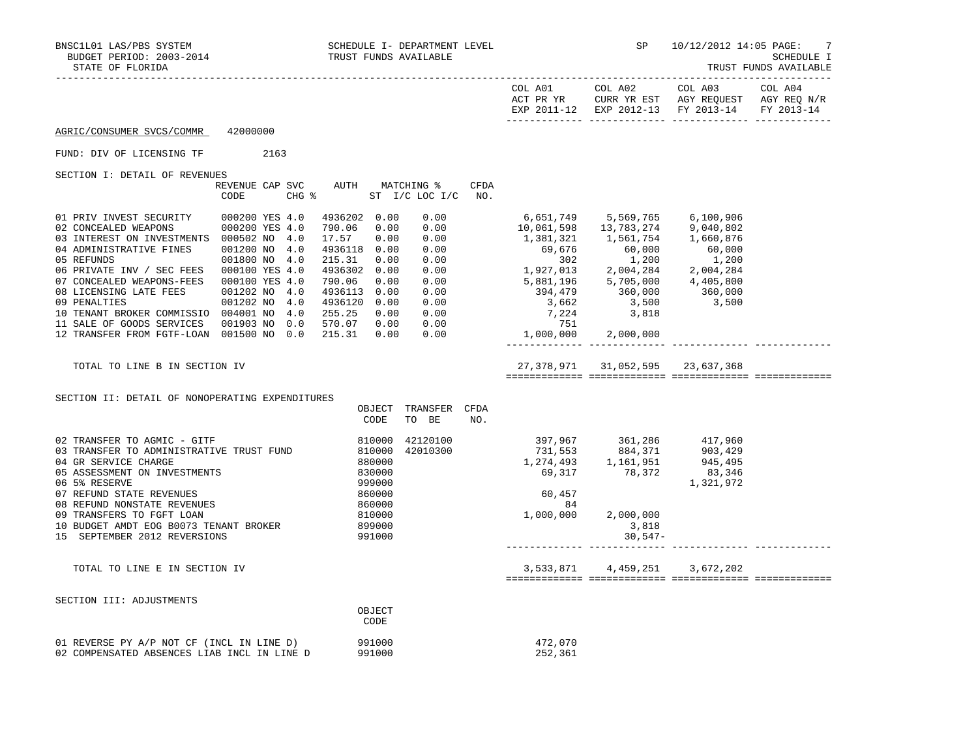|                                                                                          |                                 |                                              |                        |             | COL A01<br>ACT PR YR                                                                                                                                                                                                                                                                                                         | COL A02                                | COL A03<br>CURR YR EST AGY REQUEST AGY REQ N/R<br>EXP 2011-12 EXP 2012-13 FY 2013-14 | COL A04<br>FY 2013-14 |
|------------------------------------------------------------------------------------------|---------------------------------|----------------------------------------------|------------------------|-------------|------------------------------------------------------------------------------------------------------------------------------------------------------------------------------------------------------------------------------------------------------------------------------------------------------------------------------|----------------------------------------|--------------------------------------------------------------------------------------|-----------------------|
| AGRIC/CONSUMER SVCS/COMMR                                                                | 42000000                        |                                              |                        |             |                                                                                                                                                                                                                                                                                                                              |                                        |                                                                                      |                       |
| FUND: DIV OF LICENSING TF                                                                | 2163                            |                                              |                        |             |                                                                                                                                                                                                                                                                                                                              |                                        |                                                                                      |                       |
| SECTION I: DETAIL OF REVENUES                                                            |                                 |                                              |                        |             |                                                                                                                                                                                                                                                                                                                              |                                        |                                                                                      |                       |
|                                                                                          | REVENUE CAP SVC<br>CODE         | AUTH<br>CHG $\frac{1}{6}$ ST I/C LOC I/C NO. | MATCHING %             | <b>CFDA</b> |                                                                                                                                                                                                                                                                                                                              |                                        |                                                                                      |                       |
| 01 PRIV INVEST SECURITY                                                                  | 000200 YES 4.0                  | 4936202 0.00                                 | 0.00                   |             | 6,651,749 5,569,765 6,100,906                                                                                                                                                                                                                                                                                                |                                        |                                                                                      |                       |
| 02 CONCEALED WEAPONS                                                                     | 000200 YES 4.0                  | 790.06 0.00                                  | 0.00                   |             | 10,061,598  13,783,274  9,040,802                                                                                                                                                                                                                                                                                            |                                        |                                                                                      |                       |
| 03 INTEREST ON INVESTMENTS 000502 NO 4.0<br>04 ADMINISTRATIVE FINES                      | 001200 NO 4.0                   | 17.57<br>0.00<br>4936118 0.00                | 0.00<br>0.00           |             | $\begin{array}{cccc} 1,381,321 & 1,561,754 & 1,660,876 \\ 69,676 & 60,000 & 60,000 \\ 302 & 1,200 & 1,200 \end{array}$                                                                                                                                                                                                       |                                        |                                                                                      |                       |
| 05 REFUNDS                                                                               | 001800 NO 4.0                   | 215.31<br>0.00                               | 0.00                   |             | $\begin{array}{ccccccccc}\n & 302 & & 1,200 & & 1,200 \\  & & 302 & & 1,200 & & 1,200 \\ 1,927,013 & & 2,004,284 & & 2,004,284 \\ 5,881,196 & & 5,705,000 & & 4,405,800 \\  & & 394,479 & & 360,000 & & 360,000 \\  & & 3,662 & & 3,500 & & 3,500 \\  & & & 7,224 & & 3,818 & & & & & & & & & & & & & & & & & & & & & & & &$ |                                        |                                                                                      |                       |
| 06 PRIVATE INV / SEC FEES 000100 YES 4.0                                                 |                                 | 4936302 0.00                                 | 0.00                   |             |                                                                                                                                                                                                                                                                                                                              |                                        |                                                                                      |                       |
| 07 CONCEALED WEAPONS-FEES<br>08 LICENSING LATE FEES                                      | 000100 YES 4.0<br>001202 NO 4.0 | 790.06<br>0.00<br>4936113 0.00               | 0.00<br>0.00           |             |                                                                                                                                                                                                                                                                                                                              |                                        |                                                                                      |                       |
| 09 PENALTIES                                                                             | 001202 NO 4.0                   | 4936120 0.00                                 | 0.00                   |             |                                                                                                                                                                                                                                                                                                                              |                                        |                                                                                      |                       |
| 10 TENANT BROKER COMMISSIO 004001 NO 4.0                                                 |                                 | 255.25 0.00                                  | 0.00                   |             |                                                                                                                                                                                                                                                                                                                              |                                        |                                                                                      |                       |
| 11 SALE OF GOODS SERVICES<br>12 TRANSFER FROM FGTF-LOAN 001500 NO 0.0                    | 001903 NO 0.0                   | 570.07 0.00<br>215.31 0.00                   | 0.00<br>0.00           |             | $751$<br>1,000,000                                                                                                                                                                                                                                                                                                           | 2,000,000                              |                                                                                      |                       |
|                                                                                          |                                 |                                              |                        |             | ________________________________                                                                                                                                                                                                                                                                                             |                                        |                                                                                      |                       |
| TOTAL TO LINE B IN SECTION IV                                                            |                                 |                                              |                        |             |                                                                                                                                                                                                                                                                                                                              | 27, 378, 971 31, 052, 595 23, 637, 368 |                                                                                      |                       |
|                                                                                          |                                 |                                              |                        |             |                                                                                                                                                                                                                                                                                                                              |                                        |                                                                                      |                       |
| SECTION II: DETAIL OF NONOPERATING EXPENDITURES                                          |                                 |                                              |                        |             |                                                                                                                                                                                                                                                                                                                              |                                        |                                                                                      |                       |
|                                                                                          |                                 | OBJECT<br>CODE                               | TRANSFER CFDA<br>TO BE | NO.         |                                                                                                                                                                                                                                                                                                                              |                                        |                                                                                      |                       |
| 02 TRANSFER TO AGMIC - GITF                                                              |                                 | 810000                                       | 42120100               |             |                                                                                                                                                                                                                                                                                                                              |                                        |                                                                                      |                       |
| 03 TRANSFER TO ADMINISTRATIVE TRUST FUND 810000                                          |                                 |                                              | 42010300               |             |                                                                                                                                                                                                                                                                                                                              |                                        |                                                                                      |                       |
| 04 GR SERVICE CHARGE                                                                     |                                 | 880000                                       |                        |             | 397, 967 361, 286 417, 960<br>731, 553 884, 371 903, 429<br>1, 274, 493 1, 161, 951 945, 495<br>69, 317 78, 372 83, 346                                                                                                                                                                                                      |                                        |                                                                                      |                       |
| 05 ASSESSMENT ON INVESTMENTS<br>06 5% RESERVE                                            |                                 | 830000<br>999000                             |                        |             |                                                                                                                                                                                                                                                                                                                              |                                        | 1,321,972                                                                            |                       |
| 07 REFUND STATE REVENUES                                                                 |                                 | 860000                                       |                        |             | 60,457                                                                                                                                                                                                                                                                                                                       |                                        |                                                                                      |                       |
| 08 REFUND NONSTATE REVENUES                                                              |                                 | 860000<br>810000                             |                        |             | - 84                                                                                                                                                                                                                                                                                                                         |                                        |                                                                                      |                       |
| 09 TRANSFERS TO FGFT LOAN<br>10 BUDGET AMDT EOG B0073 TENANT BROKER                      |                                 | 899000                                       |                        |             | 1,000,000                                                                                                                                                                                                                                                                                                                    | 2,000,000<br>3,818                     |                                                                                      |                       |
| 15 SEPTEMBER 2012 REVERSIONS                                                             |                                 | 991000                                       |                        |             |                                                                                                                                                                                                                                                                                                                              | $30,547-$                              |                                                                                      |                       |
| TOTAL TO LINE E IN SECTION IV                                                            |                                 |                                              |                        |             |                                                                                                                                                                                                                                                                                                                              | 3,533,871 4,459,251 3,672,202          |                                                                                      |                       |
|                                                                                          |                                 |                                              |                        |             |                                                                                                                                                                                                                                                                                                                              |                                        |                                                                                      |                       |
| SECTION III: ADJUSTMENTS                                                                 |                                 |                                              |                        |             |                                                                                                                                                                                                                                                                                                                              |                                        |                                                                                      |                       |
|                                                                                          |                                 | OBJECT<br>CODE                               |                        |             |                                                                                                                                                                                                                                                                                                                              |                                        |                                                                                      |                       |
| 01 REVERSE PY A/P NOT CF (INCL IN LINE D)<br>02 COMPENSATED ABSENCES LIAB INCL IN LINE D |                                 | 991000<br>991000                             |                        |             | 472,070<br>252,361                                                                                                                                                                                                                                                                                                           |                                        |                                                                                      |                       |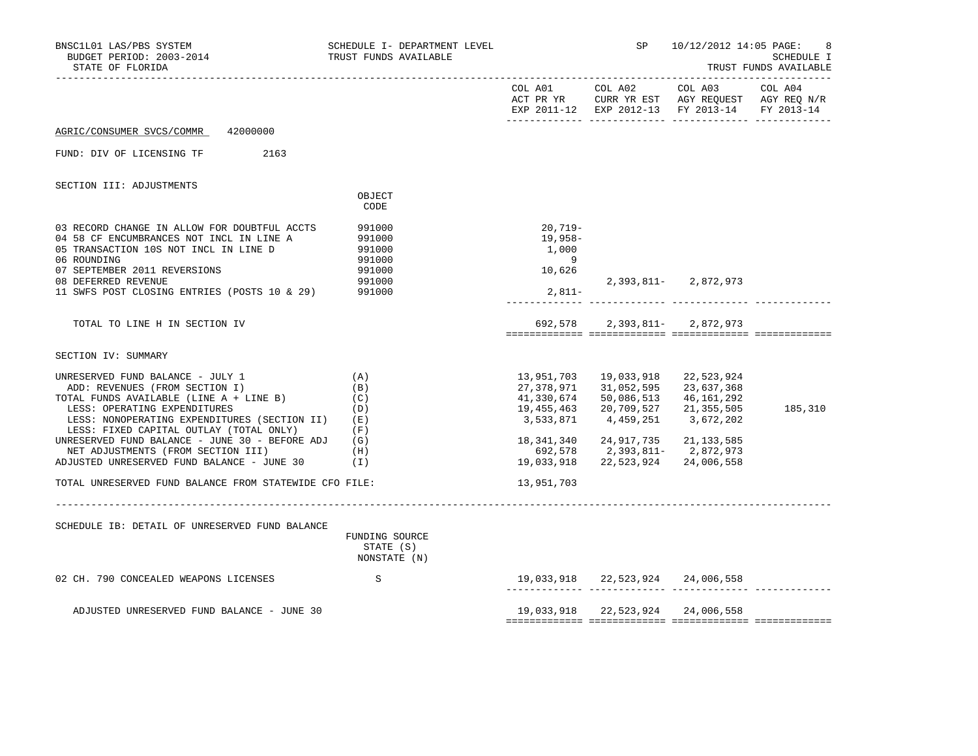| BNSC1L01 LAS/PBS SYSTEM<br>BUDGET PERIOD: 2003-2014<br>STATE OF FLORIDA                                                                                                                                                                                                                                                                                                                                                                  | SCHEDULE I- DEPARTMENT LEVEL<br>TRUST FUNDS AVAILABLE              |                                                                                                                        | SP <sub>2</sub>                                                                                                                            | 10/12/2012 14:05 PAGE:                                              | 8<br>SCHEDULE I<br>TRUST FUNDS AVAILABLE      |
|------------------------------------------------------------------------------------------------------------------------------------------------------------------------------------------------------------------------------------------------------------------------------------------------------------------------------------------------------------------------------------------------------------------------------------------|--------------------------------------------------------------------|------------------------------------------------------------------------------------------------------------------------|--------------------------------------------------------------------------------------------------------------------------------------------|---------------------------------------------------------------------|-----------------------------------------------|
|                                                                                                                                                                                                                                                                                                                                                                                                                                          |                                                                    |                                                                                                                        | COL A01 COL A02 COL A03 COL A04<br>EXP 2011-12 EXP 2012-13 FY 2013-14 FY 2013-14                                                           |                                                                     | ACT PR YR CURR YR EST AGY REQUEST AGY REQ N/R |
| AGRIC/CONSUMER SVCS/COMMR 42000000                                                                                                                                                                                                                                                                                                                                                                                                       |                                                                    |                                                                                                                        |                                                                                                                                            |                                                                     |                                               |
| FUND: DIV OF LICENSING TF<br>2163                                                                                                                                                                                                                                                                                                                                                                                                        |                                                                    |                                                                                                                        |                                                                                                                                            |                                                                     |                                               |
| SECTION III: ADJUSTMENTS                                                                                                                                                                                                                                                                                                                                                                                                                 |                                                                    |                                                                                                                        |                                                                                                                                            |                                                                     |                                               |
|                                                                                                                                                                                                                                                                                                                                                                                                                                          | OBJECT<br>CODE                                                     |                                                                                                                        |                                                                                                                                            |                                                                     |                                               |
| 03 RECORD CHANGE IN ALLOW FOR DOUBTFUL ACCTS<br>04 58 CF ENCUMBRANCES NOT INCL IN LINE A<br>05 TRANSACTION 10S NOT INCL IN LINE D<br>06 ROUNDING<br>07 SEPTEMBER 2011 REVERSIONS<br>08 DEFERRED REVENUE<br>11 SWFS POST CLOSING ENTRIES (POSTS 10 & 29)                                                                                                                                                                                  | 991000<br>991000<br>991000<br>991000<br>991000<br>991000<br>991000 | $20,719-$<br>19,958-<br>1,000<br>9<br>10,626<br>$2,811-$                                                               |                                                                                                                                            | 2, 393, 811 - 2, 872, 973                                           |                                               |
| TOTAL TO LINE H IN SECTION IV                                                                                                                                                                                                                                                                                                                                                                                                            |                                                                    |                                                                                                                        | 692,578 2,393,811- 2,872,973                                                                                                               |                                                                     |                                               |
| SECTION IV: SUMMARY                                                                                                                                                                                                                                                                                                                                                                                                                      |                                                                    |                                                                                                                        |                                                                                                                                            |                                                                     |                                               |
| UNRESERVED FUND BALANCE - JULY 1<br>ADD: REVENUES (FROM SECTION I)<br>TOTAL FUNDS AVAILABLE (LINE A + LINE B)<br>LESS: OPERATING EXPENDITURES<br>LESS: NONOPERATING EXPENDITURES (SECTION II)<br>LESS: FIXED CAPITAL OUTLAY (TOTAL ONLY)<br>UNRESERVED FUND BALANCE - JUNE 30 - BEFORE ADJ<br>NET ADJUSTMENTS (FROM SECTION III)<br>ADJUSTED UNRESERVED FUND BALANCE - JUNE 30<br>TOTAL UNRESERVED FUND BALANCE FROM STATEWIDE CFO FILE: | (A)<br>(B)<br>(C)<br>(D)<br>(E)<br>(F)<br>(G)<br>(H)<br>(1)        | 13,951,703<br>27,378,971<br>41,330,674<br>19,455,463<br>3,533,871<br>18,341,340<br>692,578<br>19,033,918<br>13,951,703 | 19,033,918<br>31,052,595<br>50,086,513<br>20,709,527 21,355,505<br>4,459,251<br>24,917,735<br>2,393,811-2,872,973<br>22,523,924 24,006,558 | 22,523,924<br>23,637,368<br>46,161,292<br>3,672,202<br>21, 133, 585 | 185,310                                       |
| SCHEDULE IB: DETAIL OF UNRESERVED FUND BALANCE                                                                                                                                                                                                                                                                                                                                                                                           | FUNDING SOURCE<br>STATE (S)<br>NONSTATE (N)                        |                                                                                                                        |                                                                                                                                            |                                                                     |                                               |
| 02 CH. 790 CONCEALED WEAPONS LICENSES                                                                                                                                                                                                                                                                                                                                                                                                    | $\mathbf S$                                                        |                                                                                                                        | 19,033,918 22,523,924 24,006,558                                                                                                           |                                                                     |                                               |
| ADJUSTED UNRESERVED FUND BALANCE - JUNE 30                                                                                                                                                                                                                                                                                                                                                                                               |                                                                    |                                                                                                                        | 19,033,918 22,523,924 24,006,558                                                                                                           |                                                                     |                                               |
|                                                                                                                                                                                                                                                                                                                                                                                                                                          |                                                                    |                                                                                                                        |                                                                                                                                            |                                                                     |                                               |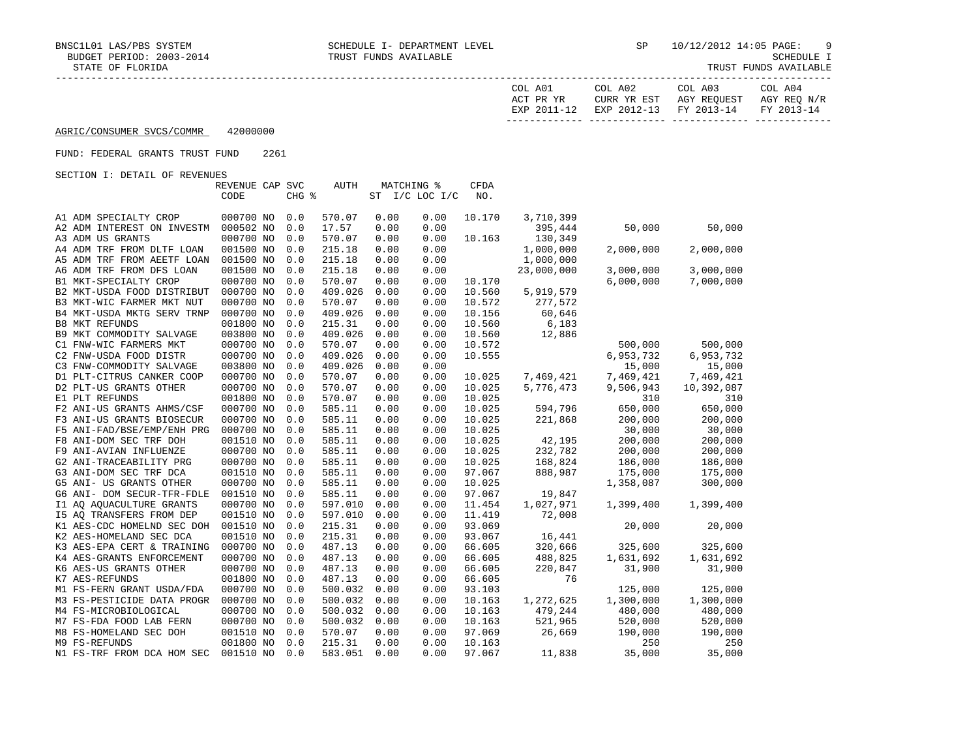| COL A01<br>ACT PR YR | COL A02<br>CURR YR EST            | COL A03<br>AGY REOUEST | COL A04<br>AGY REO N/R |
|----------------------|-----------------------------------|------------------------|------------------------|
| EXP 2011-12          | EXP 2012-13 FY 2013-14 FY 2013-14 |                        |                        |

## FUND: FEDERAL GRANTS TRUST FUND 2261

|                            | REVENUE CAP SVC |       | AUTH    | MATCHING % |                | <b>CFDA</b> |            |           |            |
|----------------------------|-----------------|-------|---------|------------|----------------|-------------|------------|-----------|------------|
|                            | CODE            | CHG % |         |            | ST I/C LOC I/C |             |            |           |            |
|                            |                 |       |         |            |                |             |            |           |            |
| A1 ADM SPECIALTY CROP      | 000700 NO       | 0.0   | 570.07  | 0.00       | 0.00           | 10.170      | 3,710,399  |           |            |
| A2 ADM INTEREST ON INVESTM | 000502 NO       | 0.0   | 17.57   | 0.00       | 0.00           |             | 395,444    | 50,000    | 50,000     |
| A3 ADM US GRANTS           | 000700 NO       | 0.0   | 570.07  | 0.00       | 0.00           | 10.163      | 130,349    |           |            |
| A4 ADM TRF FROM DLTF LOAN  | 001500 NO       | 0.0   | 215.18  | 0.00       | 0.00           |             | 1,000,000  | 2,000,000 | 2,000,000  |
| A5 ADM TRF FROM AEETF LOAN | 001500 NO       | 0.0   | 215.18  | 0.00       | 0.00           |             | 1,000,000  |           |            |
| A6 ADM TRF FROM DFS LOAN   | 001500 NO       | 0.0   | 215.18  | 0.00       | 0.00           |             | 23,000,000 | 3,000,000 | 3,000,000  |
| B1 MKT-SPECIALTY CROP      | 000700 NO       | 0.0   | 570.07  | 0.00       | 0.00           | 10.170      |            | 6,000,000 | 7,000,000  |
| B2 MKT-USDA FOOD DISTRIBUT | 000700 NO       | 0.0   | 409.026 | 0.00       | 0.00           | 10.560      | 5,919,579  |           |            |
| B3 MKT-WIC FARMER MKT NUT  | 000700 NO       | 0.0   | 570.07  | 0.00       | 0.00           | 10.572      | 277,572    |           |            |
| B4 MKT-USDA MKTG SERV TRNP | 000700 NO       | 0.0   | 409.026 | 0.00       | 0.00           | 10.156      | 60,646     |           |            |
| <b>B8 MKT REFUNDS</b>      | 001800 NO       | 0.0   | 215.31  | 0.00       | 0.00           | 10.560      | 6,183      |           |            |
| B9 MKT COMMODITY SALVAGE   | 003800 NO       | 0.0   | 409.026 | 0.00       | 0.00           | 10.560      | 12,886     |           |            |
| C1 FNW-WIC FARMERS MKT     | 000700 NO       | 0.0   | 570.07  | 0.00       | 0.00           | 10.572      |            | 500,000   | 500,000    |
| C2 FNW-USDA FOOD DISTR     | 000700 NO       | 0.0   | 409.026 | 0.00       | 0.00           | 10.555      |            | 6,953,732 | 6,953,732  |
| C3 FNW-COMMODITY SALVAGE   | 003800 NO       | 0.0   | 409.026 | 0.00       | 0.00           |             |            | 15,000    | 15,000     |
| D1 PLT-CITRUS CANKER COOP  | 000700 NO       | 0.0   | 570.07  | 0.00       | 0.00           | 10.025      | 7,469,421  | 7,469,421 | 7,469,421  |
| D2 PLT-US GRANTS OTHER     | 000700 NO       | 0.0   | 570.07  | 0.00       | 0.00           | 10.025      | 5,776,473  | 9,506,943 | 10,392,087 |
| E1 PLT REFUNDS             | 001800 NO       | 0.0   | 570.07  | 0.00       | 0.00           | 10.025      |            | 310       | 310        |
| F2 ANI-US GRANTS AHMS/CSF  | 000700 NO       | 0.0   | 585.11  | 0.00       | 0.00           | 10.025      | 594,796    | 650,000   | 650,000    |
| F3 ANI-US GRANTS BIOSECUR  | 000700 NO       | 0.0   | 585.11  | 0.00       | 0.00           | 10.025      | 221,868    | 200,000   | 200,000    |
| F5 ANI-FAD/BSE/EMP/ENH PRG | 000700 NO       | 0.0   | 585.11  | 0.00       | 0.00           | 10.025      |            | 30,000    | 30,000     |
| F8 ANI-DOM SEC TRF DOH     | 001510 NO       | 0.0   | 585.11  | 0.00       | 0.00           | 10.025      | 42,195     | 200,000   | 200,000    |
| F9 ANI-AVIAN INFLUENZE     | 000700 NO       | 0.0   | 585.11  | 0.00       | 0.00           | 10.025      | 232,782    | 200,000   | 200,000    |
| G2 ANI-TRACEABILITY PRG    | 000700 NO       | 0.0   | 585.11  | 0.00       | 0.00           | 10.025      | 168,824    | 186,000   | 186,000    |
| G3 ANI-DOM SEC TRF DCA     | 001510 NO       | 0.0   | 585.11  | 0.00       | 0.00           | 97.067      | 888,987    | 175,000   | 175,000    |
| G5 ANI- US GRANTS OTHER    | 000700 NO       | 0.0   | 585.11  | 0.00       | 0.00           | 10.025      |            | 1,358,087 | 300,000    |
| G6 ANI- DOM SECUR-TFR-FDLE | 001510 NO       | 0.0   | 585.11  | 0.00       | 0.00           | 97.067      | 19,847     |           |            |
| I1 AQ AQUACULTURE GRANTS   | 000700 NO       | 0.0   | 597.010 | 0.00       | 0.00           | 11.454      | 1,027,971  | 1,399,400 | 1,399,400  |
| 15 AO TRANSFERS FROM DEP   | 001510 NO       | 0.0   | 597.010 | 0.00       | 0.00           | 11.419      | 72,008     |           |            |
| K1 AES-CDC HOMELND SEC DOH | 001510 NO       | 0.0   | 215.31  | 0.00       | 0.00           | 93.069      |            | 20,000    | 20,000     |
| K2 AES-HOMELAND SEC DCA    | 001510 NO       | 0.0   | 215.31  | 0.00       | 0.00           | 93.067      | 16,441     |           |            |
| K3 AES-EPA CERT & TRAINING | 000700 NO       | 0.0   | 487.13  | 0.00       | 0.00           | 66.605      | 320,666    | 325,600   | 325,600    |
| K4 AES-GRANTS ENFORCEMENT  | 000700 NO       | 0.0   | 487.13  | 0.00       | 0.00           | 66.605      | 488,825    | 1,631,692 | 1,631,692  |
| K6 AES-US GRANTS OTHER     | 000700 NO       | 0.0   | 487.13  | 0.00       | 0.00           | 66.605      | 220,847    | 31,900    | 31,900     |
| K7 AES-REFUNDS             | 001800 NO       | 0.0   | 487.13  | 0.00       | 0.00           | 66.605      | 76         |           |            |
| M1 FS-FERN GRANT USDA/FDA  | 000700 NO       | 0.0   | 500.032 | 0.00       | 0.00           | 93.103      |            | 125,000   | 125,000    |
| M3 FS-PESTICIDE DATA PROGR | 000700 NO       | 0.0   | 500.032 | 0.00       | 0.00           | 10.163      | 1,272,625  | 1,300,000 | 1,300,000  |
| M4 FS-MICROBIOLOGICAL      | 000700 NO       | 0.0   | 500.032 | 0.00       | 0.00           | 10.163      | 479,244    | 480,000   | 480,000    |
| M7 FS-FDA FOOD LAB FERN    | 000700 NO       | 0.0   | 500.032 | 0.00       | 0.00           | 10.163      | 521,965    | 520,000   | 520,000    |
| M8 FS-HOMELAND SEC DOH     | 001510 NO       | 0.0   | 570.07  | 0.00       | 0.00           | 97.069      | 26,669     | 190,000   | 190,000    |
| M9 FS-REFUNDS              | 001800 NO       | 0.0   | 215.31  | 0.00       | 0.00           | 10.163      |            | 250       | 250        |
| N1 FS-TRF FROM DCA HOM SEC | 001510 NO       | 0.0   | 583.051 | 0.00       | 0.00           | 97.067      | 11,838     | 35,000    | 35,000     |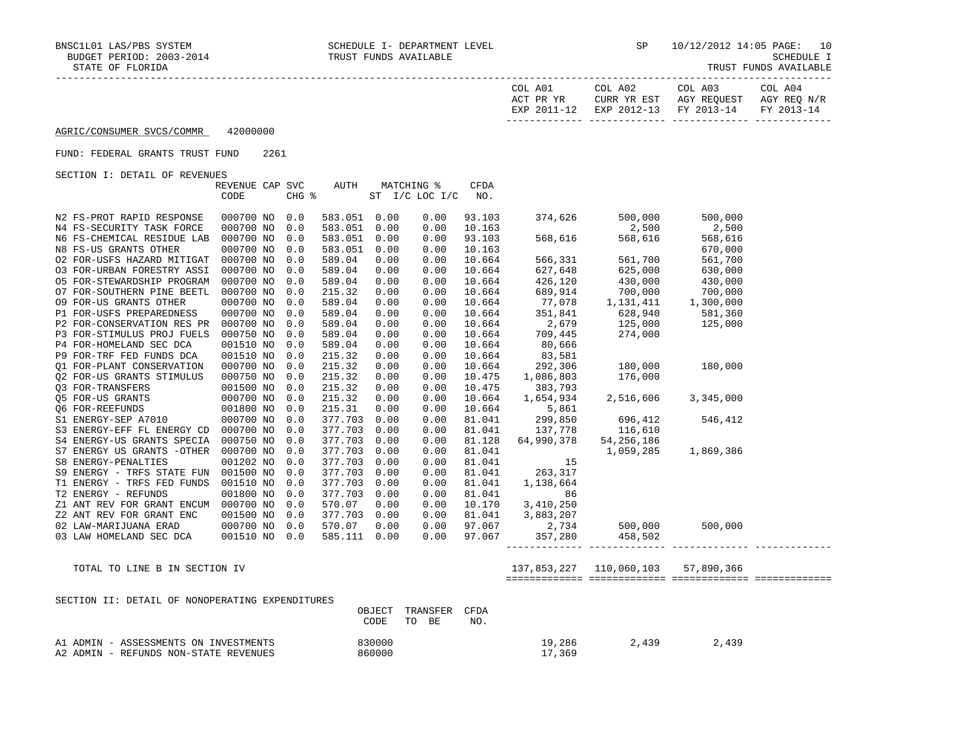| COL A01<br>ACT PR YR | COL A02<br>CURR YR EST            | COL A03<br>AGY REOUEST | COL A04<br>AGY REO N/R |
|----------------------|-----------------------------------|------------------------|------------------------|
| EXP 2011-12          | EXP 2012-13 FY 2013-14 FY 2013-14 |                        |                        |

#### FUND: FEDERAL GRANTS TRUST FUND 2261

SECTION I: DETAIL OF REVENUES

|                            | REVENUE CAP SVC |     | AUTH                |      | MATCHING %     | CFDA   |                  |                                                         |                     |  |
|----------------------------|-----------------|-----|---------------------|------|----------------|--------|------------------|---------------------------------------------------------|---------------------|--|
|                            | CODE            |     | $CHG$ $\frac{1}{6}$ |      | ST I/C LOC I/C | NO.    |                  |                                                         |                     |  |
|                            |                 |     |                     |      |                |        |                  |                                                         |                     |  |
| N2 FS-PROT RAPID RESPONSE  | 000700 NO 0.0   |     | 583.051 0.00        |      | 0.00           | 93.103 | 374,626          | 500,000                                                 | 500,000             |  |
| N4 FS-SECURITY TASK FORCE  | 000700 NO       | 0.0 | 583.051             | 0.00 | 0.00           | 10.163 |                  | $\begin{array}{r} .500 \\ 2,500 \\ 568,616 \end{array}$ | 2,500               |  |
| N6 FS-CHEMICAL RESIDUE LAB | 000700 NO       | 0.0 | 583.051             | 0.00 | 0.00           | 93.103 |                  |                                                         | 568,616             |  |
| N8 FS-US GRANTS OTHER      | 000700 NO       | 0.0 | 583.051             | 0.00 | 0.00           | 10.163 |                  |                                                         | 670,000             |  |
| 02 FOR-USFS HAZARD MITIGAT | 000700 NO       | 0.0 | 589.04              | 0.00 | 0.00           | 10.664 | 566,331          | 561,700                                                 | 561,700             |  |
| 03 FOR-URBAN FORESTRY ASSI | 000700 NO       | 0.0 | 589.04              | 0.00 | 0.00           | 10.664 | 627,648          | 625,000                                                 | 630,000             |  |
| 05 FOR-STEWARDSHIP PROGRAM | 000700 NO       | 0.0 | 589.04              | 0.00 | 0.00           | 10.664 | 426,120          | 430,000                                                 | 430,000             |  |
| O7 FOR-SOUTHERN PINE BEETL | 000700 NO       | 0.0 | 215.32              | 0.00 | 0.00           | 10.664 | 689,914          | 700,000                                                 | 700,000             |  |
| 09 FOR-US GRANTS OTHER     | 000700 NO       | 0.0 | 589.04              | 0.00 | 0.00           | 10.664 | 77,078           | 1,131,411                                               | 1,300,000           |  |
| P1 FOR-USFS PREPAREDNESS   | 000700 NO       | 0.0 | 589.04              | 0.00 | 0.00           | 10.664 | 351,841          | 628,940 581,360                                         |                     |  |
| P2 FOR-CONSERVATION RES PR | 000700 NO       | 0.0 | 589.04              | 0.00 | 0.00           | 10.664 |                  | 2,679 125,000                                           | 125,000             |  |
| P3 FOR-STIMULUS PROJ FUELS | 000750 NO       | 0.0 | 589.04              | 0.00 | 0.00           | 10.664 | 709,445          | 274,000                                                 |                     |  |
| P4 FOR-HOMELAND SEC DCA    | 001510 NO       | 0.0 | 589.04              | 0.00 | 0.00           | 10.664 | 80,666           |                                                         |                     |  |
| P9 FOR-TRF FED FUNDS DCA   | 001510 NO       | 0.0 | 215.32              | 0.00 | 0.00           | 10.664 | 83,581           |                                                         |                     |  |
| 01 FOR-PLANT CONSERVATION  | 000700 NO       | 0.0 | 215.32              | 0.00 | 0.00           | 10.664 |                  |                                                         | 180,000             |  |
| 02 FOR-US GRANTS STIMULUS  | 000750 NO       | 0.0 | 215.32              | 0.00 | 0.00           | 10.475 |                  | $292,306$ $180,000$<br>$1,086,803$ $176,000$            |                     |  |
| Q3 FOR-TRANSFERS           | 001500 NO       | 0.0 | 215.32              | 0.00 | 0.00           | 10.475 | 383,793          |                                                         |                     |  |
| Q5 FOR-US GRANTS           | 000700 NO       | 0.0 | 215.32              | 0.00 | 0.00           | 10.664 | 1,654,934        | 2,516,606                                               | 3,345,000           |  |
| Q6 FOR-REEFUNDS            | 001800 NO       | 0.0 | 215.31              | 0.00 | 0.00           | 10.664 | 5,861            |                                                         |                     |  |
| S1 ENERGY-SEP A7010        | 000700 NO       | 0.0 | 377.703             | 0.00 | 0.00           | 81.041 |                  | 299,850 696,412 546,412                                 |                     |  |
| S3 ENERGY-EFF FL ENERGY CD | 000700 NO       | 0.0 | 377.703             | 0.00 | 0.00           | 81.041 | 137,778          | 116,610                                                 |                     |  |
| S4 ENERGY-US GRANTS SPECIA | 000750 NO       | 0.0 | 377.703             | 0.00 | 0.00           | 81.128 | 64,990,378       | 54,256,186                                              |                     |  |
| S7 ENERGY US GRANTS -OTHER | 000700 NO       | 0.0 | 377.703             | 0.00 | 0.00           | 81.041 |                  |                                                         | 1,059,285 1,869,386 |  |
| S8 ENERGY-PENALTIES        | 001202 NO       | 0.0 | 377.703             | 0.00 | 0.00           | 81.041 | 15               |                                                         |                     |  |
| S9 ENERGY - TRFS STATE FUN | 001500 NO       | 0.0 | 377.703             | 0.00 | 0.00           | 81.041 | 263,317          |                                                         |                     |  |
| T1 ENERGY - TRFS FED FUNDS | 001510 NO       | 0.0 | 377.703             | 0.00 | 0.00           | 81.041 | 1,138,664        |                                                         |                     |  |
| T2 ENERGY - REFUNDS        | 001800 NO       | 0.0 | 377.703             | 0.00 | 0.00           | 81.041 | 86               |                                                         |                     |  |
| Z1 ANT REV FOR GRANT ENCUM | 000700 NO       | 0.0 | 570.07              | 0.00 | 0.00           | 10.170 | 3,410,250        |                                                         |                     |  |
| Z2 ANT REV FOR GRANT ENC   | 001500 NO       | 0.0 | 377.703             | 0.00 | 0.00           |        | 81.041 3,883,207 |                                                         |                     |  |
| 02 LAW-MARIJUANA ERAD      | 000700 NO 0.0   |     | 570.07              | 0.00 | 0.00           |        | 97.067 2,734     |                                                         | 500,000 500,000     |  |
| 03 LAW HOMELAND SEC DCA    | 001510 NO 0.0   |     | 585.111             | 0.00 | 0.00           |        | 97.067 357,280   | 458,502                                                 |                     |  |
|                            |                 |     |                     |      |                |        |                  |                                                         |                     |  |

TOTAL TO LINE B IN SECTION IV 137,853,227 110,060,103 57,890,366

| SECTION II: DETAIL OF NONOPERATING EXPENDITURES |            |           |      |        |       |       |
|-------------------------------------------------|------------|-----------|------|--------|-------|-------|
|                                                 | OBJECT     | TRANSFER  | CFDA |        |       |       |
|                                                 | TO<br>CODE | <b>BE</b> | NO.  |        |       |       |
|                                                 |            |           |      |        |       |       |
| A1 ADMIN - ASSESSMENTS ON INVESTMENTS           | 830000     |           |      | 19,286 | 2.439 | 2,439 |
| A2 ADMIN - REFUNDS NON-STATE REVENUES           | 860000     |           |      | 17,369 |       |       |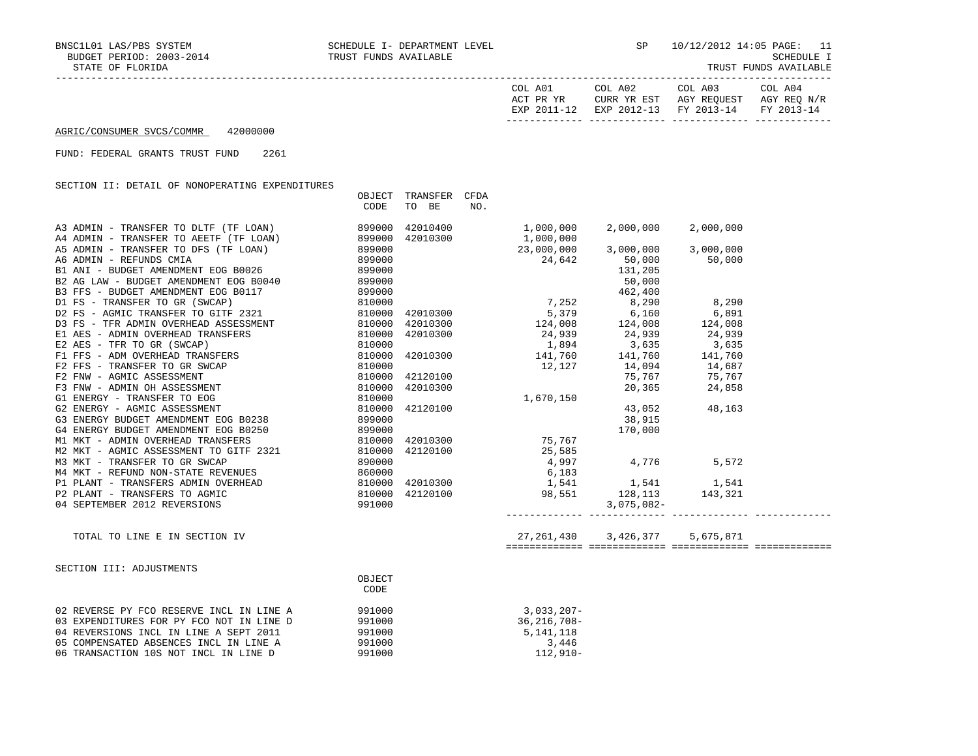| TRUST FUNDS AVAILABLE |  |  |
|-----------------------|--|--|
|-----------------------|--|--|

| COL A01<br>ACT PR YR<br>12–2011 PYD | COL A02<br>CURR YR EST<br>$2012 - 13$<br>F.XD | COL A03<br>AGY REQUEST<br>FY 2013-14 | COL A04<br>AGY REQ N/R<br>FY 2013-14 |
|-------------------------------------|-----------------------------------------------|--------------------------------------|--------------------------------------|
|                                     |                                               |                                      |                                      |

FUND: FEDERAL GRANTS TRUST FUND 2261

SECTION II: DETAIL OF NONOPERATING EXPENDITURES

|                                                                                                                                                                                | OBJECT<br>CODE | TRANSFER<br>TO BE | CFDA<br>NO. |                                                                                                                                                                                                                 |                                      |               |  |
|--------------------------------------------------------------------------------------------------------------------------------------------------------------------------------|----------------|-------------------|-------------|-----------------------------------------------------------------------------------------------------------------------------------------------------------------------------------------------------------------|--------------------------------------|---------------|--|
| A3 ADMIN - TRANSFER TO DLTF (TF LOAN) 899000<br>A4 ADMIN - TRANSFER TO AEETF (TF LOAN) 899000<br>A5 ADMIN - TRANSFER TO DFS (TF LOAN) 899000<br>A6 ADMIN - REFUNDS CMIA 899000 |                | 42010400          |             | 1,000,000                                                                                                                                                                                                       | 2,000,000                            | 2,000,000     |  |
|                                                                                                                                                                                |                | 42010300          |             |                                                                                                                                                                                                                 |                                      |               |  |
|                                                                                                                                                                                |                |                   |             | 1,000,000<br>$23,000,000$<br>$24,642$<br>$24,642$<br>50,000<br>50,000<br>50,000                                                                                                                                 |                                      |               |  |
|                                                                                                                                                                                |                |                   |             |                                                                                                                                                                                                                 |                                      |               |  |
| B1 ANI - BUDGET AMENDMENT EOG B0026 899000                                                                                                                                     |                |                   |             |                                                                                                                                                                                                                 |                                      |               |  |
|                                                                                                                                                                                |                |                   |             |                                                                                                                                                                                                                 |                                      |               |  |
|                                                                                                                                                                                |                |                   |             |                                                                                                                                                                                                                 |                                      |               |  |
|                                                                                                                                                                                |                |                   |             |                                                                                                                                                                                                                 |                                      |               |  |
|                                                                                                                                                                                |                |                   |             |                                                                                                                                                                                                                 |                                      |               |  |
|                                                                                                                                                                                |                |                   |             | $124,008$ $124,008$ $124,008$ $124,008$ $124,008$                                                                                                                                                               |                                      |               |  |
|                                                                                                                                                                                |                |                   |             |                                                                                                                                                                                                                 |                                      |               |  |
|                                                                                                                                                                                |                |                   |             | $\begin{array}{cccccc} 42010300 & & & & 24\,,939 & & & 24\,,939 & & & 24\,,939 \\ 42010300 & & & & & 1,894 & & 3\,,635 & & 3\,,635 \\ 42010300 & & & & & 141\,,760 & & & 141\,,760 & & & 141\,,760 \end{array}$ |                                      |               |  |
|                                                                                                                                                                                |                |                   |             |                                                                                                                                                                                                                 |                                      |               |  |
|                                                                                                                                                                                |                |                   |             | $12,127$ $14,094$ $14,687$                                                                                                                                                                                      |                                      |               |  |
|                                                                                                                                                                                |                |                   |             |                                                                                                                                                                                                                 | 75,767 75,767                        |               |  |
|                                                                                                                                                                                |                |                   |             | $\begin{array}{cc} 42120100 & & & 12,127 \\ 42010300 & & & 1,670,150 \\ 42120100 & & & 1,670,150 \\ 42010300 & & & 75,767 \\ 42120100 & & & 25,585 \\ 42120100 & & & 25,875 \\ \end{array}$                     | 20,365 24,858                        |               |  |
|                                                                                                                                                                                |                |                   |             |                                                                                                                                                                                                                 |                                      |               |  |
|                                                                                                                                                                                |                |                   |             |                                                                                                                                                                                                                 |                                      | 43,052 48,163 |  |
| G3 ENERGY BUDGET AMENDMENT EOG B0238 899000                                                                                                                                    |                |                   |             |                                                                                                                                                                                                                 | 38,915                               |               |  |
|                                                                                                                                                                                |                |                   |             |                                                                                                                                                                                                                 | 170,000                              |               |  |
|                                                                                                                                                                                |                |                   |             |                                                                                                                                                                                                                 |                                      |               |  |
|                                                                                                                                                                                |                |                   |             |                                                                                                                                                                                                                 |                                      |               |  |
|                                                                                                                                                                                |                |                   |             | $4,997$ $4,776$ $5,572$                                                                                                                                                                                         |                                      |               |  |
|                                                                                                                                                                                |                |                   |             |                                                                                                                                                                                                                 |                                      |               |  |
|                                                                                                                                                                                |                |                   |             |                                                                                                                                                                                                                 |                                      |               |  |
|                                                                                                                                                                                |                |                   |             |                                                                                                                                                                                                                 |                                      |               |  |
|                                                                                                                                                                                |                |                   |             |                                                                                                                                                                                                                 |                                      |               |  |
| TOTAL TO LINE E IN SECTION IV                                                                                                                                                  |                |                   |             |                                                                                                                                                                                                                 | 27, 261, 430 3, 426, 377 5, 675, 871 |               |  |
|                                                                                                                                                                                |                |                   |             |                                                                                                                                                                                                                 |                                      |               |  |
| SECTION III: ADJUSTMENTS                                                                                                                                                       |                |                   |             |                                                                                                                                                                                                                 |                                      |               |  |
|                                                                                                                                                                                | OBJECT         |                   |             |                                                                                                                                                                                                                 |                                      |               |  |
|                                                                                                                                                                                | CODE           |                   |             |                                                                                                                                                                                                                 |                                      |               |  |
| 02 REVERSE PY FCO RESERVE INCL IN LINE A                                                                                                                                       | 991000         |                   |             | $3,033,207-$                                                                                                                                                                                                    |                                      |               |  |
| 03 EXPENDITURES FOR PY FCO NOT IN LINE D                                                                                                                                       | 991000         |                   |             | 36,216,708-                                                                                                                                                                                                     |                                      |               |  |
| 04 REVERSIONS INCL IN LINE A SEPT 2011                                                                                                                                         | 991000         |                   |             | 5, 141, 118                                                                                                                                                                                                     |                                      |               |  |

 05 COMPENSATED ABSENCES INCL IN LINE A 991000 3,446 06 TRANSACTION 10S NOT INCL IN LINE D 991000 991000 112,910-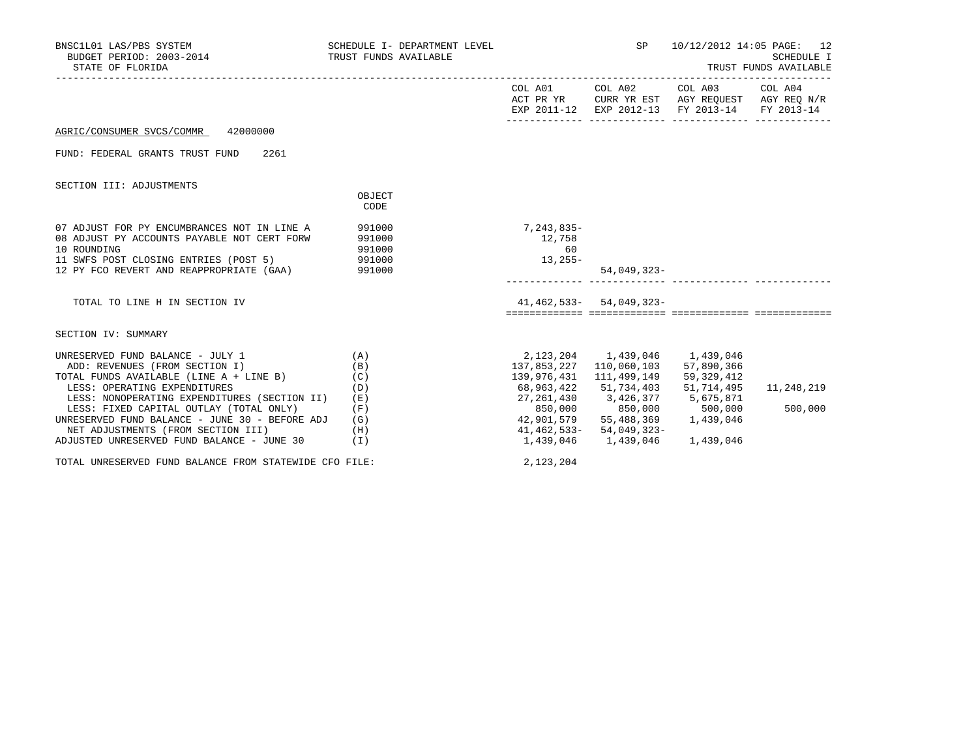| BNSC1L01 LAS/PBS SYSTEM<br>BUDGET PERIOD: 2003-2014<br>STATE OF FLORIDA                                                                                                                               | SCHEDULE I- DEPARTMENT LEVEL<br>TRUST FUNDS AVAILABLE |                                         | SP                                                                                                                                             | 10/12/2012 14:05 PAGE: 12<br><b>SCHEDULE I</b><br>TRUST FUNDS AVAILABLE                                           |            |  |  |
|-------------------------------------------------------------------------------------------------------------------------------------------------------------------------------------------------------|-------------------------------------------------------|-----------------------------------------|------------------------------------------------------------------------------------------------------------------------------------------------|-------------------------------------------------------------------------------------------------------------------|------------|--|--|
|                                                                                                                                                                                                       |                                                       |                                         | COL A01 COL A02                                                                                                                                | COL A03 COL A04<br>ACT PR YR CURR YR EST AGY REQUEST AGY REQ N/R<br>EXP 2011-12 EXP 2012-13 FY 2013-14 FY 2013-14 |            |  |  |
| AGRIC/CONSUMER SVCS/COMMR<br>42000000                                                                                                                                                                 |                                                       |                                         |                                                                                                                                                |                                                                                                                   |            |  |  |
| FUND: FEDERAL GRANTS TRUST FUND<br>2261                                                                                                                                                               |                                                       |                                         |                                                                                                                                                |                                                                                                                   |            |  |  |
| SECTION III: ADJUSTMENTS                                                                                                                                                                              |                                                       |                                         |                                                                                                                                                |                                                                                                                   |            |  |  |
|                                                                                                                                                                                                       | OBJECT<br>CODE                                        |                                         |                                                                                                                                                |                                                                                                                   |            |  |  |
| 07 ADJUST FOR PY ENCUMBRANCES NOT IN LINE A<br>08 ADJUST PY ACCOUNTS PAYABLE NOT CERT FORW<br>10 ROUNDING<br>11 SWFS POST CLOSING ENTRIES (POST 5) 991000<br>12 PY FCO REVERT AND REAPPROPRIATE (GAA) | 991000<br>991000<br>991000<br>991000                  | 7,243,835-<br>12,758<br>60<br>$13,255-$ | 54,049,323-                                                                                                                                    |                                                                                                                   |            |  |  |
| TOTAL TO LINE H IN SECTION IV                                                                                                                                                                         |                                                       |                                         | $41, 462, 533 - 54, 049, 323 -$                                                                                                                |                                                                                                                   |            |  |  |
| SECTION IV: SUMMARY                                                                                                                                                                                   |                                                       |                                         |                                                                                                                                                |                                                                                                                   |            |  |  |
| UNRESERVED FUND BALANCE - JULY 1<br>ADD: REVENUES (FROM SECTION I)<br>TOTAL FUNDS AVAILABLE (LINE A + LINE B)<br>LESS: OPERATING EXPENDITURES<br>LESS: NONOPERATING EXPENDITURES (SECTION II)         | (A)<br>(B)<br>(C)<br>(D)<br>(E)                       | 68,963,422<br>27,261,430                | 2,123,204 1,439,046 1,439,046<br>137,853,227 110,060,103 57,890,366<br>139,976,431 111,499,149<br>51,734,403 51,714,495<br>3,426,377 5,675,871 | 59,329,412                                                                                                        | 11,248,219 |  |  |
| LESS: FIXED CAPITAL OUTLAY (TOTAL ONLY)<br>UNRESERVED FUND BALANCE - JUNE 30 - BEFORE ADJ<br>NET ADJUSTMENTS (FROM SECTION III)<br>ADJUSTED UNRESERVED FUND BALANCE - JUNE 30                         | (F)<br>(G)<br>(H)<br>(I)                              | 850,000<br>42,901,579<br>1,439,046      | 850,000 500,000<br>$41, 462, 533 - 54, 049, 323 -$<br>1,439,046                                                                                | 55,488,369 1,439,046<br>1,439,046                                                                                 | 500,000    |  |  |
| TOTAL UNRESERVED FUND BALANCE FROM STATEWIDE CFO FILE:                                                                                                                                                |                                                       | 2,123,204                               |                                                                                                                                                |                                                                                                                   |            |  |  |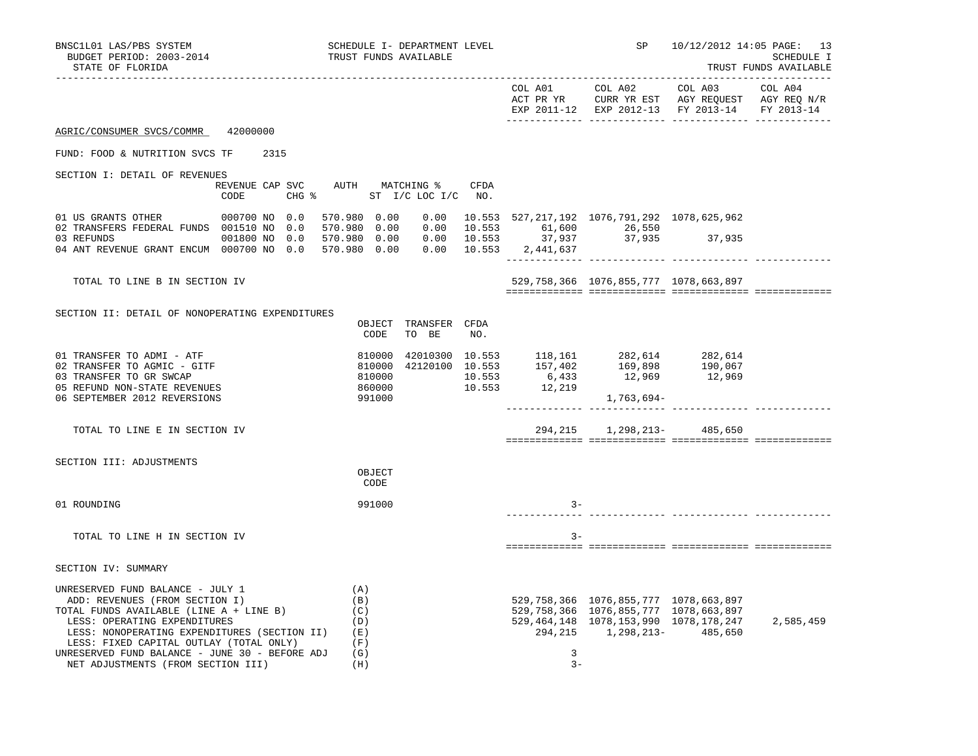|                                                                                                                                                                                                                                          |                                   |                  |                               |     |       |                                                                                                                                                                   | ACT PR YR CURR YR EST AGY REQUEST AGY REQ N/R<br>EXP 2011-12 EXP 2012-13 FY 2013-14 FY 2013-14 |           |
|------------------------------------------------------------------------------------------------------------------------------------------------------------------------------------------------------------------------------------------|-----------------------------------|------------------|-------------------------------|-----|-------|-------------------------------------------------------------------------------------------------------------------------------------------------------------------|------------------------------------------------------------------------------------------------|-----------|
| AGRIC/CONSUMER SVCS/COMMR 42000000                                                                                                                                                                                                       |                                   |                  |                               |     |       |                                                                                                                                                                   |                                                                                                |           |
| FUND: FOOD & NUTRITION SVCS TF 2315                                                                                                                                                                                                      |                                   |                  |                               |     |       |                                                                                                                                                                   |                                                                                                |           |
| SECTION I: DETAIL OF REVENUES<br>REVENUE CAP SVC AUTH MATCHING % CFDA<br>CODE                                                                                                                                                            | CHG $\text{S}$ ST I/C LOC I/C NO. |                  |                               |     |       |                                                                                                                                                                   |                                                                                                |           |
| 01 US GRANTS OTHER 000700 NO 0.0 570.980 0.00 0.00 10.553 527,217,192 1076,791,292 1078,625,962                                                                                                                                          |                                   |                  |                               |     |       |                                                                                                                                                                   |                                                                                                |           |
| 02 TRANSFERS FEDERAL FUNDS 001510 NO 0.0 570.980 0.00 0.00 10.553 61,600 26,550<br>03 REFUNDS 001800 NO 0.0 570.980 0.00 0.00 10.553 37,937 37,935 37,935<br>04 ANT REVENUE GRANT ENCUM 000700 NO 0.0 570.980 0.00 0.00 10.553 2,441,637 |                                   |                  |                               |     |       |                                                                                                                                                                   |                                                                                                |           |
| TOTAL TO LINE B IN SECTION IV                                                                                                                                                                                                            |                                   |                  |                               |     |       | 529, 758, 366 1076, 855, 777 1078, 663, 897                                                                                                                       |                                                                                                |           |
| SECTION II: DETAIL OF NONOPERATING EXPENDITURES                                                                                                                                                                                          |                                   |                  |                               |     |       |                                                                                                                                                                   |                                                                                                |           |
|                                                                                                                                                                                                                                          |                                   | CODE             | OBJECT TRANSFER CFDA<br>TO BE | NO. |       |                                                                                                                                                                   |                                                                                                |           |
| 01 TRANSFER TO ADMI - ATF<br>02 TRANSFER TO AGMIC - GITF                                                                                                                                                                                 |                                   |                  |                               |     |       |                                                                                                                                                                   |                                                                                                |           |
| 03 TRANSFER TO GR SWCAP                                                                                                                                                                                                                  |                                   |                  |                               |     |       |                                                                                                                                                                   |                                                                                                |           |
| 05 REFUND NON-STATE REVENUES<br>06 SEPTEMBER 2012 REVERSIONS                                                                                                                                                                             |                                   | 860000<br>991000 |                               |     |       | 1,763,694-                                                                                                                                                        |                                                                                                |           |
| TOTAL TO LINE E IN SECTION IV                                                                                                                                                                                                            |                                   |                  |                               |     |       | 294, 215 1, 298, 213- 485, 650                                                                                                                                    |                                                                                                |           |
| SECTION III: ADJUSTMENTS                                                                                                                                                                                                                 |                                   |                  |                               |     |       |                                                                                                                                                                   |                                                                                                |           |
|                                                                                                                                                                                                                                          |                                   | OBJECT<br>CODE   |                               |     |       |                                                                                                                                                                   |                                                                                                |           |
| 01 ROUNDING                                                                                                                                                                                                                              |                                   | 991000           |                               |     | $3 -$ |                                                                                                                                                                   |                                                                                                |           |
| TOTAL TO LINE H IN SECTION IV                                                                                                                                                                                                            |                                   |                  |                               |     | $3 -$ |                                                                                                                                                                   |                                                                                                |           |
| SECTION IV: SUMMARY                                                                                                                                                                                                                      |                                   |                  |                               |     |       |                                                                                                                                                                   |                                                                                                |           |
| UNRESERVED FUND BALANCE - JULY 1<br>ADD: REVENUES (FROM SECTION I)<br>TOTAL FUNDS AVAILABLE (LINE A + LINE B)<br>LESS: OPERATING EXPENDITURES<br>LESS: NONOPERATING EXPENDITURES (SECTION II) (E)                                        | (A)<br>(B)<br>(C)<br>(D)          |                  |                               |     |       | 529, 758, 366 1076, 855, 777 1078, 663, 897<br>529,758,366 1076,855,777 1078,663,897<br>529, 464, 148 1078, 153, 990 1078, 178, 247<br>294,215 1,298,213- 485,650 |                                                                                                | 2,585,459 |
| LESS: FIXED CAPITAL OUTLAY (TOTAL ONLY)<br>UNRESERVED FUND BALANCE - JUNE 30 - BEFORE ADJ                                                                                                                                                | (F)<br>(G)                        |                  |                               |     | 3     |                                                                                                                                                                   |                                                                                                |           |
| NET ADJUSTMENTS (FROM SECTION III)                                                                                                                                                                                                       | (H)                               |                  |                               |     | $3 -$ |                                                                                                                                                                   |                                                                                                |           |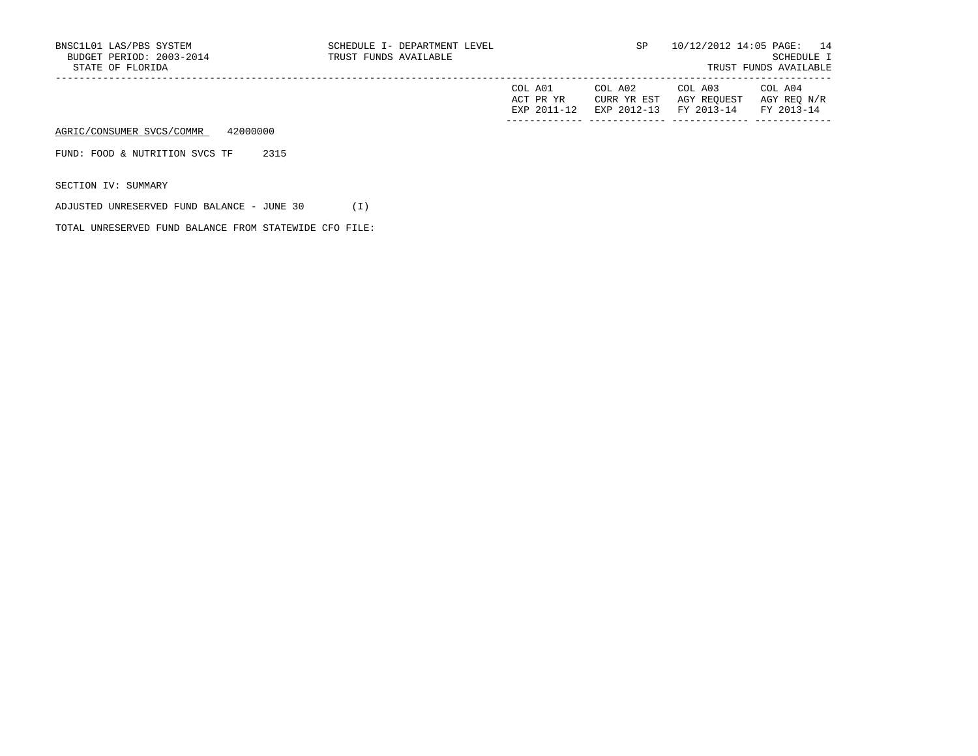| BNSC1L01 LAS/PBS SYSTEM<br>BUDGET PERIOD: 2003-2014<br>STATE OF FLORIDA | SCHEDULE I- DEPARTMENT LEVEL<br>TRUST FUNDS AVAILABLE |                                     | SP                                    |                                      | 10/12/2012 14:05 PAGE: 14<br>SCHEDULE I<br>TRUST FUNDS AVAILABLE |
|-------------------------------------------------------------------------|-------------------------------------------------------|-------------------------------------|---------------------------------------|--------------------------------------|------------------------------------------------------------------|
|                                                                         |                                                       | COL A01<br>ACT PR YR<br>EXP 2011-12 | COL A02<br>CURR YR EST<br>EXP 2012-13 | COL A03<br>AGY REOUEST<br>FY 2013-14 | COL A04<br>AGY REO N/R<br>FY 2013-14                             |
| 42000000<br>AGRIC/CONSUMER SVCS/COMMR                                   |                                                       |                                     |                                       |                                      |                                                                  |
| 2315<br>FUND: FOOD & NUTRITION SVCS TF                                  |                                                       |                                     |                                       |                                      |                                                                  |
| SECTION IV: SUMMARY                                                     |                                                       |                                     |                                       |                                      |                                                                  |

ADJUSTED UNRESERVED FUND BALANCE - JUNE 30 (I)

TOTAL UNRESERVED FUND BALANCE FROM STATEWIDE CFO FILE: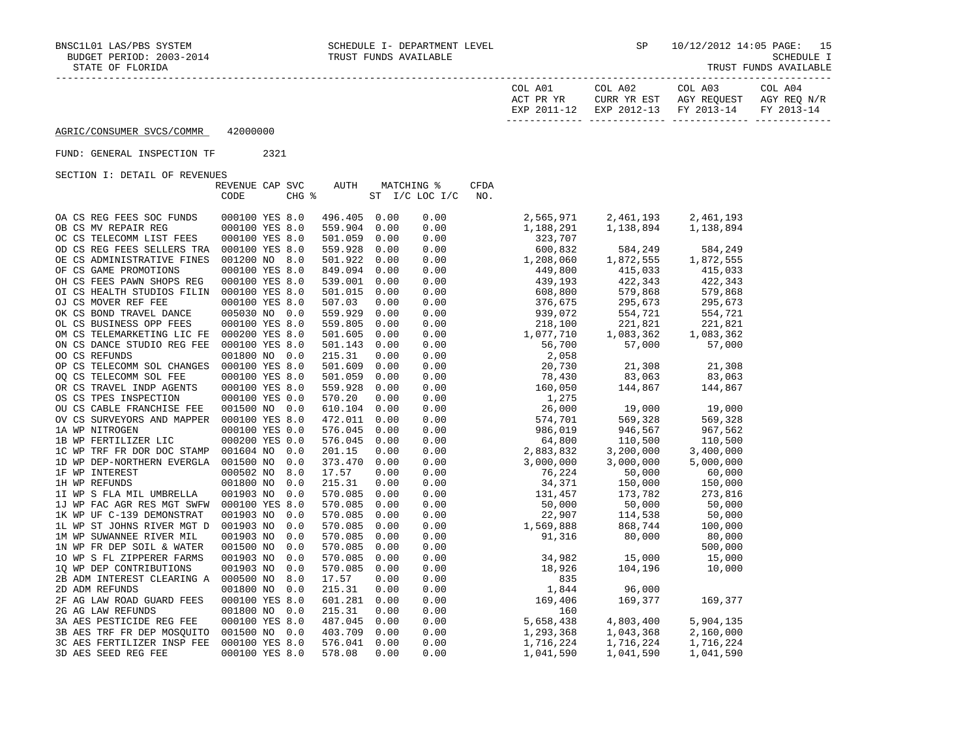| COL A01      | $\sim$ 0L a02             | COL A03                | $70T$ .<br>A04    |
|--------------|---------------------------|------------------------|-------------------|
| አ ጦ<br>סע סם | CURR YR EST               | <b>DEOIIECT</b><br>AGY | N/R<br>AGY REO    |
| FYD          | $2012 - 12$<br><b>TYD</b> | FV 2013-14             | FУ<br>$2013 - 14$ |

------------- ------------- ------------- -------------

AGRIC/CONSUMER SVCS/COMMR 42000000

## FUND: GENERAL INSPECTION TF 2321

|                            | REVENUE CAP SVC |       | AUTH    |      | <b>MATCHING %</b> | <b>CFDA</b> |           |           |           |
|----------------------------|-----------------|-------|---------|------|-------------------|-------------|-----------|-----------|-----------|
|                            | CODE            | CHG % |         |      | ST I/C LOC I/C    | NO.         |           |           |           |
| OA CS REG FEES SOC FUNDS   | 000100 YES 8.0  |       | 496.405 | 0.00 | 0.00              |             | 2,565,971 | 2,461,193 | 2,461,193 |
| OB CS MV REPAIR REG        | 000100 YES 8.0  |       | 559.904 | 0.00 | 0.00              |             | 1,188,291 | 1,138,894 | 1,138,894 |
| OC CS TELECOMM LIST FEES   | 000100 YES 8.0  |       | 501.059 | 0.00 | 0.00              |             | 323,707   |           |           |
| OD CS REG FEES SELLERS TRA | 000100 YES 8.0  |       | 559.928 | 0.00 | 0.00              |             | 600,832   | 584,249   | 584,249   |
| OE CS ADMINISTRATIVE FINES | 001200 NO 8.0   |       | 501.922 | 0.00 | 0.00              |             | 1,208,060 | 1,872,555 | 1,872,555 |
| OF CS GAME PROMOTIONS      | 000100 YES 8.0  |       | 849.094 | 0.00 | 0.00              |             | 449,800   | 415,033   | 415,033   |
| OH CS FEES PAWN SHOPS REG  | 000100 YES 8.0  |       | 539.001 | 0.00 | 0.00              |             | 439,193   | 422,343   | 422,343   |
| OI CS HEALTH STUDIOS FILIN | 000100 YES 8.0  |       | 501.015 | 0.00 | 0.00              |             | 608,800   | 579,868   | 579,868   |
| OJ CS MOVER REF FEE        | 000100 YES 8.0  |       | 507.03  | 0.00 | 0.00              |             | 376,675   | 295,673   | 295,673   |
| OK CS BOND TRAVEL DANCE    | 005030 NO 0.0   |       | 559.929 | 0.00 | 0.00              |             | 939,072   | 554,721   | 554,721   |
| OL CS BUSINESS OPP FEES    | 000100 YES 8.0  |       | 559.805 | 0.00 | 0.00              |             | 218,100   | 221,821   | 221,821   |
| OM CS TELEMARKETING LIC FE | 000200 YES 8.0  |       | 501.605 | 0.00 | 0.00              |             | 1,077,710 | 1,083,362 | 1,083,362 |
| ON CS DANCE STUDIO REG FEE | 000100 YES 8.0  |       | 501.143 | 0.00 | 0.00              |             | 56,700    | 57,000    | 57,000    |
| OO CS REFUNDS              | 001800 NO 0.0   |       | 215.31  | 0.00 | 0.00              |             | 2,058     |           |           |
| OP CS TELECOMM SOL CHANGES | 000100 YES 8.0  |       | 501.609 | 0.00 | 0.00              |             | 20,730    | 21,308    | 21,308    |
| OQ CS TELECOMM SOL FEE     | 000100 YES 8.0  |       | 501.059 | 0.00 | 0.00              |             | 78,430    | 83,063    | 83,063    |
| OR CS TRAVEL INDP AGENTS   | 000100 YES 8.0  |       | 559.928 | 0.00 | 0.00              |             | 160,050   | 144,867   | 144,867   |
| OS CS TPES INSPECTION      | 000100 YES 0.0  |       | 570.20  | 0.00 | 0.00              |             | 1,275     |           |           |
| OU CS CABLE FRANCHISE FEE  | 001500 NO 0.0   |       | 610.104 | 0.00 | 0.00              |             | 26,000    | 19,000    | 19,000    |
| OV CS SURVEYORS AND MAPPER | 000100 YES 8.0  |       | 472.011 | 0.00 | 0.00              |             | 574,701   | 569,328   | 569,328   |
| 1A WP NITROGEN             | 000100 YES 0.0  |       | 576.045 | 0.00 | 0.00              |             | 986,019   | 946,567   | 967,562   |
| 1B WP FERTILIZER LIC       | 000200 YES 0.0  |       | 576.045 | 0.00 | 0.00              |             | 64,800    | 110,500   | 110,500   |
| 1C WP TRF FR DOR DOC STAMP | 001604 NO       | 0.0   | 201.15  | 0.00 | 0.00              |             | 2,883,832 | 3,200,000 | 3,400,000 |
| 1D WP DEP-NORTHERN EVERGLA | 001500 NO       | 0.0   | 373.470 | 0.00 | 0.00              |             | 3,000,000 | 3,000,000 | 5,000,000 |
| 1F WP INTEREST             | 000502 NO       | 8.0   | 17.57   | 0.00 | 0.00              |             | 76,224    | 50,000    | 60,000    |
| 1H WP REFUNDS              | 001800 NO       | 0.0   | 215.31  | 0.00 | 0.00              |             | 34,371    | 150,000   | 150,000   |
| 1I WP S FLA MIL UMBRELLA   | 001903 NO       | 0.0   | 570.085 | 0.00 | 0.00              |             | 131,457   | 173,782   | 273,816   |
| 1J WP FAC AGR RES MGT SWFW | 000100 YES 8.0  |       | 570.085 | 0.00 | 0.00              |             | 50,000    | 50,000    | 50,000    |
| 1K WP UF C-139 DEMONSTRAT  | 001903 NO       | 0.0   | 570.085 | 0.00 | 0.00              |             | 22,907    | 114,538   | 50,000    |
| 1L WP ST JOHNS RIVER MGT D | 001903 NO       | 0.0   | 570.085 | 0.00 | 0.00              |             | 1,569,888 | 868,744   | 100,000   |
| 1M WP SUWANNEE RIVER MIL   | 001903 NO       | 0.0   | 570.085 | 0.00 | 0.00              |             | 91,316    | 80,000    | 80,000    |
| 1N WP FR DEP SOIL & WATER  | 001500 NO       | 0.0   | 570.085 | 0.00 | 0.00              |             |           |           | 500,000   |
| 10 WP S FL ZIPPERER FARMS  | 001903 NO       | 0.0   | 570.085 | 0.00 | 0.00              |             | 34,982    | 15,000    | 15,000    |
| 10 WP DEP CONTRIBUTIONS    | 001903 NO       | 0.0   | 570.085 | 0.00 | 0.00              |             | 18,926    | 104,196   | 10,000    |
| 2B ADM INTEREST CLEARING A | 000500 NO       | 8.0   | 17.57   | 0.00 | 0.00              |             | 835       |           |           |
| 2D ADM REFUNDS             | 001800 NO       | 0.0   | 215.31  | 0.00 | 0.00              |             | 1,844     | 96,000    |           |
| 2F AG LAW ROAD GUARD FEES  | 000100 YES 8.0  |       | 601.281 | 0.00 | 0.00              |             | 169,406   | 169,377   | 169,377   |
| 2G AG LAW REFUNDS          | 001800 NO       | 0.0   | 215.31  | 0.00 | 0.00              |             | 160       |           |           |
| 3A AES PESTICIDE REG FEE   | 000100 YES 8.0  |       | 487.045 | 0.00 | 0.00              |             | 5,658,438 | 4,803,400 | 5,904,135 |
| 3B AES TRF FR DEP MOSOUITO | 001500 NO       | 0.0   | 403.709 | 0.00 | 0.00              |             | 1,293,368 | 1,043,368 | 2,160,000 |
| 3C AES FERTILIZER INSP FEE | 000100 YES 8.0  |       | 576.041 | 0.00 | 0.00              |             | 1,716,224 | 1,716,224 | 1,716,224 |
| 3D AES SEED REG FEE        | 000100 YES 8.0  |       | 578.08  | 0.00 | 0.00              |             | 1,041,590 | 1,041,590 | 1,041,590 |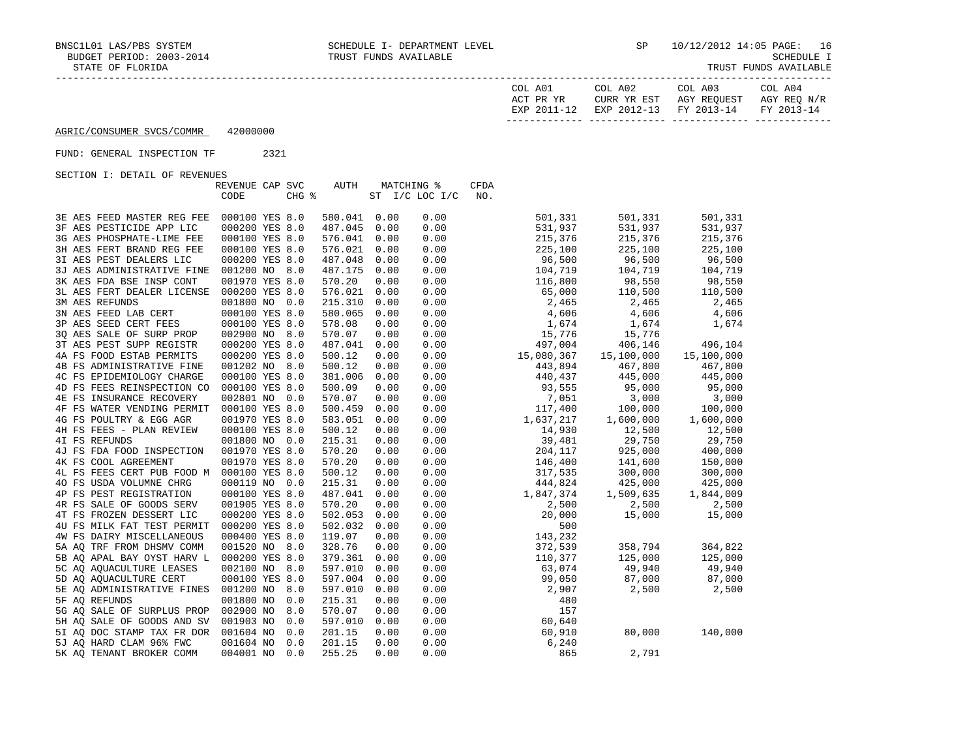| COL A01      | $\sim$ 0L a02             | COL A03                | $70T$ .<br>A04    |
|--------------|---------------------------|------------------------|-------------------|
| አ ጦ<br>סע סם | CURR YR EST               | <b>DEOIIECT</b><br>AGY | N/R<br>AGY REO    |
| FYD          | $2012 - 12$<br><b>TYD</b> | FV 2013-14             | FУ<br>$2013 - 14$ |

------------- ------------- ------------- -------------

## AGRIC/CONSUMER SVCS/COMMR 42000000

#### FUND: GENERAL INSPECTION TF 2321

|                                           | REVENUE CAP SVC |       | AUTH    |      | <b>MATCHING %</b> | <b>CFDA</b> |            |            |            |
|-------------------------------------------|-----------------|-------|---------|------|-------------------|-------------|------------|------------|------------|
|                                           | CODE            | CHG % |         |      | ST I/C LOC I/C    | NO.         |            |            |            |
| 3E AES FEED MASTER REG FEE                | 000100 YES 8.0  |       | 580.041 | 0.00 | 0.00              |             | 501,331    | 501,331    | 501,331    |
| 3F AES PESTICIDE APP LIC                  | 000200 YES 8.0  |       | 487.045 | 0.00 | 0.00              |             | 531,937    | 531,937    | 531,937    |
| 3G AES PHOSPHATE-LIME FEE                 | 000100 YES 8.0  |       | 576.041 | 0.00 | 0.00              |             | 215,376    | 215,376    | 215,376    |
| 3H AES FERT BRAND REG FEE                 | 000100 YES 8.0  |       | 576.021 | 0.00 | 0.00              |             | 225,100    | 225,100    | 225,100    |
| 3I AES PEST DEALERS LIC                   | 000200 YES 8.0  |       | 487.048 | 0.00 | 0.00              |             | 96,500     | 96,500     | 96,500     |
| 3J AES ADMINISTRATIVE FINE                | 001200 NO 8.0   |       | 487.175 | 0.00 | 0.00              |             | 104,719    | 104,719    | 104,719    |
| 3K AES FDA BSE INSP CONT                  | 001970 YES 8.0  |       | 570.20  | 0.00 | 0.00              |             | 116,800    | 98,550     | 98,550     |
| 3L AES FERT DEALER LICENSE                | 000200 YES 8.0  |       | 576.021 | 0.00 | 0.00              |             | 65,000     | 110,500    | 110,500    |
| <b>3M AES REFUNDS</b>                     | 001800 NO 0.0   |       | 215.310 | 0.00 | 0.00              |             | 2,465      | 2,465      | 2,465      |
| 3N AES FEED LAB CERT                      | 000100 YES 8.0  |       | 580.065 | 0.00 | 0.00              |             | 4,606      | 4,606      | 4,606      |
| 3P AES SEED CERT FEES                     | 000100 YES 8.0  |       | 578.08  | 0.00 | 0.00              |             | 1,674      | 1,674      | 1,674      |
| 30 AES SALE OF SURP PROP                  | 002900 NO 8.0   |       | 570.07  | 0.00 | 0.00              |             | 15,776     | 15,776     |            |
| 3T AES PEST SUPP REGISTR                  | 000200 YES 8.0  |       | 487.041 | 0.00 | 0.00              |             | 497,004    | 406,146    | 496,104    |
| 4A FS FOOD ESTAB PERMITS                  | 000200 YES 8.0  |       | 500.12  | 0.00 | 0.00              |             | 15,080,367 | 15,100,000 | 15,100,000 |
| 4B FS ADMINISTRATIVE FINE                 | 001202 NO 8.0   |       | 500.12  | 0.00 | 0.00              |             | 443,894    | 467,800    | 467,800    |
| 4C FS EPIDEMIOLOGY CHARGE                 | 000100 YES 8.0  |       | 381.006 | 0.00 | 0.00              |             | 440,437    | 445,000    | 445,000    |
| 4D FS FEES REINSPECTION CO                | 000100 YES 8.0  |       | 500.09  | 0.00 | 0.00              |             | 93,555     | 95,000     | 95,000     |
| 4E FS INSURANCE RECOVERY                  | 002801 NO 0.0   |       | 570.07  | 0.00 | 0.00              |             | 7,051      | 3,000      | 3,000      |
| 4F FS WATER VENDING PERMIT                | 000100 YES 8.0  |       | 500.459 | 0.00 | 0.00              |             | 117,400    | 100,000    | 100,000    |
| 4G FS POULTRY & EGG AGR                   | 001970 YES 8.0  |       | 583.051 | 0.00 | 0.00              |             | 1,637,217  | 1,600,000  | 1,600,000  |
| 4H FS FEES - PLAN REVIEW                  | 000100 YES 8.0  |       | 500.12  | 0.00 | 0.00              |             | 14,930     | 12,500     | 12,500     |
| 4I FS REFUNDS                             | 001800 NO 0.0   |       | 215.31  | 0.00 | 0.00              |             | 39,481     | 29,750     | 29,750     |
| 4J FS FDA FOOD INSPECTION                 | 001970 YES 8.0  |       | 570.20  | 0.00 | 0.00              |             | 204,117    | 925,000    | 400,000    |
| 4K FS COOL AGREEMENT                      | 001970 YES 8.0  |       | 570.20  | 0.00 | 0.00              |             | 146,400    | 141,600    | 150,000    |
| 4L FS FEES CERT PUB FOOD M 000100 YES 8.0 |                 |       | 500.12  | 0.00 | 0.00              |             | 317,535    | 300,000    | 300,000    |
| 40 FS USDA VOLUMNE CHRG                   | 000119 NO 0.0   |       | 215.31  | 0.00 | 0.00              |             | 444,824    | 425,000    | 425,000    |
| 4P FS PEST REGISTRATION                   | 000100 YES 8.0  |       | 487.041 | 0.00 | 0.00              |             | 1,847,374  | 1,509,635  | 1,844,009  |
| 4R FS SALE OF GOODS SERV                  | 001905 YES 8.0  |       | 570.20  | 0.00 | 0.00              |             | 2,500      | 2,500      | 2,500      |
| 4T FS FROZEN DESSERT LIC                  | 000200 YES 8.0  |       | 502.053 | 0.00 | 0.00              |             | 20,000     | 15,000     | 15,000     |
| 4U FS MILK FAT TEST PERMIT                | 000200 YES 8.0  |       | 502.032 | 0.00 | 0.00              |             | 500        |            |            |
| 4W FS DAIRY MISCELLANEOUS                 | 000400 YES 8.0  |       | 119.07  | 0.00 | 0.00              |             | 143,232    |            |            |
| 5A AO TRF FROM DHSMV COMM                 | 001520 NO 8.0   |       | 328.76  | 0.00 | 0.00              |             | 372,539    | 358,794    | 364,822    |
| 5B AQ APAL BAY OYST HARV L                | 000200 YES 8.0  |       | 379.361 | 0.00 | 0.00              |             | 110,377    | 125,000    | 125,000    |
| 5C AQ AQUACULTURE LEASES                  | 002100 NO 8.0   |       | 597.010 | 0.00 | 0.00              |             | 63,074     | 49,940     | 49,940     |
| 5D AO AOUACULTURE CERT                    | 000100 YES 8.0  |       | 597.004 | 0.00 | 0.00              |             | 99,050     | 87,000     | 87,000     |
| 5E AQ ADMINISTRATIVE FINES                | 001200 NO       | 8.0   | 597.010 | 0.00 | 0.00              |             | 2,907      | 2,500      | 2,500      |
| 5F AQ REFUNDS                             | 001800 NO       | 0.0   | 215.31  | 0.00 | 0.00              |             | 480        |            |            |
| 5G AO SALE OF SURPLUS PROP                | 002900 NO       | 8.0   | 570.07  | 0.00 | 0.00              |             | 157        |            |            |
| 5H AQ SALE OF GOODS AND SV                | 001903 NO       | 0.0   | 597.010 | 0.00 | 0.00              |             | 60,640     |            |            |
| 5I AO DOC STAMP TAX FR DOR                | 001604 NO       | 0.0   | 201.15  | 0.00 | 0.00              |             | 60,910     | 80,000     | 140,000    |
| 5J AQ HARD CLAM 96% FWC                   | 001604 NO       | 0.0   | 201.15  | 0.00 | 0.00              |             | 6,240      |            |            |
| 5K AO TENANT BROKER COMM                  | 004001 NO       | 0.0   | 255.25  | 0.00 | 0.00              |             | 865        | 2,791      |            |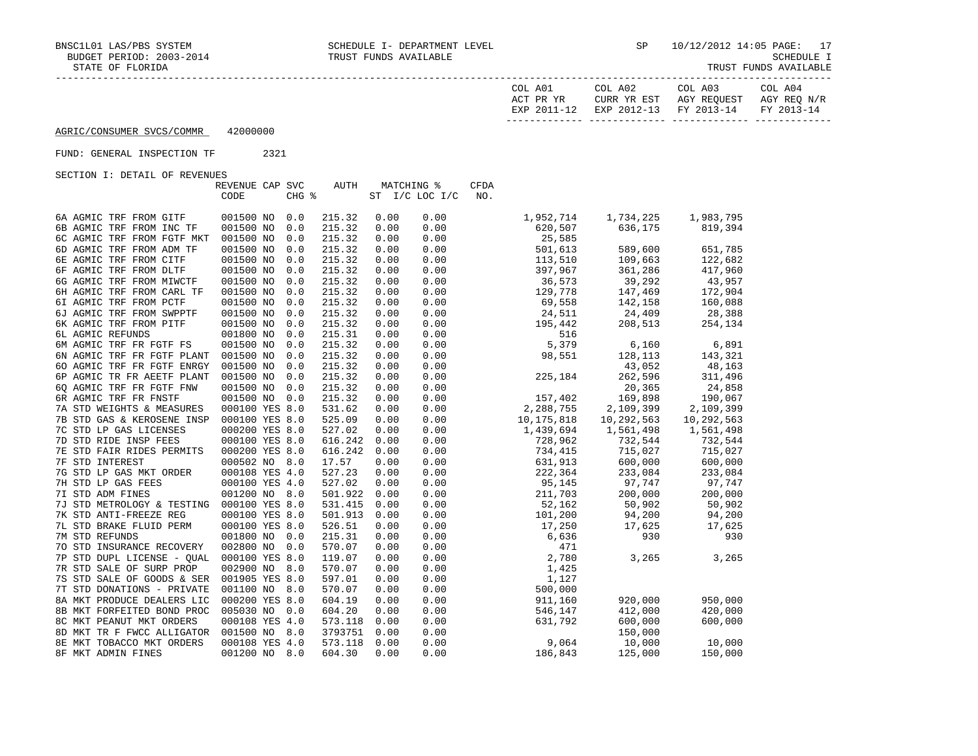| TRUST FUNDS AVAILABLE |
|-----------------------|
|-----------------------|

| COL A01   | COL A02                      | COL A03                  | COL A04                  |
|-----------|------------------------------|--------------------------|--------------------------|
| ACT PR YR | YR EST<br>CURR               | REOUEST<br>AGY           | AGY REO N/R              |
| FYD       | $2012 - 12$<br>EXP<br>$\sim$ | $2013 - 14$<br><b>DV</b> | $2013 - 14$<br><b>DV</b> |
|           |                              |                          |                          |

#### FUND: GENERAL INSPECTION TF 2321

|                            | REVENUE CAP SVC |     | AUTH    |      | MATCHING %     | <b>CFDA</b> |            |            |
|----------------------------|-----------------|-----|---------|------|----------------|-------------|------------|------------|
|                            | CODE            |     | CHG %   |      | ST I/C LOC I/C | NO.         |            |            |
| 6A AGMIC TRF FROM GITF     | 001500 NO       | 0.0 | 215.32  | 0.00 | 0.00           | 1,952,714   | 1,734,225  | 1,983,795  |
| 6B AGMIC TRF FROM INC TF   | 001500 NO       | 0.0 | 215.32  | 0.00 | 0.00           | 620,507     | 636,175    | 819,394    |
| 6C AGMIC TRF FROM FGTF MKT | 001500 NO       | 0.0 | 215.32  | 0.00 | 0.00           | 25,585      |            |            |
| 6D AGMIC TRF FROM ADM TF   | 001500 NO       | 0.0 | 215.32  | 0.00 | 0.00           | 501,613     | 589,600    | 651,785    |
| 6E AGMIC TRF FROM CITF     | 001500 NO       | 0.0 | 215.32  | 0.00 | 0.00           | 113,510     | 109,663    | 122,682    |
| 6F AGMIC TRF FROM DLTF     | 001500 NO       | 0.0 | 215.32  | 0.00 | 0.00           | 397,967     | 361,286    | 417,960    |
| 6G AGMIC TRF FROM MIWCTF   | 001500 NO       | 0.0 | 215.32  | 0.00 | 0.00           | 36,573      | 39,292     | 43,957     |
| 6H AGMIC TRF FROM CARL TF  | 001500 NO       | 0.0 | 215.32  | 0.00 | 0.00           | 129,778     | 147,469    | 172,904    |
| 61 AGMIC TRF FROM PCTF     | 001500 NO       | 0.0 | 215.32  | 0.00 | 0.00           | 69,558      | 142,158    | 160,088    |
| 6J AGMIC TRF FROM SWPPTF   | 001500 NO       | 0.0 | 215.32  | 0.00 | 0.00           | 24,511      | 24,409     | 28,388     |
| 6K AGMIC TRF FROM PITF     | 001500 NO       | 0.0 | 215.32  | 0.00 | 0.00           | 195,442     | 208,513    | 254,134    |
| 6L AGMIC REFUNDS           | 001800 NO       | 0.0 | 215.31  | 0.00 | 0.00           | 516         |            |            |
| 6M AGMIC TRF FR FGTF FS    | 001500 NO       | 0.0 | 215.32  | 0.00 | 0.00           | 5,379       | 6,160      | 6,891      |
| 6N AGMIC TRF FR FGTF PLANT | 001500 NO       | 0.0 | 215.32  | 0.00 | 0.00           | 98,551      | 128,113    | 143,321    |
| 60 AGMIC TRF FR FGTF ENRGY | 001500 NO       | 0.0 | 215.32  | 0.00 | 0.00           |             | 43,052     | 48,163     |
| 6P AGMIC TR FR AEETF PLANT | 001500 NO       | 0.0 | 215.32  | 0.00 | 0.00           | 225,184     | 262,596    | 311,496    |
| 60 AGMIC TRF FR FGTF FNW   | 001500 NO       | 0.0 | 215.32  | 0.00 | 0.00           |             | 20,365     | 24,858     |
| 6R AGMIC TRF FR FNSTF      | 001500 NO       | 0.0 | 215.32  | 0.00 | 0.00           | 157,402     | 169,898    | 190,067    |
| 7A STD WEIGHTS & MEASURES  | 000100 YES 8.0  |     | 531.62  | 0.00 | 0.00           | 2,288,755   | 2,109,399  | 2,109,399  |
| 7B STD GAS & KEROSENE INSP | 000100 YES 8.0  |     | 525.09  | 0.00 | 0.00           | 10,175,818  | 10,292,563 | 10,292,563 |
| 7C STD LP GAS LICENSES     | 000200 YES 8.0  |     | 527.02  | 0.00 | 0.00           | 1,439,694   | 1,561,498  | 1,561,498  |
| 7D STD RIDE INSP FEES      | 000100 YES 8.0  |     | 616.242 | 0.00 | 0.00           | 728,962     | 732,544    | 732,544    |
| 7E STD FAIR RIDES PERMITS  | 000200 YES 8.0  |     | 616.242 | 0.00 | 0.00           | 734,415     | 715,027    | 715,027    |
| 7F STD INTEREST            | 000502 NO 8.0   |     | 17.57   | 0.00 | 0.00           | 631,913     | 600,000    | 600,000    |
| 7G STD LP GAS MKT ORDER    | 000108 YES 4.0  |     | 527.23  | 0.00 | 0.00           | 222,364     | 233,084    | 233,084    |
| 7H STD LP GAS FEES         | 000100 YES 4.0  |     | 527.02  | 0.00 | 0.00           | 95,145      | 97,747     | 97,747     |
| 7I STD ADM FINES           | 001200 NO 8.0   |     | 501.922 | 0.00 | 0.00           | 211,703     | 200,000    | 200,000    |
| 7J STD METROLOGY & TESTING | 000100 YES 8.0  |     | 531.415 | 0.00 | 0.00           | 52,162      | 50,902     | 50,902     |
| 7K STD ANTI-FREEZE REG     | 000100 YES 8.0  |     | 501.913 | 0.00 | 0.00           | 101,200     | 94,200     | 94,200     |
| 7L STD BRAKE FLUID PERM    | 000100 YES 8.0  |     | 526.51  | 0.00 | 0.00           | 17,250      | 17,625     | 17,625     |
| 7M STD REFUNDS             | 001800 NO       | 0.0 | 215.31  | 0.00 | 0.00           | 6,636       | 930        | 930        |
| 70 STD INSURANCE RECOVERY  | 002800 NO       | 0.0 | 570.07  | 0.00 | 0.00           | 471         |            |            |
| 7P STD DUPL LICENSE - QUAL | 000100 YES 8.0  |     | 119.07  | 0.00 | 0.00           | 2,780       | 3,265      | 3,265      |
| 7R STD SALE OF SURP PROP   | 002900 NO 8.0   |     | 570.07  | 0.00 | 0.00           | 1,425       |            |            |
| 7S STD SALE OF GOODS & SER | 001905 YES 8.0  |     | 597.01  | 0.00 | 0.00           | 1,127       |            |            |
| 7T STD DONATIONS - PRIVATE | 001100 NO 8.0   |     | 570.07  | 0.00 | 0.00           | 500,000     |            |            |
| 8A MKT PRODUCE DEALERS LIC | 000200 YES 8.0  |     | 604.19  | 0.00 | 0.00           | 911,160     | 920,000    | 950,000    |
| 8B MKT FORFEITED BOND PROC | 005030 NO 0.0   |     | 604.20  | 0.00 | 0.00           | 546,147     | 412,000    | 420,000    |
| 8C MKT PEANUT MKT ORDERS   | 000108 YES 4.0  |     | 573.118 | 0.00 | 0.00           | 631,792     | 600,000    | 600,000    |
| 8D MKT TR F FWCC ALLIGATOR | 001500 NO 8.0   |     | 3793751 | 0.00 | 0.00           |             | 150,000    |            |
| 8E MKT TOBACCO MKT ORDERS  | 000108 YES 4.0  |     | 573.118 | 0.00 | 0.00           | 9,064       | 10,000     | 10,000     |
| 8F MKT ADMIN FINES         | 001200 NO       | 8.0 | 604.30  | 0.00 | 0.00           | 186,843     | 125,000    | 150,000    |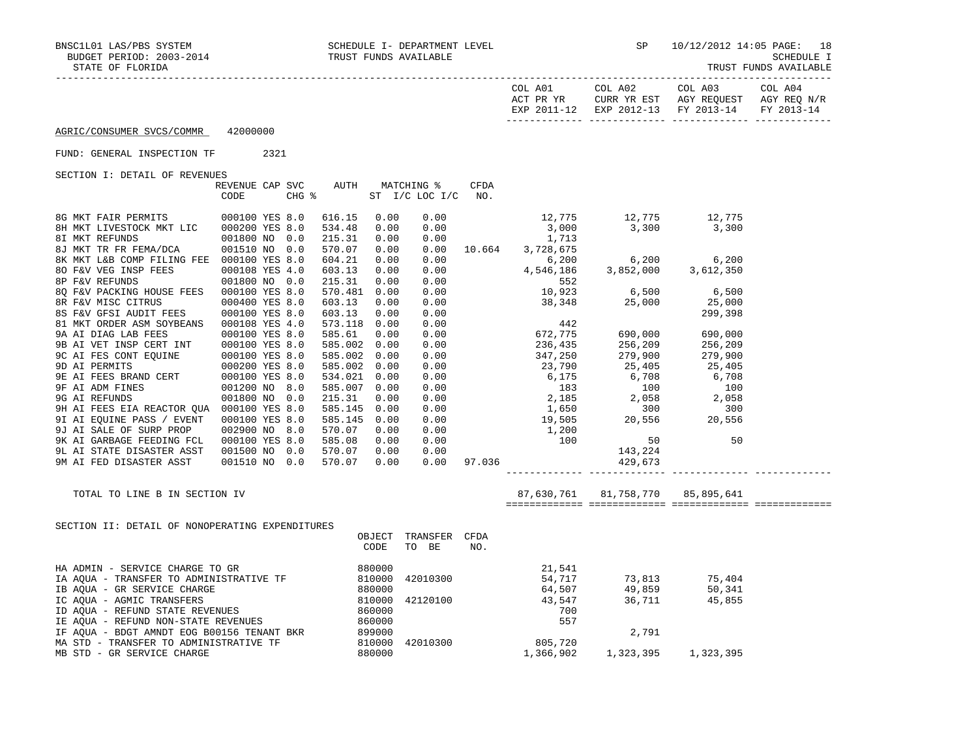|                                                 |                                         |             |      |                          |             |                                                                                                                                                         |                                  | EXP 2011-12 EXP 2012-13 FY 2013-14 FY 2013-14 |  |
|-------------------------------------------------|-----------------------------------------|-------------|------|--------------------------|-------------|---------------------------------------------------------------------------------------------------------------------------------------------------------|----------------------------------|-----------------------------------------------|--|
| AGRIC/CONSUMER SVCS/COMMR 42000000              |                                         |             |      |                          |             |                                                                                                                                                         |                                  |                                               |  |
| FUND: GENERAL INSPECTION TF 2321                |                                         |             |      |                          |             |                                                                                                                                                         |                                  |                                               |  |
| SECTION I: DETAIL OF REVENUES                   |                                         |             |      |                          |             |                                                                                                                                                         |                                  |                                               |  |
|                                                 | REVENUE CAP SVC AUTH MATCHING %<br>CODE |             |      | CHG % ST I/C LOC I/C NO. | <b>CFDA</b> |                                                                                                                                                         |                                  |                                               |  |
|                                                 |                                         | 616.15 0.00 |      | 0.00                     |             |                                                                                                                                                         |                                  |                                               |  |
|                                                 |                                         |             |      |                          |             | $\begin{array}{cccc} 12\,,775 & \quad & 12\,,775 & \quad & 12\,,775 \\ 3\,,000 & \quad & 3\,,300 & \quad & 3\,,300 \\ 1\,,713 & \quad & & \end{array}$  |                                  |                                               |  |
|                                                 |                                         |             |      |                          |             | $\begin{array}{cccc} 534.48 & 0.00 & 0.00 & & & & 3,000 \\ 215.31 & 0.00 & 0.00 & & & & 1,713 \\ 570.07 & 0.00 & 0.00 & 10.664 & 3,728,675 \end{array}$ |                                  |                                               |  |
|                                                 |                                         |             |      |                          |             |                                                                                                                                                         |                                  |                                               |  |
|                                                 |                                         |             |      |                          |             |                                                                                                                                                         |                                  |                                               |  |
|                                                 |                                         |             |      |                          |             |                                                                                                                                                         |                                  |                                               |  |
|                                                 |                                         |             |      |                          |             |                                                                                                                                                         |                                  |                                               |  |
|                                                 |                                         |             |      |                          |             |                                                                                                                                                         |                                  |                                               |  |
|                                                 |                                         |             |      |                          |             |                                                                                                                                                         |                                  |                                               |  |
|                                                 |                                         |             |      |                          |             |                                                                                                                                                         |                                  |                                               |  |
|                                                 |                                         |             |      |                          |             |                                                                                                                                                         |                                  |                                               |  |
|                                                 |                                         |             |      |                          |             |                                                                                                                                                         |                                  |                                               |  |
|                                                 |                                         |             |      |                          |             |                                                                                                                                                         |                                  |                                               |  |
|                                                 |                                         |             |      |                          |             |                                                                                                                                                         |                                  |                                               |  |
|                                                 |                                         |             |      |                          |             |                                                                                                                                                         |                                  |                                               |  |
|                                                 |                                         |             |      |                          |             |                                                                                                                                                         |                                  |                                               |  |
|                                                 |                                         |             |      |                          |             |                                                                                                                                                         |                                  |                                               |  |
|                                                 |                                         |             |      |                          |             |                                                                                                                                                         |                                  |                                               |  |
|                                                 |                                         |             |      |                          |             |                                                                                                                                                         |                                  |                                               |  |
|                                                 |                                         |             |      |                          |             |                                                                                                                                                         |                                  |                                               |  |
|                                                 |                                         |             |      |                          |             |                                                                                                                                                         |                                  |                                               |  |
|                                                 |                                         |             |      |                          |             |                                                                                                                                                         |                                  |                                               |  |
|                                                 |                                         |             |      |                          |             |                                                                                                                                                         |                                  |                                               |  |
| TOTAL TO LINE B IN SECTION IV                   |                                         |             |      |                          |             |                                                                                                                                                         | 87,630,761 81,758,770 85,895,641 |                                               |  |
|                                                 |                                         |             |      |                          |             |                                                                                                                                                         |                                  |                                               |  |
| SECTION II: DETAIL OF NONOPERATING EXPENDITURES |                                         |             |      | OBJECT TRANSFER CFDA     |             |                                                                                                                                                         |                                  |                                               |  |
|                                                 |                                         |             | CODE | TO BE                    | NO.         |                                                                                                                                                         |                                  |                                               |  |
|                                                 |                                         |             |      |                          |             |                                                                                                                                                         |                                  |                                               |  |
|                                                 |                                         |             |      |                          |             |                                                                                                                                                         |                                  |                                               |  |
|                                                 |                                         |             |      |                          |             |                                                                                                                                                         |                                  |                                               |  |
|                                                 |                                         |             |      |                          |             |                                                                                                                                                         |                                  |                                               |  |
|                                                 |                                         |             |      |                          |             |                                                                                                                                                         |                                  |                                               |  |
|                                                 |                                         |             |      |                          |             |                                                                                                                                                         |                                  |                                               |  |
|                                                 |                                         |             |      |                          |             |                                                                                                                                                         | 2,791                            |                                               |  |
|                                                 |                                         |             |      |                          |             |                                                                                                                                                         |                                  |                                               |  |
| MB STD - GR SERVICE CHARGE                      |                                         |             |      |                          |             | 1,366,902                                                                                                                                               |                                  | 1, 323, 395 1, 323, 395                       |  |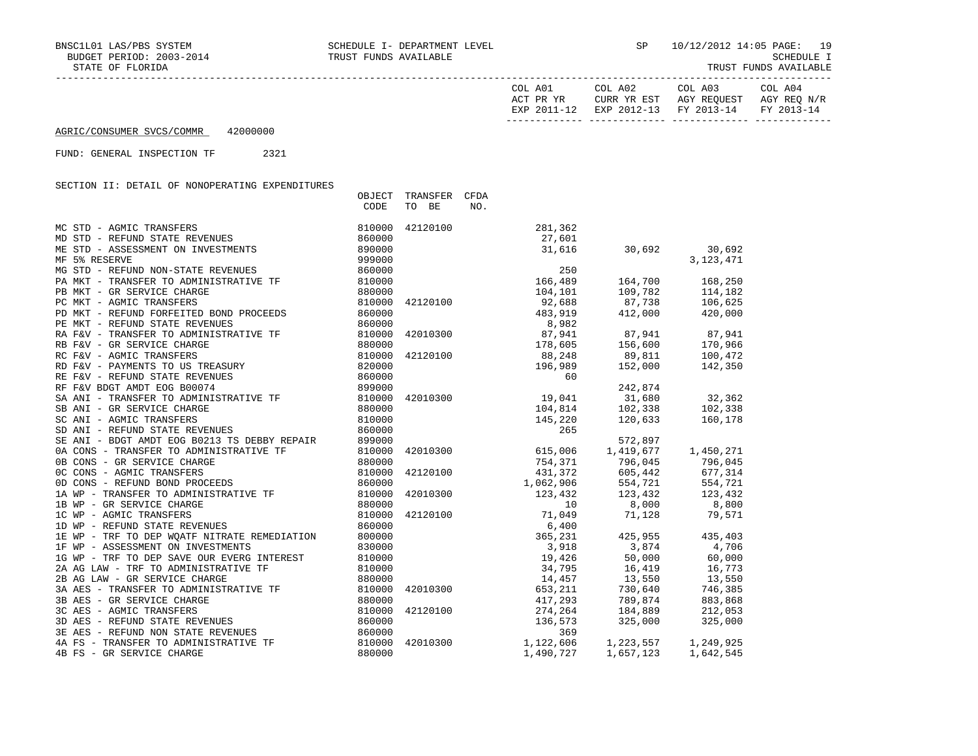OBJECT TRANSFER CFDA

| COL A01                   | COL A02                   | COL A03                  | ∩∩T<br>A04               |
|---------------------------|---------------------------|--------------------------|--------------------------|
| סע סם ידי                 | CURR YR EST               | AGY REOUEST              | AGY REO N/R              |
| $2011 - 12$<br><b>UYD</b> | $2012 - 12$<br><b>FYD</b> | $2013 - 14$<br><b>FV</b> | $2012 - 14$<br><b>FV</b> |

------------- ------------- ------------- -------------

AGRIC/CONSUMER SVCS/COMMR 42000000

FUND: GENERAL INSPECTION TF 2321

SECTION II: DETAIL OF NONOPERATING EXPENDITURES

|                                                                                                                                                                                                          | CODE   | TO BE    | NO.                                                                                                                                                                                                                  |                                                                                              |             |
|----------------------------------------------------------------------------------------------------------------------------------------------------------------------------------------------------------|--------|----------|----------------------------------------------------------------------------------------------------------------------------------------------------------------------------------------------------------------------|----------------------------------------------------------------------------------------------|-------------|
| MC STD - AGMIC TRANSFERS<br>MD STD - REFUND STATE REVENUES<br>ME STD - ASSESSMENT ON INVESTMENTS<br>MF 5% RESERVE                                                                                        | 810000 |          | 42120100 281,362                                                                                                                                                                                                     |                                                                                              |             |
|                                                                                                                                                                                                          | 860000 |          |                                                                                                                                                                                                                      |                                                                                              |             |
|                                                                                                                                                                                                          | 890000 |          | $-1,362$<br>27,601<br>31<br>31,616                                                                                                                                                                                   | 30,692 30,692                                                                                |             |
|                                                                                                                                                                                                          | 999000 |          |                                                                                                                                                                                                                      |                                                                                              | 3, 123, 471 |
| MG STD - REFUND NON-STATE REVENUES                                                                                                                                                                       | 860000 |          |                                                                                                                                                                                                                      |                                                                                              |             |
| PA MKT - TRANSFER TO ADMINISTRATIVE TF                                                                                                                                                                   | 810000 |          | $\begin{array}{cccc} & 250 & & & \\ & 166,489 & & 164,700 \\ & 104,101 & & 109,782 \\ & 92,688 & & 87,738 \end{array}$                                                                                               | 250<br>166,489 164,700<br>104,101 109,782                                                    | 168,250     |
| PB MKT - GR SERVICE CHARGE                                                                                                                                                                               | 880000 |          |                                                                                                                                                                                                                      |                                                                                              | 114,182     |
|                                                                                                                                                                                                          | 810000 |          |                                                                                                                                                                                                                      |                                                                                              | 106,625     |
| PC MKT - AGMIC TRANSFERS 610000<br>PD MKT - REFUND FORFEITED BOND PROCEEDS 660000                                                                                                                        |        |          |                                                                                                                                                                                                                      |                                                                                              |             |
|                                                                                                                                                                                                          |        |          |                                                                                                                                                                                                                      |                                                                                              |             |
|                                                                                                                                                                                                          |        |          |                                                                                                                                                                                                                      |                                                                                              |             |
|                                                                                                                                                                                                          |        |          |                                                                                                                                                                                                                      |                                                                                              |             |
|                                                                                                                                                                                                          |        |          | 42120100 $88,248$ 89,811<br>196,989 152,000<br>152,000                                                                                                                                                               |                                                                                              |             |
|                                                                                                                                                                                                          |        |          |                                                                                                                                                                                                                      |                                                                                              | 142,350     |
|                                                                                                                                                                                                          |        |          | 60                                                                                                                                                                                                                   |                                                                                              |             |
| ER FEV - GR SERVICE CHARGE<br>RE FEV - AGMIC TRANSFERS<br>RD FEV - PAYMENTS TO US TREASURY<br>RE FEV - REFUND STATE REVENUES<br>RE FEV - REFUND STATE REVENUES<br>RE FEV BDGT AMDT EOG B00074            |        |          |                                                                                                                                                                                                                      | 242,874                                                                                      |             |
| SA ANI - TRANSFER TO ADMINISTRATIVE TF 810000                                                                                                                                                            |        |          | $\begin{array}{cccc} 42010300 & & & 19,041 & & 31,680 & & 32,362 \\ & & & 104,814 & & 102,338 & & 102,338 \\ & & & 145,220 & & 120,633 & & 160,178 \end{array}$                                                      |                                                                                              |             |
|                                                                                                                                                                                                          |        |          |                                                                                                                                                                                                                      |                                                                                              |             |
|                                                                                                                                                                                                          |        |          |                                                                                                                                                                                                                      |                                                                                              |             |
| SB ANI - GR SERVICE CHARGE<br>SC ANI - AGMIC TRANSFERS<br>SD ANI - REFUND STATE REVENUES<br>860000                                                                                                       |        |          | 265                                                                                                                                                                                                                  |                                                                                              |             |
|                                                                                                                                                                                                          |        |          |                                                                                                                                                                                                                      | 572,897                                                                                      |             |
| SE ANI - BDGT AMDT EOG BO213 TS DEBBY REPAIR 899000<br>0A CONS - TRANSFER TO ADMINISTRATIVE TF 810000<br>0B CONS - GR SERVICE CHARGE 880000<br>0C CONS - AGMIC TRANSFERS 810000                          |        |          | 42010300 615,006 1,419,677                                                                                                                                                                                           |                                                                                              | 1,450,271   |
|                                                                                                                                                                                                          |        |          |                                                                                                                                                                                                                      | $754,371$ $796,045$                                                                          | 796,045     |
|                                                                                                                                                                                                          |        |          | $42120100 \qquad \qquad 431,372 \qquad \qquad 605,442 \qquad \qquad 677,314$                                                                                                                                         |                                                                                              |             |
| CONS - REFUND BOND PROCEEDS<br>1A WP - TRANSFER TO ADMINISTRATIVE TF<br>1B WP - GR SERVICE CHARGE<br>1C WP - AGMIC TRANSFERS<br>1D WP - REFUND STATE REVENUES<br>1D WP - REFUND STATE REVENUES<br>860000 |        |          |                                                                                                                                                                                                                      | $1,062,906$<br>$123,432$<br>$123,432$<br>$10$<br>$10$<br>$123,600$<br>$123,832$<br>$123,600$ |             |
|                                                                                                                                                                                                          |        | 42010300 |                                                                                                                                                                                                                      |                                                                                              |             |
|                                                                                                                                                                                                          |        |          |                                                                                                                                                                                                                      |                                                                                              |             |
|                                                                                                                                                                                                          |        |          | $42120100 \qquad \qquad 71,049 \qquad \qquad 71,128 \qquad \qquad 79,571$                                                                                                                                            |                                                                                              |             |
| 1D WP - REFUND STATE REVENUES                                                                                                                                                                            | 860000 |          | 6,400                                                                                                                                                                                                                |                                                                                              |             |
| 1E WP - TRF TO DEP WQATF NITRATE REMEDIATION 800000                                                                                                                                                      |        |          |                                                                                                                                                                                                                      | 365, 231 425, 955 435, 403                                                                   |             |
| 1F WP - ASSESSMENT ON INVESTMENTS                                                                                                                                                                        | 830000 |          |                                                                                                                                                                                                                      |                                                                                              |             |
| 1G WP - TRF TO DEP SAVE OUR EVERG INTEREST 810000                                                                                                                                                        |        |          | $\begin{array}{cccc} 365,231 & 425,955 & 435,403 \\ 3,918 & 3,874 & 4,706 \\ 19,426 & 50,000 & 60,000 \\ 34,795 & 16,419 & 16,773 \\ 14,457 & 13,550 & 13,550 \\ 42010300 & 653,211 & 730,640 & 746,385 \end{array}$ |                                                                                              |             |
|                                                                                                                                                                                                          |        |          |                                                                                                                                                                                                                      |                                                                                              |             |
|                                                                                                                                                                                                          |        |          |                                                                                                                                                                                                                      |                                                                                              |             |
| 3A AES - TRANSFER TO ADMINISTRATIVE TF 810000                                                                                                                                                            |        |          |                                                                                                                                                                                                                      |                                                                                              |             |
| 3B AES - GR SERVICE CHARGE                                                                                                                                                                               | 880000 |          |                                                                                                                                                                                                                      | 417,293 789,874                                                                              | 883,868     |
|                                                                                                                                                                                                          | 810000 | 42120100 |                                                                                                                                                                                                                      |                                                                                              | 212,053     |
| 3C AES - AGMIC TRANSFERS<br>3D AES - REFUND STATE REVENUES                                                                                                                                               | 860000 |          |                                                                                                                                                                                                                      | 274, 264 184, 889<br>136, 573 325, 000                                                       | 325,000     |
| 3E AES - REFUND NON STATE REVENUES                                                                                                                                                                       | 860000 |          | 369                                                                                                                                                                                                                  |                                                                                              |             |
| 4A FS - TRANSFER TO ADMINISTRATIVE TF                                                                                                                                                                    | 810000 |          | 42010300 1,122,606                                                                                                                                                                                                   | 1, 223, 557 1, 249, 925                                                                      |             |
| 4B FS - GR SERVICE CHARGE                                                                                                                                                                                | 880000 |          | 1,490,727                                                                                                                                                                                                            | 1,657,123                                                                                    | 1,642,545   |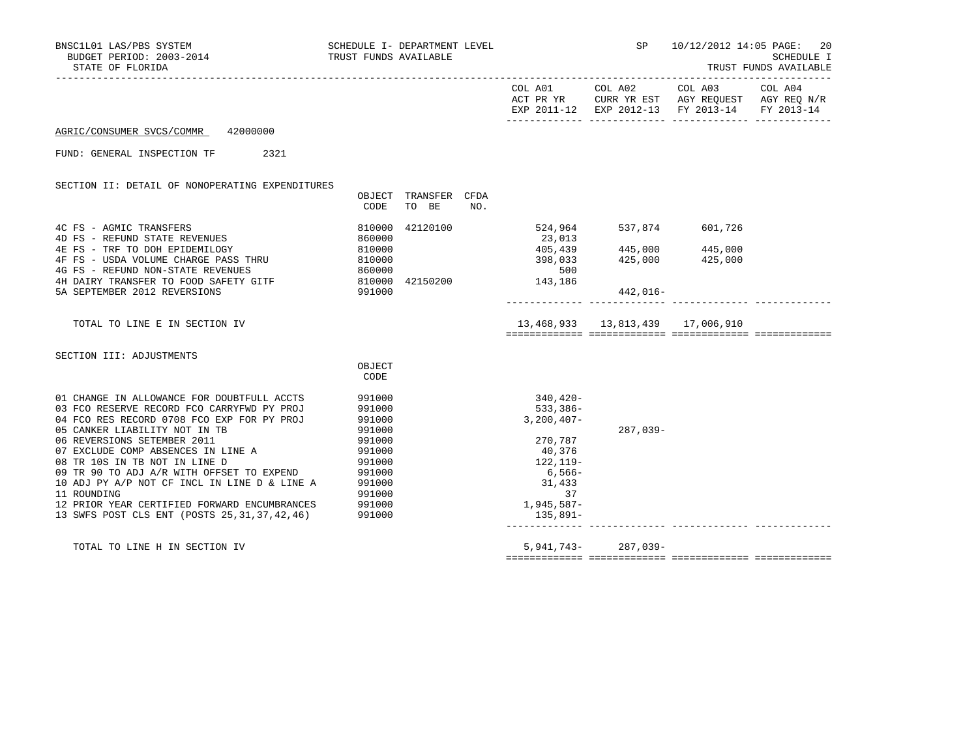| SCHEDULE I- DEPARTMENT LEVEL<br>BNSC1L01 LAS/PBS SYSTEM<br>BUDGET PERIOD: 2003-2014 TRUST FUNDS AVAILABLE<br>STATE OF FLORIDA |                  |               |     |                          | SP                                 | 10/12/2012 14:05 PAGE: 20                                                                      | SCHEDULE I<br>TRUST FUNDS AVAILABLE |
|-------------------------------------------------------------------------------------------------------------------------------|------------------|---------------|-----|--------------------------|------------------------------------|------------------------------------------------------------------------------------------------|-------------------------------------|
|                                                                                                                               |                  |               |     |                          |                                    | ACT PR YR CURR YR EST AGY REQUEST AGY REQ N/R<br>EXP 2011-12 EXP 2012-13 FY 2013-14 FY 2013-14 |                                     |
| AGRIC/CONSUMER SVCS/COMMR 42000000                                                                                            |                  |               |     |                          |                                    |                                                                                                |                                     |
| FUND: GENERAL INSPECTION TF 2321                                                                                              |                  |               |     |                          |                                    |                                                                                                |                                     |
| SECTION II: DETAIL OF NONOPERATING EXPENDITURES                                                                               | OBJECT           | TRANSFER CFDA |     |                          |                                    |                                                                                                |                                     |
|                                                                                                                               | CODE             | TO BE         | NO. |                          |                                    |                                                                                                |                                     |
| 4C FS - AGMIC TRANSFERS<br>4D FS - REFUND STATE REVENUES                                                                      | 810000<br>860000 | 42120100      |     | 524,964<br>23,013        | 537,874 601,726                    |                                                                                                |                                     |
| 4E FS - TRF TO DOH EPIDEMILOGY<br>$4F F S$ - IN IN LUIT CHARGE PASS THRU<br>$F S$ - USDA VOLUME CHARGE PASS THRU              | 810000           |               |     | 405,439<br>398,033       | 445,000 445,000<br>425,000         | 425,000                                                                                        |                                     |
| 4G FS - REFUND NON-STATE REVENUES                                                                                             | 810000<br>860000 |               |     | 500                      |                                    |                                                                                                |                                     |
| 4H DAIRY TRANSFER TO FOOD SAFETY GITF 810000 42150200 143,186                                                                 |                  |               |     |                          |                                    |                                                                                                |                                     |
| 5A SEPTEMBER 2012 REVERSIONS                                                                                                  | 991000           |               |     |                          | 442,016-                           |                                                                                                |                                     |
| TOTAL TO LINE E IN SECTION IV                                                                                                 |                  |               |     |                          | 13,468,933  13,813,439  17,006,910 |                                                                                                |                                     |
| SECTION III: ADJUSTMENTS                                                                                                      |                  |               |     |                          |                                    |                                                                                                |                                     |
|                                                                                                                               | OBJECT<br>CODE   |               |     |                          |                                    |                                                                                                |                                     |
| 01 CHANGE IN ALLOWANCE FOR DOUBTFULL ACCTS                                                                                    | 991000           |               |     | 340,420-                 |                                    |                                                                                                |                                     |
| 03 FCO RESERVE RECORD FCO CARRYFWD PY PROJ<br>04 FCO RES RECORD 0708 FCO EXP FOR PY PROJ                                      | 991000<br>991000 |               |     | 533,386-<br>$3,200,407-$ |                                    |                                                                                                |                                     |
| 05 CANKER LIABILITY NOT IN TB                                                                                                 | 991000           |               |     |                          | $287,039-$                         |                                                                                                |                                     |
| 06 REVERSIONS SETEMBER 2011                                                                                                   | 991000<br>991000 |               |     | 270,787<br>40,376        |                                    |                                                                                                |                                     |
| 07 EXCLUDE COMP ABSENCES IN LINE A<br>08 TR 10S IN TB NOT IN LINE D                                                           | 991000           |               |     | 122, 119-                |                                    |                                                                                                |                                     |
| 09 TR 90 TO ADJ A/R WITH OFFSET TO EXPEND                                                                                     | 991000           |               |     | $6,566-$                 |                                    |                                                                                                |                                     |
| 10 ADJ PY A/P NOT CF INCL IN LINE D & LINE A                                                                                  | 991000           |               |     | 31,433                   |                                    |                                                                                                |                                     |
| 11 ROUNDING                                                                                                                   | 991000           |               |     | 37                       |                                    |                                                                                                |                                     |
| 12 PRIOR YEAR CERTIFIED FORWARD ENCUMBRANCES<br>13 SWFS POST CLS ENT (POSTS 25, 31, 37, 42, 46)                               | 991000<br>991000 |               |     | 1,945,587-<br>135,891–   |                                    |                                                                                                |                                     |
|                                                                                                                               |                  |               |     |                          |                                    |                                                                                                |                                     |

TOTAL TO LINE H IN SECTION IV 5,941,743- 287,039-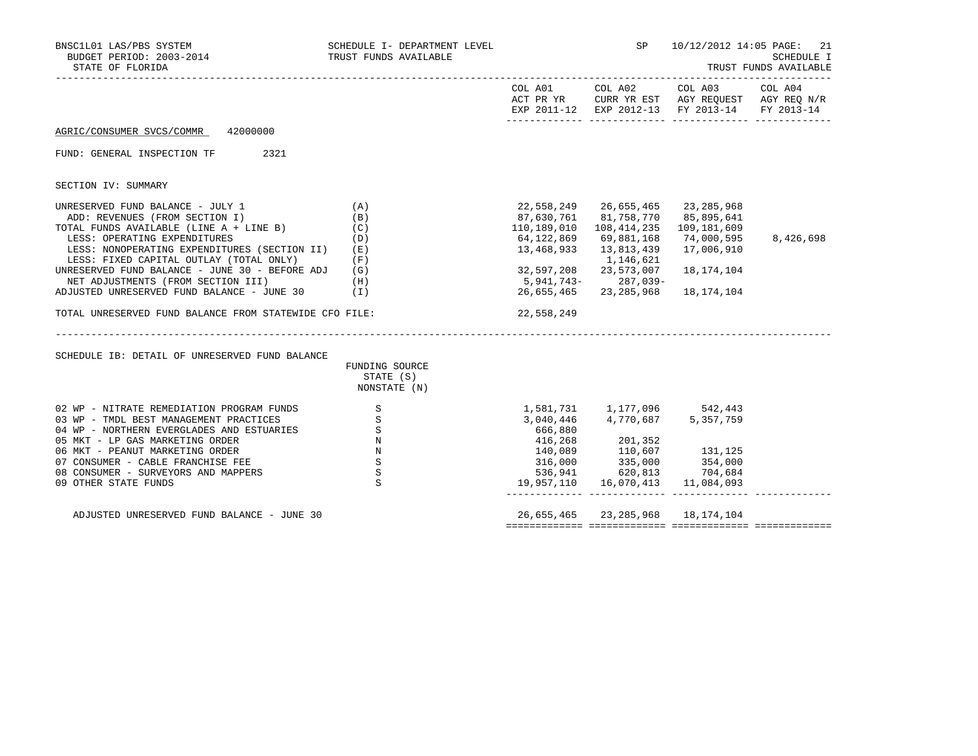| BNSC1L01 LAS/PBS SYSTEM<br>BUDGET PERIOD: 2003-2014<br>STATE OF FLORIDA | SCHEDULE I- DEPARTMENT LEVEL<br>TRUST FUNDS AVAILABLE                                                             |                       |                                  | SP 10/12/2012 14:05 PAGE: 21<br>SCHEDULE I<br>TRUST FUNDS AVAILABLE                                            |                       |  |  |
|-------------------------------------------------------------------------|-------------------------------------------------------------------------------------------------------------------|-----------------------|----------------------------------|----------------------------------------------------------------------------------------------------------------|-----------------------|--|--|
|                                                                         |                                                                                                                   |                       |                                  | COL A01 COL A02 COL A03<br>ACT PR YR CURR YR EST AGY REQUEST AGY REQ N/R<br>EXP 2011-12 EXP 2012-13 FY 2013-14 | COL A04<br>FY 2013-14 |  |  |
| 42000000<br>AGRIC/CONSUMER SVCS/COMMR                                   |                                                                                                                   |                       |                                  |                                                                                                                |                       |  |  |
| FUND: GENERAL INSPECTION TF<br>2321                                     |                                                                                                                   |                       |                                  |                                                                                                                |                       |  |  |
| SECTION IV: SUMMARY                                                     |                                                                                                                   |                       |                                  |                                                                                                                |                       |  |  |
| UNRESERVED FUND BALANCE - JULY 1                                        | (A)                                                                                                               | 22,558,249 26,655,465 |                                  | 23,285,968                                                                                                     |                       |  |  |
| ADD: REVENUES (FROM SECTION I)                                          | (B)                                                                                                               | 87,630,761 81,758,770 |                                  | 85,895,641                                                                                                     |                       |  |  |
| TOTAL FUNDS AVAILABLE (LINE A + LINE B)                                 | (C)                                                                                                               | 110,189,010           | 108,414,235                      | 109,181,609                                                                                                    |                       |  |  |
| LESS: OPERATING EXPENDITURES                                            | (D)                                                                                                               | 64,122,869            | 69,881,168                       | 74,000,595                                                                                                     | 8,426,698             |  |  |
| LESS: NONOPERATING EXPENDITURES (SECTION II)                            | (E)                                                                                                               | 13,468,933            | 13,813,439                       | 17,006,910                                                                                                     |                       |  |  |
| LESS: FIXED CAPITAL OUTLAY (TOTAL ONLY)                                 | (F)                                                                                                               |                       | 1,146,621                        |                                                                                                                |                       |  |  |
| UNRESERVED FUND BALANCE - JUNE 30 - BEFORE ADJ                          | (G)                                                                                                               | 32,597,208            | 23,573,007                       | 18,174,104                                                                                                     |                       |  |  |
| NET ADJUSTMENTS (FROM SECTION III)                                      | (H)                                                                                                               | 5,941,743-287,039-    |                                  |                                                                                                                |                       |  |  |
| ADJUSTED UNRESERVED FUND BALANCE - JUNE 30                              | (1)                                                                                                               | 26,655,465            | 23,285,968                       | 18,174,104                                                                                                     |                       |  |  |
|                                                                         |                                                                                                                   |                       |                                  |                                                                                                                |                       |  |  |
| TOTAL UNRESERVED FUND BALANCE FROM STATEWIDE CFO FILE:                  |                                                                                                                   | 22,558,249            |                                  |                                                                                                                |                       |  |  |
|                                                                         |                                                                                                                   |                       |                                  |                                                                                                                |                       |  |  |
| SCHEDULE IB: DETAIL OF UNRESERVED FUND BALANCE                          |                                                                                                                   |                       |                                  |                                                                                                                |                       |  |  |
|                                                                         | FUNDING SOURCE                                                                                                    |                       |                                  |                                                                                                                |                       |  |  |
|                                                                         | STATE (S)<br>NONSTATE (N)                                                                                         |                       |                                  |                                                                                                                |                       |  |  |
|                                                                         |                                                                                                                   |                       |                                  |                                                                                                                |                       |  |  |
| 02 WP - NITRATE REMEDIATION PROGRAM FUNDS                               | $\mathbf S$                                                                                                       |                       | 1,581,731 1,177,096 542,443      |                                                                                                                |                       |  |  |
| 03 WP - TMDL BEST MANAGEMENT PRACTICES                                  | $\mathbf{S}$                                                                                                      | 3,040,446             | 4,770,687                        | 5, 357, 759                                                                                                    |                       |  |  |
| 04 WP - NORTHERN EVERGLADES AND ESTUARIES                               |                                                                                                                   | 666,880               |                                  |                                                                                                                |                       |  |  |
| 05 MKT - LP GAS MARKETING ORDER                                         |                                                                                                                   | 416,268               |                                  |                                                                                                                |                       |  |  |
| 06 MKT - PEANUT MARKETING ORDER                                         | $\begin{array}{ccc}\n\text{ES} & & & \text{S} \\ & & & \text{N} \\ & & & \text{N} \\ & & & \text{S}\n\end{array}$ | 140,089               |                                  | 131,125                                                                                                        |                       |  |  |
| 07 CONSUMER - CABLE FRANCHISE FEE                                       | S                                                                                                                 | 316,000               | 201,352<br>110,607<br>335,000    | 354,000                                                                                                        |                       |  |  |
| 08 CONSUMER - SURVEYORS AND MAPPERS                                     | $\mathbf S$                                                                                                       | 536,941               | 620,813                          | 704,684                                                                                                        |                       |  |  |
| 09 OTHER STATE FUNDS                                                    | $\mathbf{S}$                                                                                                      | 19,957,110            | 16,070,413                       | 11,084,093                                                                                                     |                       |  |  |
| ADJUSTED UNRESERVED FUND BALANCE - JUNE 30                              |                                                                                                                   |                       | 26,655,465 23,285,968 18,174,104 |                                                                                                                |                       |  |  |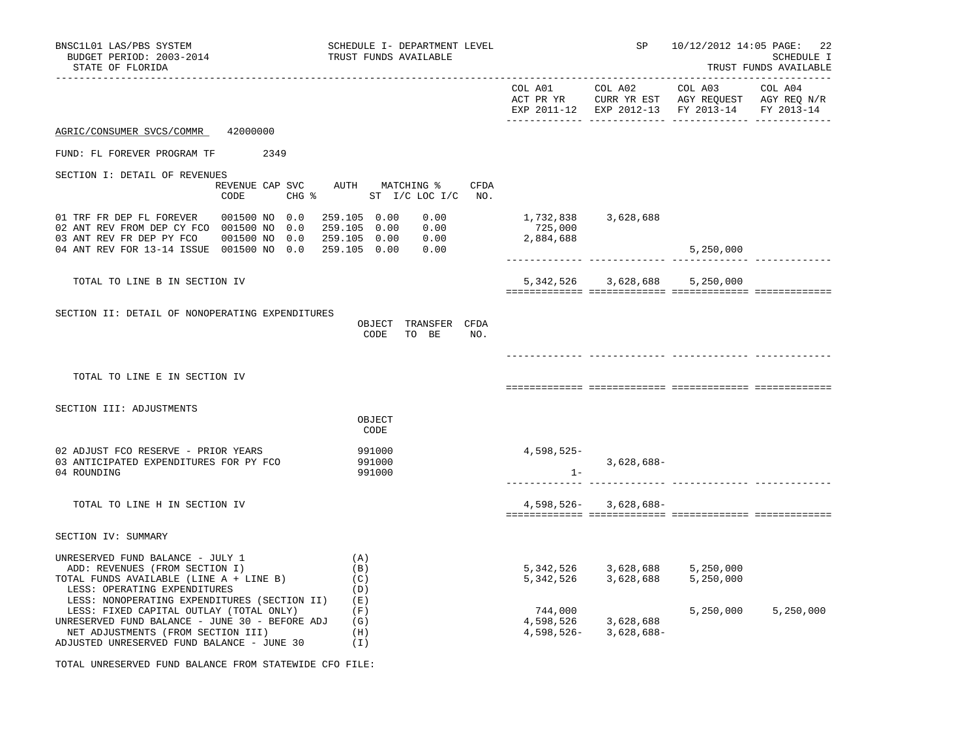| BNSC1L01 LAS/PBS SYSTEM<br>BUDGET PERIOD: 2003-2014<br>STATE OF FLORIDA                                                                                                                                                       | SCHEDULE I- DEPARTMENT LEVEL<br>TRUST FUNDS AVAILABLE                                       |                                   | SP                                                       | 10/12/2012 14:05 PAGE:                                                                                    | 22<br>SCHEDULE I<br>TRUST FUNDS AVAILABLE |
|-------------------------------------------------------------------------------------------------------------------------------------------------------------------------------------------------------------------------------|---------------------------------------------------------------------------------------------|-----------------------------------|----------------------------------------------------------|-----------------------------------------------------------------------------------------------------------|-------------------------------------------|
|                                                                                                                                                                                                                               |                                                                                             |                                   | COL A01 COL A02                                          | COL A03<br>ACT PR YR CURR YR EST AGY REQUEST AGY REQ N/R<br>EXP 2011-12 EXP 2012-13 FY 2013-14 FY 2013-14 | COL A04                                   |
| AGRIC/CONSUMER SVCS/COMMR 42000000                                                                                                                                                                                            |                                                                                             |                                   |                                                          |                                                                                                           |                                           |
| FUND: FL FOREVER PROGRAM TF 2349                                                                                                                                                                                              |                                                                                             |                                   |                                                          |                                                                                                           |                                           |
| SECTION I: DETAIL OF REVENUES<br>CODE                                                                                                                                                                                         | REVENUE CAP SVC AUTH MATCHING %<br>CFDA<br>CHG $\frac{1}{2}$ ST I/C LOC I/C NO.             |                                   |                                                          |                                                                                                           |                                           |
| 01 TRF FR DEP FL FOREVER 001500 NO 0.0<br>02 ANT REV FROM DEP CY FCO 001500 NO 0.0<br>03 ANT REV FR DEP PY FCO 001500 NO 0.0<br>04 ANT REV FOR 13-14 ISSUE 001500 NO 0.0                                                      | 259.105 0.00<br>0.00<br>0.00<br>259.105 0.00<br>259.105  0.00  0.00<br>259.105 0.00<br>0.00 | 1,732,838<br>725,000<br>2,884,688 | 3,628,688                                                | 5,250,000                                                                                                 |                                           |
| TOTAL TO LINE B IN SECTION IV                                                                                                                                                                                                 |                                                                                             |                                   | 5,342,526 3,628,688                                      | 5,250,000                                                                                                 |                                           |
| SECTION II: DETAIL OF NONOPERATING EXPENDITURES                                                                                                                                                                               | OBJECT TRANSFER CFDA<br>CODE TO BE<br>NO.                                                   |                                   |                                                          |                                                                                                           |                                           |
| TOTAL TO LINE E IN SECTION IV                                                                                                                                                                                                 |                                                                                             |                                   |                                                          |                                                                                                           |                                           |
| SECTION III: ADJUSTMENTS                                                                                                                                                                                                      | OBJECT<br>CODE                                                                              |                                   |                                                          |                                                                                                           |                                           |
| 02 ADJUST FCO RESERVE - PRIOR YEARS<br>03 ANTICIPATED EXPENDITURES FOR PY FCO<br>04 ROUNDING                                                                                                                                  | 991000<br>991000<br>991000                                                                  | 4,598,525-<br>$1 -$               | $3,628,688-$                                             |                                                                                                           |                                           |
| TOTAL TO LINE H IN SECTION IV                                                                                                                                                                                                 |                                                                                             |                                   | $4,598,526 - 3,628,688 -$                                |                                                                                                           |                                           |
| SECTION IV: SUMMARY                                                                                                                                                                                                           |                                                                                             |                                   |                                                          |                                                                                                           |                                           |
| UNRESERVED FUND BALANCE - JULY 1<br>ADD: REVENUES (FROM SECTION I)<br>TOTAL FUNDS AVAILABLE (LINE A + LINE B)<br>LESS: OPERATING EXPENDITURES                                                                                 | (A)<br>(B)<br>(C)<br>(D)                                                                    |                                   |                                                          | 5, 342, 526 3, 628, 688 5, 250, 000<br>5, 342, 526 3, 628, 688 5, 250, 000                                |                                           |
| LESS: NONOPERATING EXPENDITURES (SECTION II)<br>LESS: FIXED CAPITAL OUTLAY (TOTAL ONLY)<br>UNRESERVED FUND BALANCE - JUNE 30 - BEFORE ADJ<br>NET ADJUSTMENTS (FROM SECTION III)<br>ADJUSTED UNRESERVED FUND BALANCE - JUNE 30 | (E)<br>(F)<br>(G)<br>(H)<br>(I)                                                             | 744,000                           | $744,000$<br>4,598,526 3,628,688<br>4,598,526-3,628,688- | 5,250,000                                                                                                 | 5,250,000                                 |

TOTAL UNRESERVED FUND BALANCE FROM STATEWIDE CFO FILE: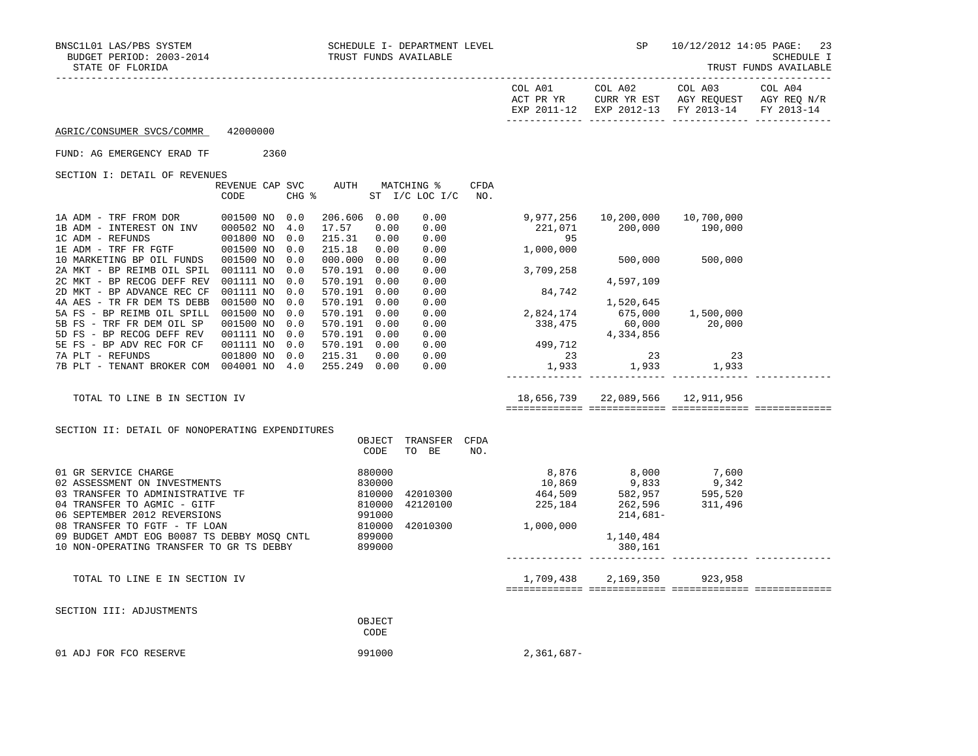TRUST FUNDS AVAILABLE

|                                                                                                                                                          |                                |                          |                                                              |                                                    |                                       |      |                                                                                                                                                                                                                                        |                                                                                                                                                              |                                                                                                                   | IROSI FONDS AVAINABLE |
|----------------------------------------------------------------------------------------------------------------------------------------------------------|--------------------------------|--------------------------|--------------------------------------------------------------|----------------------------------------------------|---------------------------------------|------|----------------------------------------------------------------------------------------------------------------------------------------------------------------------------------------------------------------------------------------|--------------------------------------------------------------------------------------------------------------------------------------------------------------|-------------------------------------------------------------------------------------------------------------------|-----------------------|
|                                                                                                                                                          |                                |                          |                                                              |                                                    |                                       |      |                                                                                                                                                                                                                                        | COL A01 COL A02                                                                                                                                              | COL A03 COL A04<br>ACT PR YR CURR YR EST AGY REQUEST AGY REQ N/R<br>EXP 2011-12 EXP 2012-13 FY 2013-14 FY 2013-14 |                       |
| AGRIC/CONSUMER SVCS/COMMR                                                                                                                                | 42000000                       |                          |                                                              |                                                    |                                       |      |                                                                                                                                                                                                                                        |                                                                                                                                                              |                                                                                                                   |                       |
| FUND: AG EMERGENCY ERAD TF                                                                                                                               | 2360                           |                          |                                                              |                                                    |                                       |      |                                                                                                                                                                                                                                        |                                                                                                                                                              |                                                                                                                   |                       |
| SECTION I: DETAIL OF REVENUES                                                                                                                            | REVENUE CAP SVC<br>CODE        |                          | $CHG$ $\frac{1}{6}$                                          |                                                    | AUTH MATCHING %<br>ST I/C LOC I/C NO. | CFDA |                                                                                                                                                                                                                                        |                                                                                                                                                              |                                                                                                                   |                       |
| 1A ADM - TRF FROM DOR 001500 NO 0.0<br>1B ADM - INTEREST ON INV 000502 NO<br>1C ADM - REFUNDS<br>1E ADM - TRF FR FGTF                                    | 001800 NO 0.0<br>001500 NO     | 4.0<br>0.0               | 206.606 0.00<br>17.57<br>215.31 0.00<br>215.18 0.00          | 0.00                                               | 0.00<br>0.00<br>0.00<br>0.00          |      | 9,977,256<br>221,071<br>95<br>1,000,000                                                                                                                                                                                                | 10,200,000<br>200,000                                                                                                                                        | 10,700,000<br>190,000                                                                                             |                       |
| 10 MARKETING BP OIL FUNDS 001500 NO<br>2A MKT - BP REIMB OIL SPIL 001111 NO<br>2C MKT - BP RECOG DEFF REV 001111 NO<br>2D MKT - BP ADVANCE REC CF        | 001111 NO                      | 0.0<br>0.0<br>0.0<br>0.0 | 000.000 0.00<br>570.191 0.00<br>570.191 0.00<br>570.191 0.00 |                                                    | 0.00<br>0.00<br>0.00<br>0.00          |      | 3,709,258                                                                                                                                                                                                                              |                                                                                                                                                              | 500,000 500,000                                                                                                   |                       |
| 4A AES - TR FR DEM TS DEBB 001500 NO<br>5A FS - BP REIMB OIL SPILL 001500 NO 0.0<br>5B FS - TRF FR DEM OIL SP 001500 NO 0.0<br>5D FS - BP RECOG DEFF REV | 001111 NO 0.0                  | 0.0                      | 570.191 0.00<br>570.191 0.00<br>570.191 0.00<br>570.191 0.00 |                                                    | 0.00<br>0.00<br>0.00<br>0.00          |      | 84,742<br>2,824,174<br>338,475<br>$\begin{array}{cccc} & & 1,520,645 & \\ . & . & . & . & . & . & . \\ 338,475 & & 675,000 & & 1,500,000 \\ 4,334,856 & & & 20,000 \\ 4,334,856 & & & & 20,000 \\ 1,933 & & & & & & . & . \end{array}$ |                                                                                                                                                              |                                                                                                                   |                       |
| 5E FS - BP ADV REC FOR CF<br>7A PLT - REFUNDS<br>7B PLT - TENANT BROKER COM 004001 NO 4.0                                                                | 001111 NO 0.0<br>001800 NO 0.0 |                          | 570.191 0.00<br>215.31 0.00<br>255.249 0.00                  |                                                    | 0.00<br>0.00<br>0.00                  |      |                                                                                                                                                                                                                                        |                                                                                                                                                              |                                                                                                                   |                       |
| TOTAL TO LINE B IN SECTION IV                                                                                                                            |                                |                          |                                                              |                                                    |                                       |      |                                                                                                                                                                                                                                        | 18,656,739 22,089,566 12,911,956                                                                                                                             |                                                                                                                   |                       |
| SECTION II: DETAIL OF NONOPERATING EXPENDITURES                                                                                                          |                                |                          |                                                              | OBJECT<br>CODE                                     | TRANSFER CFDA<br>TO BE                | NO.  |                                                                                                                                                                                                                                        |                                                                                                                                                              |                                                                                                                   |                       |
| 01 GR SERVICE CHARGE<br>02 ASSESSMENT ON INVESTMENTS<br>03 TRANSFER TO ADMINISTRATIVE TF<br>04 TRANSFER TO AGMIC - GITF<br>06 SEPTEMBER 2012 REVERSIONS  |                                |                          |                                                              | 880000<br>$830000\n810000\n810000\n991000\n810000$ | 42010300<br>42120100                  |      | 225, 184                                                                                                                                                                                                                               | $8,876$<br>$10,869$<br>$464,509$<br>$225,184$<br>$262,957$<br>$225,184$<br>$262,956$<br>$21,496$<br>$21,681$<br>$21,681$<br>$21,681$<br>$21,496$<br>214,681- |                                                                                                                   |                       |
| 08 TRANSFER TO FGTF - TF LOAN<br>09 BUDGET AMDT EOG B0087 TS DEBBY MOSQ CNTL<br>10 NON-OPERATING TRANSFER TO GR TS DEBBY                                 |                                |                          | 899000<br>899000                                             | 899000                                             | 42010300                              |      | 1,000,000                                                                                                                                                                                                                              | 1,140,484<br>380,161                                                                                                                                         |                                                                                                                   |                       |
| TOTAL TO LINE E IN SECTION IV                                                                                                                            |                                |                          |                                                              |                                                    |                                       |      |                                                                                                                                                                                                                                        | 1,709,438 2,169,350 923,958                                                                                                                                  |                                                                                                                   |                       |
| SECTION III: ADJUSTMENTS                                                                                                                                 |                                |                          |                                                              | OBJECT<br>CODE                                     |                                       |      |                                                                                                                                                                                                                                        |                                                                                                                                                              |                                                                                                                   |                       |

01 ADJ FOR FCO RESERVE 2, 361,687-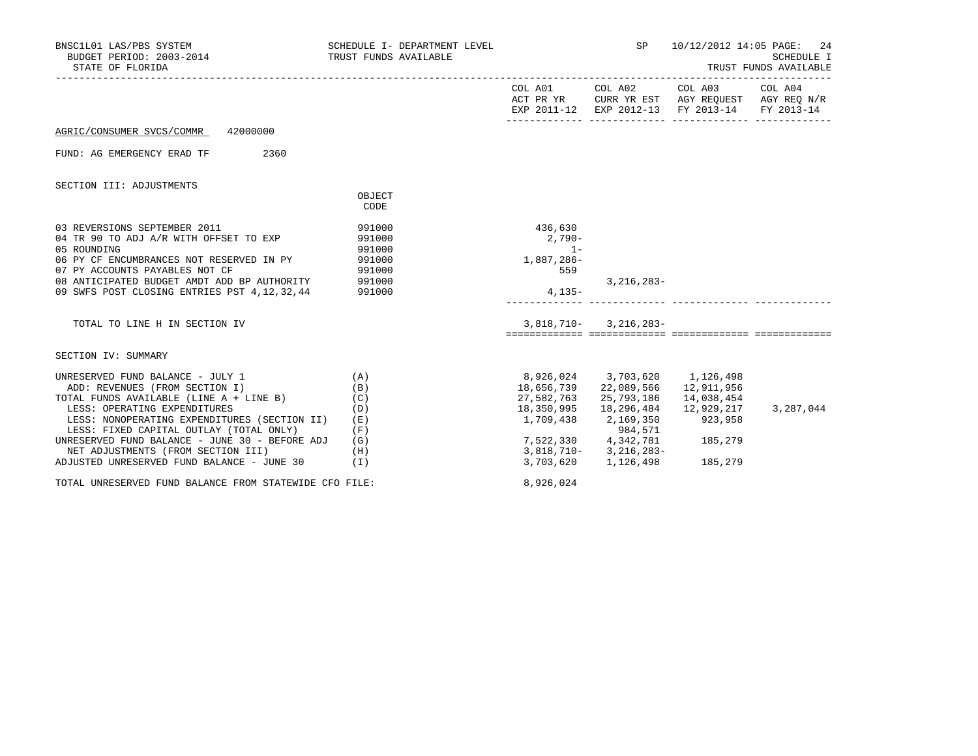| BNSC1L01 LAS/PBS SYSTEM<br>BUDGET PERIOD: 2003-2014<br>STATE OF FLORIDA                                                                | SCHEDULE I- DEPARTMENT LEVEL<br>TRUST FUNDS AVAILABLE |                                                    | <b>SP</b>                                      | 10/12/2012 14:05 PAGE: 24<br>SCHEDULE I<br>TRUST FUNDS AVAILABLE                                                               |           |  |
|----------------------------------------------------------------------------------------------------------------------------------------|-------------------------------------------------------|----------------------------------------------------|------------------------------------------------|--------------------------------------------------------------------------------------------------------------------------------|-----------|--|
|                                                                                                                                        |                                                       |                                                    |                                                | COL A01 COL A02 COL A03 COL A04<br>ACT PR YR CURR YR EST AGY REQUEST AGY REQ N/R EXP 2011-12 EXP 2012-13 FY 2013-14 FY 2013-14 |           |  |
| AGRIC/CONSUMER SVCS/COMMR 42000000                                                                                                     |                                                       |                                                    |                                                |                                                                                                                                |           |  |
| FUND: AG EMERGENCY ERAD TF 2360                                                                                                        |                                                       |                                                    |                                                |                                                                                                                                |           |  |
| SECTION III: ADJUSTMENTS                                                                                                               |                                                       |                                                    |                                                |                                                                                                                                |           |  |
|                                                                                                                                        | OBJECT<br><b>CODE</b>                                 |                                                    |                                                |                                                                                                                                |           |  |
| 03 REVERSIONS SEPTEMBER 2011<br>04 TR 90 TO ADJ A/R WITH OFFSET TO EXP<br>05 ROUNDING<br>06 PY CF ENCUMBRANCES NOT RESERVED IN PY      | 991000<br>991000<br>991000<br>991000                  | 436,630<br>$2,790-$<br>$1 -$<br>1,887,286-         |                                                |                                                                                                                                |           |  |
| 07 PY ACCOUNTS PAYABLES NOT CF<br>08 ANTICIPATED BUDGET AMDT ADD BP AUTHORITY 991000<br>09 SWFS POST CLOSING ENTRIES PST 4, 12, 32, 44 | 991000<br>991000                                      | 559<br>$4,135-$                                    | $3,216,283-$                                   |                                                                                                                                |           |  |
| TOTAL TO LINE H IN SECTION IV                                                                                                          |                                                       |                                                    | $3,818,710 - 3,216,283 -$                      |                                                                                                                                |           |  |
| SECTION IV: SUMMARY                                                                                                                    |                                                       |                                                    |                                                |                                                                                                                                |           |  |
| UNRESERVED FUND BALANCE - JULY 1<br>(A)<br>ADD: REVENUES (FROM SECTION I)<br>TOTAL FUNDS AVAILABLE (LINE A + LINE B)                   | (B)<br>(C)                                            | 8,926,024 3,703,620 1,126,498                      | 18,656,739 22,089,566<br>27,582,763 25,793,186 | 12,911,956<br>14,038,454                                                                                                       |           |  |
| LESS: OPERATING EXPENDITURES<br>LESS: NONOPERATING EXPENDITURES (SECTION II)<br>LESS: FIXED CAPITAL OUTLAY (TOTAL ONLY)                | (D)<br>(E)<br>(F)                                     | 18,350,995<br>1,709,438 2,169,350                  | 18,296,484<br>984,571                          | 12,929,217<br>923,958                                                                                                          | 3,287,044 |  |
| UNRESERVED FUND BALANCE - JUNE 30 - BEFORE ADJ<br>NET ADJUSTMENTS (FROM SECTION III)<br>ADJUSTED UNRESERVED FUND BALANCE - JUNE 30 (I) | (G)<br>(H)                                            | 7,522,330    4,342,781<br>3,818,710-    3,216,283- | 3,703,620 1,126,498 185,279                    | 185,279                                                                                                                        |           |  |
| TOTAL UNRESERVED FUND BALANCE FROM STATEWIDE CFO FILE:                                                                                 |                                                       | 8,926,024                                          |                                                |                                                                                                                                |           |  |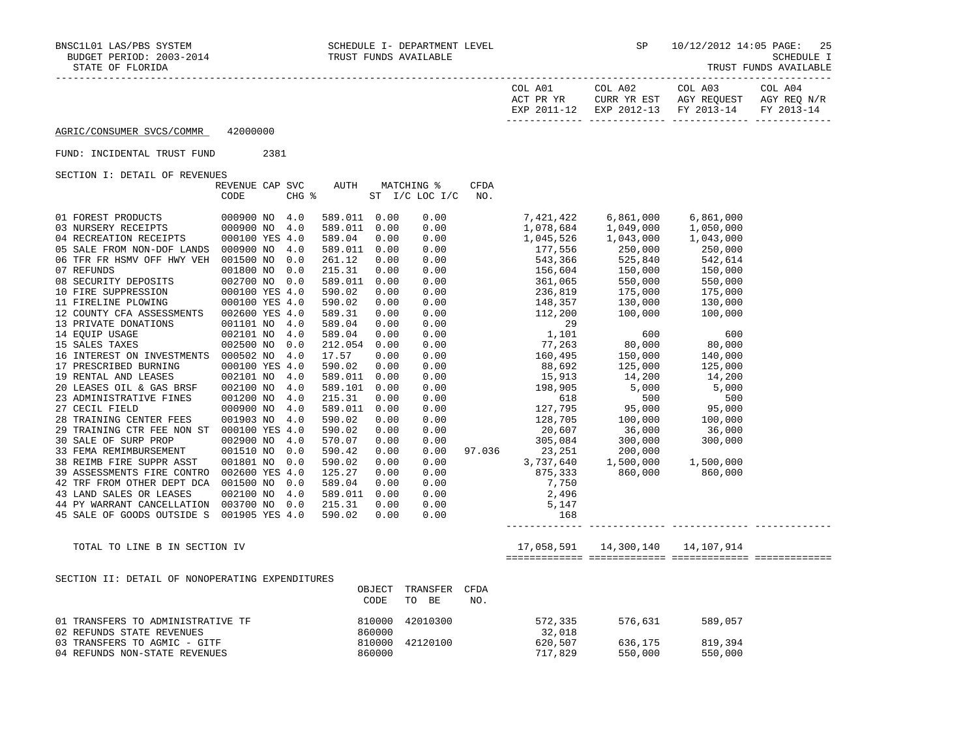| COL A01<br>ACT PR YR | COL A02 | COL A03<br>CURR YR EST AGY REOUEST AGY REO N/R | COL A04 |
|----------------------|---------|------------------------------------------------|---------|
|                      |         | EXP 2011-12 EXP 2012-13 FY 2013-14 FY 2013-14  |         |
|                      |         |                                                |         |

#### FUND: INCIDENTAL TRUST FUND 2381

SECTION I: DETAIL OF REVENUES

|                            | REVENUE CAP SVC |       | AUTH    |      | MATCHING %     | <b>CFDA</b> |           |           |           |  |
|----------------------------|-----------------|-------|---------|------|----------------|-------------|-----------|-----------|-----------|--|
|                            | CODE            | CHG % |         |      | ST I/C LOC I/C | NO.         |           |           |           |  |
|                            |                 |       |         |      |                |             |           |           |           |  |
| 01 FOREST PRODUCTS         | 000900 NO       | 4.0   | 589.011 | 0.00 | 0.00           |             | 7,421,422 | 6,861,000 | 6,861,000 |  |
| 03 NURSERY RECEIPTS        | 000900 NO       | 4.0   | 589.011 | 0.00 | 0.00           |             | 1,078,684 | 1,049,000 | 1,050,000 |  |
| 04 RECREATION RECEIPTS     | 000100 YES 4.0  |       | 589.04  | 0.00 | 0.00           |             | 1,045,526 | 1,043,000 | 1,043,000 |  |
| 05 SALE FROM NON-DOF LANDS | 000900 NO       | 4.0   | 589.011 | 0.00 | 0.00           |             | 177,556   | 250,000   | 250,000   |  |
| 06 TFR FR HSMV OFF HWY VEH | 001500 NO       | 0.0   | 261.12  | 0.00 | 0.00           |             | 543,366   | 525,840   | 542,614   |  |
| 07 REFUNDS                 | 001800 NO       | 0.0   | 215.31  | 0.00 | 0.00           |             | 156,604   | 150,000   | 150,000   |  |
| 08 SECURITY DEPOSITS       | 002700 NO       | 0.0   | 589.011 | 0.00 | 0.00           |             | 361,065   | 550,000   | 550,000   |  |
| 10 FIRE SUPPRESSION        | 000100 YES 4.0  |       | 590.02  | 0.00 | 0.00           |             | 236,819   | 175,000   | 175,000   |  |
| 11 FIRELINE PLOWING        | 000100 YES 4.0  |       | 590.02  | 0.00 | 0.00           |             | 148,357   | 130,000   | 130,000   |  |
| 12 COUNTY CFA ASSESSMENTS  | 002600 YES 4.0  |       | 589.31  | 0.00 | 0.00           |             | 112,200   | 100,000   | 100,000   |  |
| 13 PRIVATE DONATIONS       | 001101 NO       | 4.0   | 589.04  | 0.00 | 0.00           |             | 29        |           |           |  |
| 14 EOUIP USAGE             | 002101 NO       | 4.0   | 589.04  | 0.00 | 0.00           |             | 1,101     | 600       | 600       |  |
| 15 SALES TAXES             | 002500 NO       | 0.0   | 212.054 | 0.00 | 0.00           |             | 77,263    | 80,000    | 80,000    |  |
| 16 INTEREST ON INVESTMENTS | 000502 NO       | 4.0   | 17.57   | 0.00 | 0.00           |             | 160,495   | 150,000   | 140,000   |  |
| 17 PRESCRIBED BURNING      | 000100 YES 4.0  |       | 590.02  | 0.00 | 0.00           |             | 88,692    | 125,000   | 125,000   |  |
| 19 RENTAL AND LEASES       | 002101 NO       | 4.0   | 589.011 | 0.00 | 0.00           |             | 15,913    | 14,200    | 14,200    |  |
| 20 LEASES OIL & GAS BRSF   | 002100 NO       | 4.0   | 589.101 | 0.00 | 0.00           |             | 198,905   | 5,000     | 5,000     |  |
| 23 ADMINISTRATIVE FINES    | 001200 NO       | 4.0   | 215.31  | 0.00 | 0.00           |             | 618       | 500       | 500       |  |
| 27 CECIL FIELD             | 000900 NO       | 4.0   | 589.011 | 0.00 | 0.00           |             | 127,795   | 95,000    | 95,000    |  |
| 28 TRAINING CENTER FEES    | 001903 NO       | 4.0   | 590.02  | 0.00 | 0.00           |             | 128,705   | 100,000   | 100,000   |  |
| 29 TRAINING CTR FEE NON ST | 000100 YES 4.0  |       | 590.02  | 0.00 | 0.00           |             | 20,607    | 36,000    | 36,000    |  |
| 30 SALE OF SURP PROP       | 002900 NO       | 4.0   | 570.07  | 0.00 | 0.00           |             | 305,084   | 300,000   | 300,000   |  |
| 33 FEMA REMIMBURSEMENT     | 001510 NO       | 0.0   | 590.42  | 0.00 | 0.00           | 97.036      | 23,251    | 200,000   |           |  |
| 38 REIMB FIRE SUPPR ASST   | 001801 NO       | 0.0   | 590.02  | 0.00 | 0.00           |             | 3,737,640 | 1,500,000 | 1,500,000 |  |
| 39 ASSESSMENTS FIRE CONTRO | 002600 YES 4.0  |       | 125.27  | 0.00 | 0.00           |             | 875,333   | 860,000   | 860,000   |  |
| 42 TRF FROM OTHER DEPT DCA | 001500 NO       | 0.0   | 589.04  | 0.00 | 0.00           |             | 7,750     |           |           |  |
| 43 LAND SALES OR LEASES    | 002100 NO       | 4.0   | 589.011 | 0.00 | 0.00           |             | 2,496     |           |           |  |
| 44 PY WARRANT CANCELLATION | 003700 NO       | 0.0   | 215.31  | 0.00 | 0.00           |             | 5,147     |           |           |  |
| 45 SALE OF GOODS OUTSIDE S | 001905 YES 4.0  |       | 590.02  | 0.00 | 0.00           |             | 168       |           |           |  |
|                            |                 |       |         |      |                |             |           |           |           |  |

TOTAL TO LINE B IN SECTION IV 17,058,591 14,300,140 14,107,914

============= ============= ============= =============

#### SECTION II: DETAIL OF NONOPERATING EXPENDITURES

|                                   | OBJECT | TRANSFER<br>CFDA  |         |         |         |
|-----------------------------------|--------|-------------------|---------|---------|---------|
|                                   | CODE   | TO<br>NO.<br>- BE |         |         |         |
| 01 TRANSFERS TO ADMINISTRATIVE TF | 810000 | 42010300          | 572,335 | 576,631 | 589,057 |
| 02 REFUNDS STATE REVENUES         | 860000 |                   | 32,018  |         |         |
| 03 TRANSFERS TO AGMIC - GITF      | 810000 | 42120100          | 620,507 | 636,175 | 819,394 |
| 04 REFUNDS NON-STATE REVENUES     | 860000 |                   | 717,829 | 550,000 | 550,000 |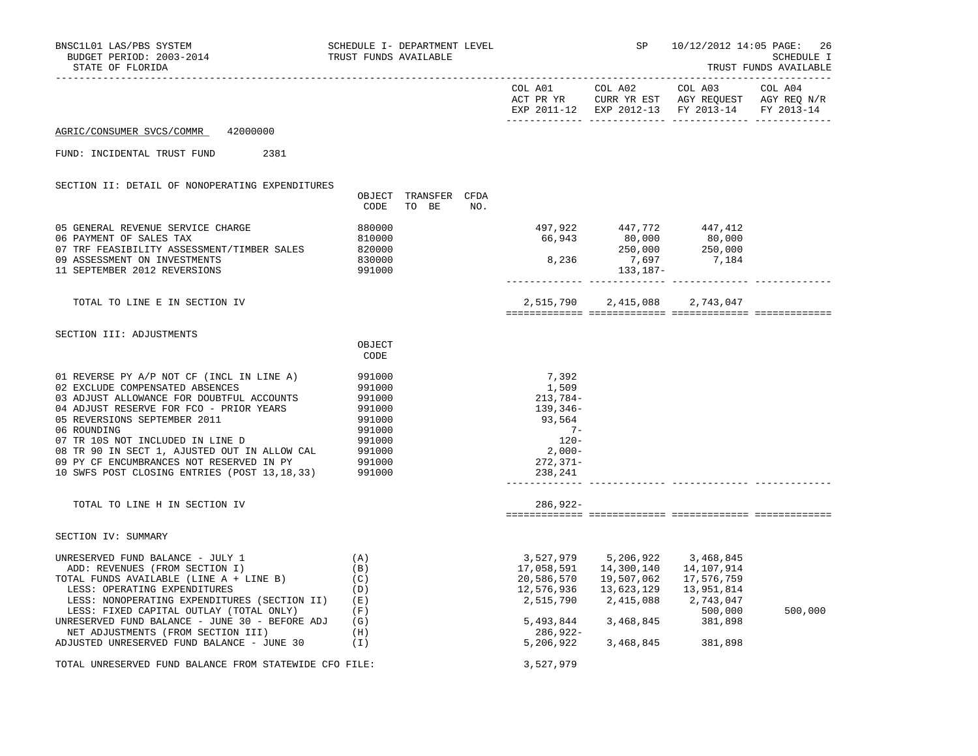| BNSC1L01 LAS/PBS SYSTEM<br>BUDGET PERIOD: 2003-2014<br>STATE OF FLORIDA                                                                                                                                                                                                                                                                                                                             | SCHEDULE I- DEPARTMENT LEVEL<br>TRUST FUNDS AVAILABLE                                            |                               |     |                                                                                                        | SP<br>-------------------------------------                                                                                    | 10/12/2012 14:05 PAGE:                                                                                                    | -26<br>SCHEDULE I<br>TRUST FUNDS AVAILABLE |
|-----------------------------------------------------------------------------------------------------------------------------------------------------------------------------------------------------------------------------------------------------------------------------------------------------------------------------------------------------------------------------------------------------|--------------------------------------------------------------------------------------------------|-------------------------------|-----|--------------------------------------------------------------------------------------------------------|--------------------------------------------------------------------------------------------------------------------------------|---------------------------------------------------------------------------------------------------------------------------|--------------------------------------------|
|                                                                                                                                                                                                                                                                                                                                                                                                     |                                                                                                  |                               |     |                                                                                                        |                                                                                                                                | COL A01 COL A02 COL A03<br>ACT PR YR CURR YR EST AGY REQUEST AGY REQ N/R<br>EXP 2011-12 EXP 2012-13 FY 2013-14 FY 2013-14 | COL A04                                    |
| AGRIC/CONSUMER SVCS/COMMR<br>42000000                                                                                                                                                                                                                                                                                                                                                               |                                                                                                  |                               |     |                                                                                                        |                                                                                                                                |                                                                                                                           |                                            |
| FUND: INCIDENTAL TRUST FUND<br>2381                                                                                                                                                                                                                                                                                                                                                                 |                                                                                                  |                               |     |                                                                                                        |                                                                                                                                |                                                                                                                           |                                            |
| SECTION II: DETAIL OF NONOPERATING EXPENDITURES                                                                                                                                                                                                                                                                                                                                                     | CODE                                                                                             | OBJECT TRANSFER CFDA<br>TO BE | NO. |                                                                                                        |                                                                                                                                |                                                                                                                           |                                            |
| 05 GENERAL REVENUE SERVICE CHARGE<br>06 PAYMENT OF SALES TAX<br>07 TRF FEASIBILITY ASSESSMENT/TIMBER SALES<br>09 ASSESSMENT ON INVESTMENTS<br>11 SEPTEMBER 2012 REVERSIONS                                                                                                                                                                                                                          | 880000<br>810000<br>820000<br>830000<br>991000                                                   |                               |     |                                                                                                        | $\begin{array}{cccc} 497,922 & 447,772 & 447,412 \\ 66,943 & 80,000 & 80,000 \\ 8,236 & 7,697 & 7,184 \end{array}$<br>133,187- |                                                                                                                           |                                            |
| TOTAL TO LINE E IN SECTION IV                                                                                                                                                                                                                                                                                                                                                                       |                                                                                                  |                               |     |                                                                                                        |                                                                                                                                | 2,515,790 2,415,088 2,743,047                                                                                             |                                            |
| SECTION III: ADJUSTMENTS                                                                                                                                                                                                                                                                                                                                                                            | OBJECT<br>CODE                                                                                   |                               |     |                                                                                                        |                                                                                                                                |                                                                                                                           |                                            |
| 01 REVERSE PY A/P NOT CF (INCL IN LINE A)<br>02 EXCLUDE COMPENSATED ABSENCES<br>03 ADJUST ALLOWANCE FOR DOUBTFUL ACCOUNTS<br>04 ADJUST RESERVE FOR FCO - PRIOR YEARS<br>05 REVERSIONS SEPTEMBER 2011<br>06 ROUNDING<br>07 TR 10S NOT INCLUDED IN LINE D<br>08 TR 90 IN SECT 1, AJUSTED OUT IN ALLOW CAL<br>09 PY CF ENCUMBRANCES NOT RESERVED IN PY<br>10 SWFS POST CLOSING ENTRIES (POST 13,18,33) | 991000<br>991000<br>991000<br>991000<br>991000<br>991000<br>991000<br>991000<br>991000<br>991000 |                               |     | 7,392<br>1,509<br>213,784-<br>139,346-<br>93,564<br>$7-$<br>$120 -$<br>2,000-<br>$272,371-$<br>238,241 |                                                                                                                                |                                                                                                                           |                                            |
| TOTAL TO LINE H IN SECTION IV                                                                                                                                                                                                                                                                                                                                                                       |                                                                                                  |                               |     | $286,922-$                                                                                             |                                                                                                                                |                                                                                                                           |                                            |
| SECTION IV: SUMMARY                                                                                                                                                                                                                                                                                                                                                                                 |                                                                                                  |                               |     |                                                                                                        |                                                                                                                                |                                                                                                                           |                                            |
| UNRESERVED FUND BALANCE - JULY 1<br>ADD: REVENUES (FROM SECTION I)<br>TOTAL FUNDS AVAILABLE (LINE A + LINE B)<br>LESS: OPERATING EXPENDITURES<br>LESS: NONOPERATING EXPENDITURES (SECTION II)<br>LESS: FIXED CAPITAL OUTLAY (TOTAL ONLY)<br>UNRESERVED FUND BALANCE - JUNE 30 - BEFORE ADJ<br>NET ADJUSTMENTS (FROM SECTION III)<br>ADJUSTED UNRESERVED FUND BALANCE - JUNE 30                      | (A)<br>(B)<br>(C)<br>(D)<br>(E)<br>(F)<br>(G)<br>(H)<br>(I)                                      |                               |     | 3,527,979<br>17,058,591<br>20,586,570<br>12,576,936<br>286,922-<br>5,206,922                           | 5,206,922<br>14,300,140<br>19,507,062<br>13,623,129<br>2,515,790 2,415,088<br>5,493,844 3,468,845 381,898<br>3,468,845         | 3,468,845<br>14,107,914<br>17,576,759<br>13,951,814<br>2,743,047<br>500,000<br>381,898                                    | 500,000                                    |
| TOTAL UNRESERVED FUND BALANCE FROM STATEWIDE CFO FILE:                                                                                                                                                                                                                                                                                                                                              |                                                                                                  |                               |     | 3,527,979                                                                                              |                                                                                                                                |                                                                                                                           |                                            |
|                                                                                                                                                                                                                                                                                                                                                                                                     |                                                                                                  |                               |     |                                                                                                        |                                                                                                                                |                                                                                                                           |                                            |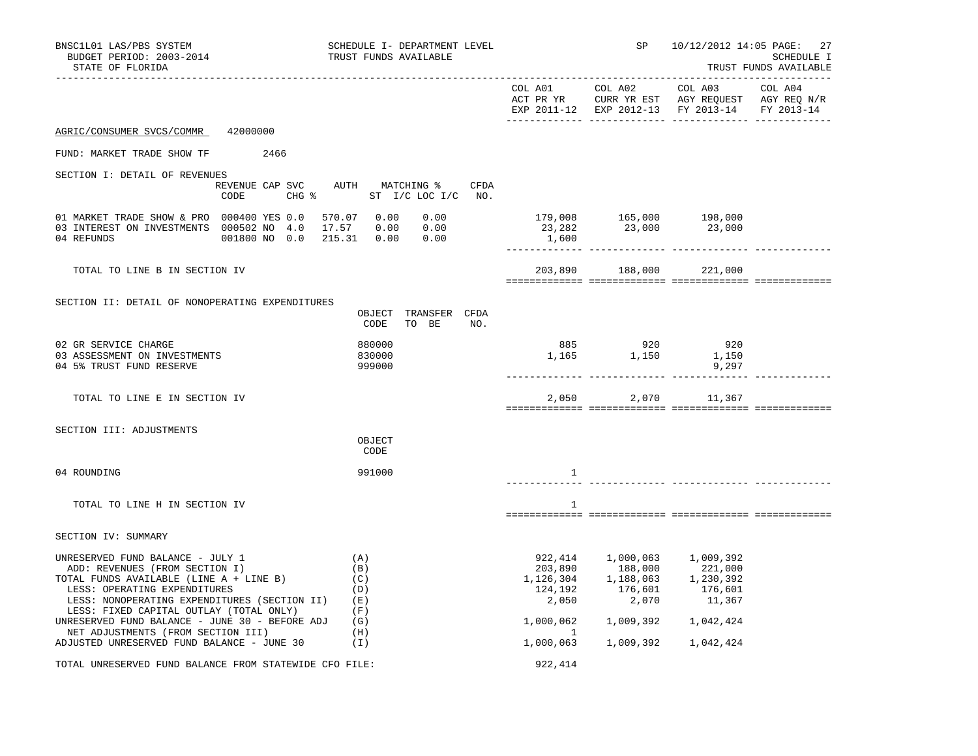| BNSC1L01 LAS/PBS SYSTEM<br>BUDGET PERIOD: 2003-2014<br>STATE OF FLORIDA                                                                                                                                                                                                                    | SCHEDULE I- DEPARTMENT LEVEL<br>TRUST FUNDS AVAILABLE           |                                                                  | SP                                                                 | 10/12/2012 14:05 PAGE: 27<br>SCHEDULE I<br>TRUST FUNDS AVAILABLE                                          |         |  |
|--------------------------------------------------------------------------------------------------------------------------------------------------------------------------------------------------------------------------------------------------------------------------------------------|-----------------------------------------------------------------|------------------------------------------------------------------|--------------------------------------------------------------------|-----------------------------------------------------------------------------------------------------------|---------|--|
|                                                                                                                                                                                                                                                                                            |                                                                 | COL A01                                                          | COL A02                                                            | COL A03<br>ACT PR YR CURR YR EST AGY REQUEST AGY REQ N/R<br>EXP 2011-12 EXP 2012-13 FY 2013-14 FY 2013-14 | COL A04 |  |
| AGRIC/CONSUMER SVCS/COMMR<br>42000000                                                                                                                                                                                                                                                      |                                                                 |                                                                  |                                                                    |                                                                                                           |         |  |
| FUND: MARKET TRADE SHOW TF<br>2466                                                                                                                                                                                                                                                         |                                                                 |                                                                  |                                                                    |                                                                                                           |         |  |
| SECTION I: DETAIL OF REVENUES<br>REVENUE CAP SVC<br>CODE                                                                                                                                                                                                                                   | AUTH MATCHING % CFDA<br>CHG $\frac{1}{2}$ ST I/C LOC I/C NO.    |                                                                  |                                                                    |                                                                                                           |         |  |
| 01 MARKET TRADE SHOW & PRO 000400 YES 0.0<br>03 INTEREST ON INVESTMENTS 000502 NO 4.0<br>04 REFUNDS<br>001800 NO 0.0                                                                                                                                                                       | 570.07 0.00<br>0.00<br>17.57<br>0.00 0.00<br>215.31  0.00  0.00 | 1,600                                                            |                                                                    |                                                                                                           |         |  |
| TOTAL TO LINE B IN SECTION IV                                                                                                                                                                                                                                                              |                                                                 | 203,890                                                          | 188,000                                                            | 221,000                                                                                                   |         |  |
| SECTION II: DETAIL OF NONOPERATING EXPENDITURES                                                                                                                                                                                                                                            | OBJECT TRANSFER CFDA<br>CODE<br>TO BE<br>NO.                    |                                                                  |                                                                    |                                                                                                           |         |  |
| 02 GR SERVICE CHARGE<br>03 ASSESSMENT ON INVESTMENTS<br>04 5% TRUST FUND RESERVE                                                                                                                                                                                                           | 880000<br>830000<br>999000                                      | 885<br>1,165                                                     | $920\n\n1,150$                                                     | 920<br>1,150<br>9,297                                                                                     |         |  |
| TOTAL TO LINE E IN SECTION IV                                                                                                                                                                                                                                                              |                                                                 | 2,050                                                            | 2,070                                                              | 11,367                                                                                                    |         |  |
| SECTION III: ADJUSTMENTS                                                                                                                                                                                                                                                                   | OBJECT<br>CODE                                                  |                                                                  |                                                                    |                                                                                                           |         |  |
| 04 ROUNDING                                                                                                                                                                                                                                                                                | 991000                                                          | 1                                                                |                                                                    |                                                                                                           |         |  |
| TOTAL TO LINE H IN SECTION IV                                                                                                                                                                                                                                                              |                                                                 | 1                                                                |                                                                    |                                                                                                           |         |  |
| SECTION IV: SUMMARY                                                                                                                                                                                                                                                                        |                                                                 |                                                                  |                                                                    |                                                                                                           |         |  |
| UNRESERVED FUND BALANCE - JULY 1<br>ADD: REVENUES (FROM SECTION I)<br>TOTAL FUNDS AVAILABLE (LINE A + LINE B)<br>LESS: OPERATING EXPENDITURES<br>LESS: NONOPERATING EXPENDITURES (SECTION II)<br>LESS: FIXED CAPITAL OUTLAY (TOTAL ONLY)<br>UNRESERVED FUND BALANCE - JUNE 30 - BEFORE ADJ | (A)<br>(B)<br>(C)<br>(D)<br>(E)<br>(F)<br>(G)                   | 922,414<br>203,890<br>1,126,304<br>124,192<br>2,050<br>1,000,062 | 1,000,063<br>188,000<br>1,188,063<br>176,601<br>2,070<br>1,009,392 | 1,009,392<br>221,000<br>1,230,392<br>176,601<br>11,367<br>1,042,424                                       |         |  |
| NET ADJUSTMENTS (FROM SECTION III)<br>ADJUSTED UNRESERVED FUND BALANCE - JUNE 30                                                                                                                                                                                                           | (H)<br>(I)                                                      | $\mathbf{1}$<br>1,000,063                                        | 1,009,392                                                          | 1,042,424                                                                                                 |         |  |
| TOTAL UNRESERVED FUND BALANCE FROM STATEWIDE CFO FILE:                                                                                                                                                                                                                                     |                                                                 | 922,414                                                          |                                                                    |                                                                                                           |         |  |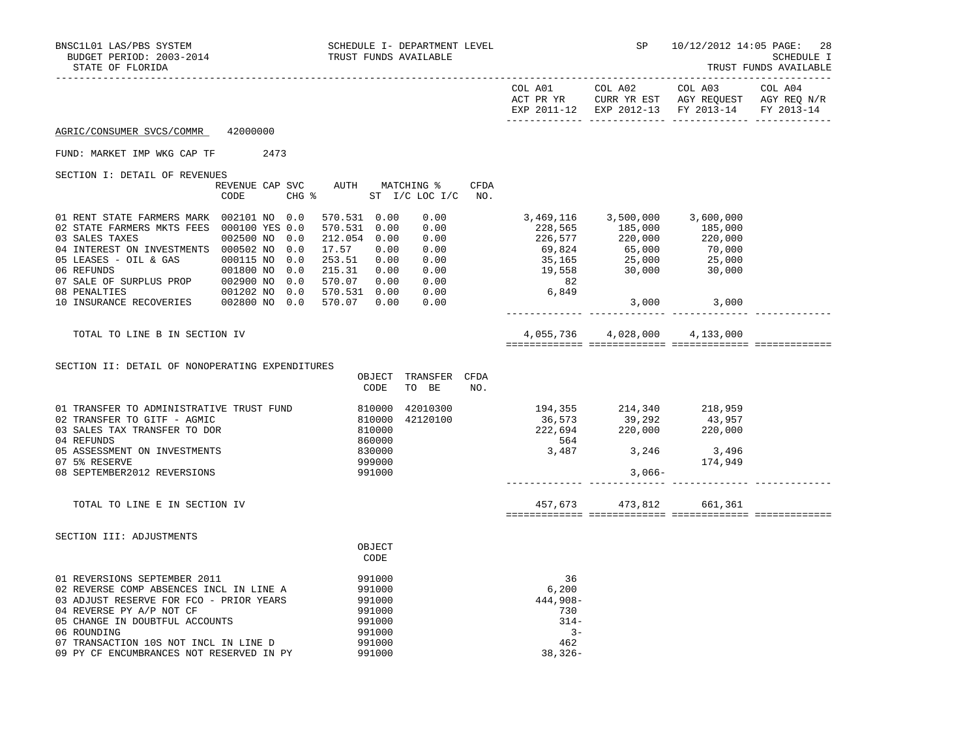|                                                                                                                                                                                                                                                                                                                                                                                                       |                         |                                                                              |                               |                                                                                                                                                                                                                                                                                                                                                                                              | EXP 2011-12 EXP 2012-13 FY 2013-14 FY 2013-14             |             |  |
|-------------------------------------------------------------------------------------------------------------------------------------------------------------------------------------------------------------------------------------------------------------------------------------------------------------------------------------------------------------------------------------------------------|-------------------------|------------------------------------------------------------------------------|-------------------------------|----------------------------------------------------------------------------------------------------------------------------------------------------------------------------------------------------------------------------------------------------------------------------------------------------------------------------------------------------------------------------------------------|-----------------------------------------------------------|-------------|--|
| AGRIC/CONSUMER SVCS/COMMR 42000000                                                                                                                                                                                                                                                                                                                                                                    |                         |                                                                              |                               |                                                                                                                                                                                                                                                                                                                                                                                              |                                                           |             |  |
| FUND: MARKET IMP WKG CAP TF 2473                                                                                                                                                                                                                                                                                                                                                                      |                         |                                                                              |                               |                                                                                                                                                                                                                                                                                                                                                                                              |                                                           |             |  |
| SECTION I: DETAIL OF REVENUES                                                                                                                                                                                                                                                                                                                                                                         | REVENUE CAP SVC<br>CODE | AUTH MATCHING %<br>CHG % ST I/C LOC I/C NO.                                  | CFDA                          |                                                                                                                                                                                                                                                                                                                                                                                              |                                                           |             |  |
| 01 RENT STATE FARMERS MARK 002101 NO 0.0<br>02 STATE FARMERS MKTS FEES 000100 YES 0.0<br>03 SALES TAXES<br>04 INTEREST ON INVESTMENTS 000502 NO 0.0<br>05 LEASES - OIL & GAS<br>000115 NO 0.0 253.51 0.00 0.00<br>06 REFUNDS<br>001800 NO 0.0 215.31 0.00 0.00<br>07 SALE OF SURPLUS PROP<br>002900 NO 0.0 570.07 0.00 0.00<br>08 PENALTIES<br>001202 NO 0.0 570.07 0.00 0.00<br>10 INSURANCE RECOVER | 002500 NO 0.0           | 570.531 0.00<br>570.531 0.00<br>212.054 0.00 0.00<br>17.57 0.00              | 0.00<br>0.00<br>0.00          | $\begin{array}{cccc} 3\,,469\,,116 \quad & 3\,,500\,,000 \quad & 3\,,600\,,000 \\ 228\,,565 \quad & 185\,,000 \quad & 185\,,000 \\ 226\,,577 \quad & 220\,,000 \quad & 220\,,000 \\ 69\,,824 \quad & 65\,,000 \quad & 70\,,000 \\ 35\,,165 \quad & 25\,,000 \quad & 25\,,000 \\ 19\,,558 \quad & 30\,,000 \quad & 30\,,000 \end{array}$<br>$\begin{array}{c} 755 \\ 82 \\ 6,849 \end{array}$ |                                                           | 3,000 3,000 |  |
| TOTAL TO LINE B IN SECTION IV                                                                                                                                                                                                                                                                                                                                                                         |                         |                                                                              |                               |                                                                                                                                                                                                                                                                                                                                                                                              | 4,055,736 4,028,000 4,133,000                             |             |  |
| SECTION II: DETAIL OF NONOPERATING EXPENDITURES                                                                                                                                                                                                                                                                                                                                                       |                         | OBJECT<br>CODE                                                               | TRANSFER CFDA<br>TO BE<br>NO. |                                                                                                                                                                                                                                                                                                                                                                                              |                                                           |             |  |
| 01 TRANSFER TO ADMINISTRATIVE TRUST FUND<br>02 TRANSFER TO GITF - AGMIC<br>03 SALES TAX TRANSFER TO DOR<br>04 REFUNDS<br>05 ASSESSMENT ON INVESTMENTS<br>07 5% RESERVE<br>08 SEPTEMBER2012 REVERSIONS                                                                                                                                                                                                 |                         | 810000<br>810000<br>810000<br>860000<br>830000<br>999000<br>991000           | 42010300<br>42120100          | $194,355$<br>$36,573$<br>$222,694$<br>$220,000$<br>$220,000$<br>$220,000$                                                                                                                                                                                                                                                                                                                    | $3,487$<br>3,487<br>3,487<br>3,246<br>174,949<br>$3,066-$ |             |  |
| TOTAL TO LINE E IN SECTION IV                                                                                                                                                                                                                                                                                                                                                                         |                         |                                                                              |                               |                                                                                                                                                                                                                                                                                                                                                                                              | 457,673 473,812 661,361                                   |             |  |
| SECTION III: ADJUSTMENTS                                                                                                                                                                                                                                                                                                                                                                              |                         | OBJECT<br>CODE                                                               |                               |                                                                                                                                                                                                                                                                                                                                                                                              |                                                           |             |  |
| 01 REVERSIONS SEPTEMBER 2011<br>02 REVERSE COMP ABSENCES INCL IN LINE A<br>03 ADJUST RESERVE FOR FCO - PRIOR YEARS<br>04 REVERSE PY A/P NOT CF<br>05 CHANGE IN DOUBTFUL ACCOUNTS<br>06 ROUNDING<br>07 TRANSACTION 10S NOT INCL IN LINE D<br>09 PY CF ENCUMBRANCES NOT RESERVED IN PY                                                                                                                  |                         | 991000<br>991000<br>991000<br>991000<br>991000<br>991000<br>991000<br>991000 |                               | 36<br>6,200<br>444,908-<br>730<br>$314-$<br>$3 -$<br>462<br>$38,326-$                                                                                                                                                                                                                                                                                                                        |                                                           |             |  |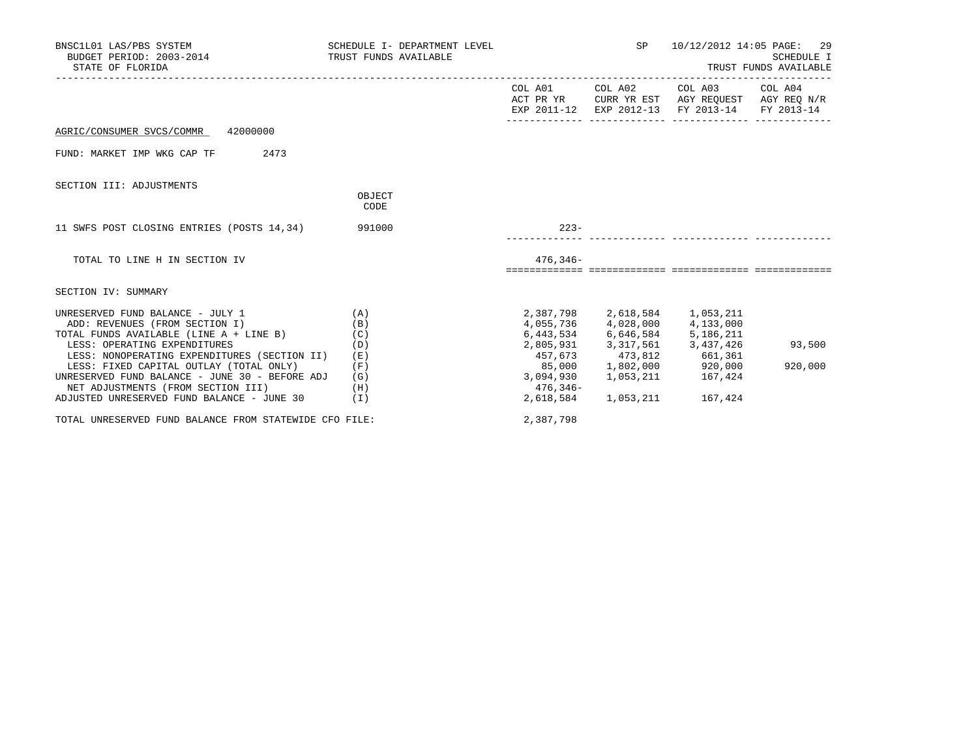| BNSC1L01 LAS/PBS SYSTEM<br>BUDGET PERIOD: 2003-2014 TRUST FUNDS AVAILABLE<br>STATE OF FLORIDA                            | SCHEDULE I- DEPARTMENT LEVEL |                     | 29<br>10/12/2012 14:05 PAGE:<br>SCHEDULE I<br>TRUST FUNDS AVAILABLE                                                               |         |
|--------------------------------------------------------------------------------------------------------------------------|------------------------------|---------------------|-----------------------------------------------------------------------------------------------------------------------------------|---------|
|                                                                                                                          |                              |                     | COL A01 COL A02 COL A03 COL A04<br>ACT PR YR CURR YR EST AGY REQUEST AGY REQ N/R<br>EXP 2011-12 EXP 2012-13 FY 2013-14 FY 2013-14 |         |
| AGRIC/CONSUMER SVCS/COMMR 42000000                                                                                       |                              |                     |                                                                                                                                   |         |
| 2473<br>FUND: MARKET IMP WKG CAP TF                                                                                      |                              |                     |                                                                                                                                   |         |
| SECTION III: ADJUSTMENTS                                                                                                 |                              |                     |                                                                                                                                   |         |
|                                                                                                                          | OBJECT<br>CODE               |                     |                                                                                                                                   |         |
| 11 SWFS POST CLOSING ENTRIES (POSTS 14,34) 991000                                                                        |                              | $223-$              |                                                                                                                                   |         |
| TOTAL TO LINE H IN SECTION IV                                                                                            |                              | $476.346 -$         |                                                                                                                                   |         |
| SECTION IV: SUMMARY                                                                                                      |                              |                     |                                                                                                                                   |         |
| UNRESERVED FUND BALANCE - JULY 1<br>(A)<br>ADD: REVENUES (FROM SECTION I)<br>TOTAL FUNDS AVAILABLE (LINE A + LINE B) (C) | (B)                          |                     | 2,387,798 2,618,584 1,053,211<br>4,055,736 4,028,000 4,133,000<br>6,443,534 6,646,584 5,186,211                                   |         |
| LESS: OPERATING EXPENDITURES<br>LESS: NONOPERATING EXPENDITURES (SECTION II)                                             | (D)<br>(E)                   |                     | 2,805,931 3,317,561 3,437,426<br>457,673 473,812 661,361                                                                          | 93,500  |
| LESS: FIXED CAPITAL OUTLAY (TOTAL ONLY)<br>UNRESERVED FUND BALANCE - JUNE 30 - BEFORE ADJ                                | (F)<br>(G)                   | 3,094,930 1,053,211 | $85,000$ $1,802,000$ $920,000$<br>167,424                                                                                         | 920,000 |
| NET ADJUSTMENTS (FROM SECTION III)<br>ADJUSTED UNRESERVED FUND BALANCE - JUNE 30                                         | (H)<br>( I )                 | 476,346-            | 2,618,584 1,053,211 167,424                                                                                                       |         |
| TOTAL UNRESERVED FUND BALANCE FROM STATEWIDE CFO FILE:                                                                   |                              | 2,387,798           |                                                                                                                                   |         |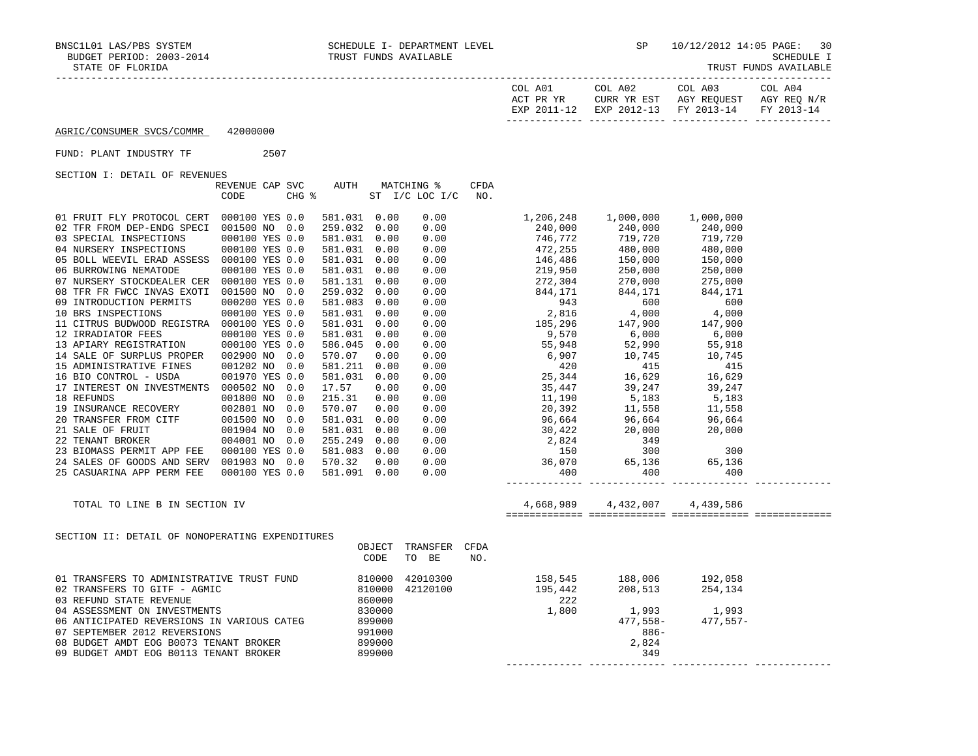| COL<br>A01<br>ACT PR YR<br>FYD | COL A02<br>YR EST<br>HTRR.<br>$2012 - 13$<br><b>EXP</b> | COL A03<br>AGY REQUEST<br>$2013 - 14$<br><b>FV</b> | COL A04<br>AGY REQ<br>N/R<br>$2013 - 14$<br><b>TRAZ</b> |
|--------------------------------|---------------------------------------------------------|----------------------------------------------------|---------------------------------------------------------|
|                                |                                                         |                                                    |                                                         |

FUND: PLANT INDUSTRY TF 2507

|                                                              | REVENUE CAP SVC |       | AUTH         |      | MATCHING %           | CFDA |                                                                                                                                                                                                                                                                                        |  |  |
|--------------------------------------------------------------|-----------------|-------|--------------|------|----------------------|------|----------------------------------------------------------------------------------------------------------------------------------------------------------------------------------------------------------------------------------------------------------------------------------------|--|--|
|                                                              | CODE            | CHG % |              |      | ST I/C LOC I/C       | NO.  |                                                                                                                                                                                                                                                                                        |  |  |
|                                                              |                 |       |              |      |                      |      |                                                                                                                                                                                                                                                                                        |  |  |
| 01 FRUIT FLY PROTOCOL CERT 000100 YES 0.0                    |                 |       | 581.031 0.00 |      | 0.00                 |      |                                                                                                                                                                                                                                                                                        |  |  |
| 02 TFR FROM DEP-ENDG SPECI                                   | 001500 NO 0.0   |       | 259.032 0.00 |      |                      |      |                                                                                                                                                                                                                                                                                        |  |  |
| 03 SPECIAL INSPECTIONS                                       | 000100 YES 0.0  |       | 581.031 0.00 |      |                      |      |                                                                                                                                                                                                                                                                                        |  |  |
| 04 NURSERY INSPECTIONS                                       | 000100 YES 0.0  |       | 581.031 0.00 |      |                      |      |                                                                                                                                                                                                                                                                                        |  |  |
| 05 BOLL WEEVIL ERAD ASSESS 000100 YES 0.0                    |                 |       | 581.031 0.00 |      |                      |      |                                                                                                                                                                                                                                                                                        |  |  |
| 06 BURROWING NEMATODE                                        | 000100 YES 0.0  |       | 581.031 0.00 |      |                      |      |                                                                                                                                                                                                                                                                                        |  |  |
| 07 NURSERY STOCKDEALER CER 000100 YES 0.0                    |                 |       | 581.131 0.00 |      |                      |      |                                                                                                                                                                                                                                                                                        |  |  |
| 08 TFR FR FWCC INVAS EXOTI 001500 NO 0.0                     |                 |       | 259.032 0.00 |      |                      |      |                                                                                                                                                                                                                                                                                        |  |  |
| 09 INTRODUCTION PERMITS                                      | 000200 YES 0.0  |       | 581.083 0.00 |      |                      |      |                                                                                                                                                                                                                                                                                        |  |  |
| 10 BRS INSPECTIONS                                           | 000100 YES 0.0  |       | 581.031 0.00 |      |                      |      |                                                                                                                                                                                                                                                                                        |  |  |
| 11 CITRUS BUDWOOD REGISTRA 000100 YES 0.0                    |                 |       | 581.031 0.00 |      |                      |      |                                                                                                                                                                                                                                                                                        |  |  |
| 12 IRRADIATOR FEES                                           | 000100 YES 0.0  |       | 581.031 0.00 |      |                      |      |                                                                                                                                                                                                                                                                                        |  |  |
| 13 APIARY REGISTRATION                                       | 000100 YES 0.0  |       | 586.045 0.00 |      |                      |      |                                                                                                                                                                                                                                                                                        |  |  |
| 14 SALE OF SURPLUS PROPER 002900 NO 0.0                      |                 |       | 570.07       | 0.00 |                      |      |                                                                                                                                                                                                                                                                                        |  |  |
| 15 ADMINISTRATIVE FINES                                      | 001202 NO 0.0   |       | 581.211 0.00 |      |                      |      |                                                                                                                                                                                                                                                                                        |  |  |
| 16 BIO CONTROL - USDA                                        | 001970 YES 0.0  |       | 581.031 0.00 |      |                      |      |                                                                                                                                                                                                                                                                                        |  |  |
| 17 INTEREST ON INVESTMENTS 000502 NO 0.0                     |                 |       | 17.57        | 0.00 |                      |      |                                                                                                                                                                                                                                                                                        |  |  |
| 18 REFUNDS<br>19 INSURANCE RECOVERY<br>20 TRANSFER FROM CITF | 001800 NO       | 0.0   | 215.31       | 0.00 |                      |      |                                                                                                                                                                                                                                                                                        |  |  |
|                                                              | 002801 NO       | 0.0   | 570.07       | 0.00 |                      |      |                                                                                                                                                                                                                                                                                        |  |  |
|                                                              | 001500 NO       | 0.0   | 581.031 0.00 |      |                      |      |                                                                                                                                                                                                                                                                                        |  |  |
| 21 SALE OF FRUIT                                             | 001904 NO 0.0   |       | 581.031 0.00 |      |                      |      |                                                                                                                                                                                                                                                                                        |  |  |
| 22 TENANT BROKER                                             | 004001 NO 0.0   |       | 255.249 0.00 |      |                      |      |                                                                                                                                                                                                                                                                                        |  |  |
| 23 BIOMASS PERMIT APP FEE  000100 YES 0.0                    |                 |       | 581.083 0.00 |      |                      |      |                                                                                                                                                                                                                                                                                        |  |  |
| 24 SALES OF GOODS AND SERV 001903 NO 0.0                     |                 |       | 570.32       | 0.00 |                      |      |                                                                                                                                                                                                                                                                                        |  |  |
| 25 CASUARINA APP PERM FEE                                    | 000100 YES 0.0  |       | 581.091 0.00 |      |                      |      |                                                                                                                                                                                                                                                                                        |  |  |
|                                                              |                 |       |              |      |                      |      | $\begin{array}{cccccccc} 0.00 & 1.206\,, 248 & 1.000\,, 000 & 1.000\,, 000 \\ 0.00 & 240\,, 000 & 240\,, 000 & 240\,, 000 \\ 0.00 & 746\,, 772 & 719\,, 720 & 719\,, 720 \\ 0.00 & 472\,, 255 & 480\,, 000 & 480\,, 000 \\ 0.00 & 146\,, 486 & 150\,, 000 & 150\,, 000 \\ 0.00 & 219\$ |  |  |
| TOTAL TO LINE B IN SECTION IV                                |                 |       |              |      |                      |      |                                                                                                                                                                                                                                                                                        |  |  |
|                                                              |                 |       |              |      |                      |      |                                                                                                                                                                                                                                                                                        |  |  |
|                                                              |                 |       |              |      |                      |      |                                                                                                                                                                                                                                                                                        |  |  |
| SECTION II: DETAIL OF NONOPERATING EXPENDITURES              |                 |       |              |      |                      |      |                                                                                                                                                                                                                                                                                        |  |  |
|                                                              |                 |       |              |      | OBJECT TRANSFER CFDA |      |                                                                                                                                                                                                                                                                                        |  |  |
|                                                              |                 |       |              | CODE | TO BE                | NO.  |                                                                                                                                                                                                                                                                                        |  |  |
|                                                              |                 |       |              |      |                      |      |                                                                                                                                                                                                                                                                                        |  |  |
|                                                              |                 |       |              |      |                      |      |                                                                                                                                                                                                                                                                                        |  |  |
|                                                              |                 |       |              |      |                      |      |                                                                                                                                                                                                                                                                                        |  |  |
|                                                              |                 |       |              |      |                      |      |                                                                                                                                                                                                                                                                                        |  |  |
|                                                              |                 |       |              |      |                      |      |                                                                                                                                                                                                                                                                                        |  |  |
|                                                              |                 |       |              |      |                      |      |                                                                                                                                                                                                                                                                                        |  |  |
|                                                              |                 |       |              |      |                      |      |                                                                                                                                                                                                                                                                                        |  |  |
|                                                              |                 |       |              |      |                      |      |                                                                                                                                                                                                                                                                                        |  |  |
|                                                              |                 |       |              |      |                      |      |                                                                                                                                                                                                                                                                                        |  |  |
|                                                              |                 |       |              |      |                      |      |                                                                                                                                                                                                                                                                                        |  |  |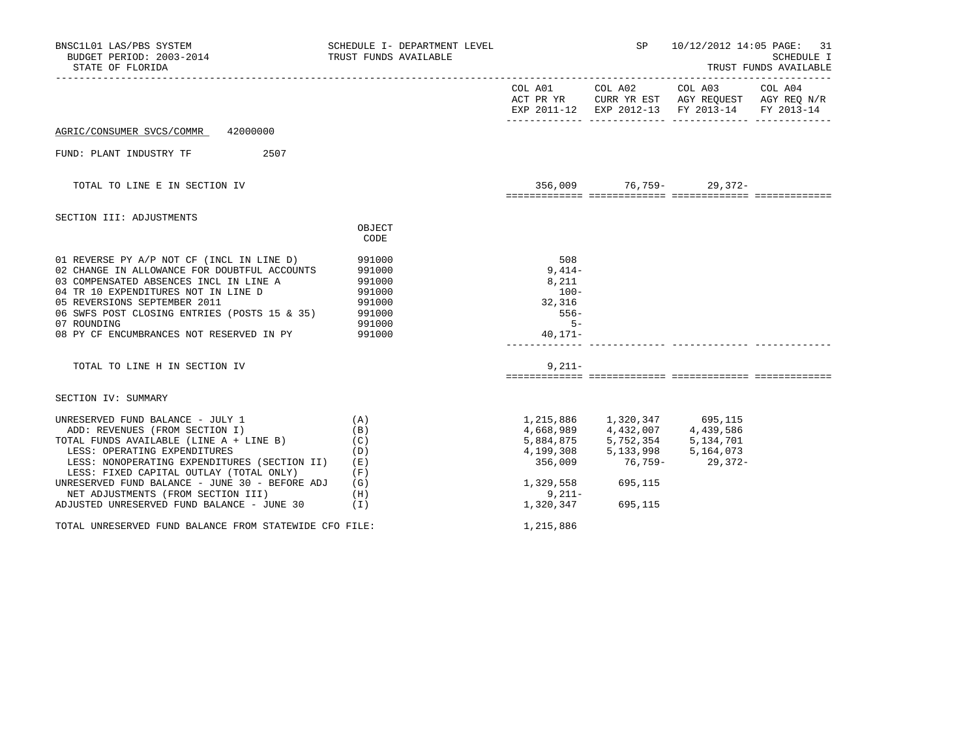| BNSC1L01 LAS/PBS SYSTEM<br>BUDGET PERIOD: 2003-2014<br>STATE OF FLORIDA                                                                                                                                                                                                                                                                                                                                                                          | SCHEDULE I- DEPARTMENT LEVEL<br>TRUST FUNDS AVAILABLE |                                                                          |                   | SP 10/12/2012 14:05 PAGE: 31                                                                                                      | <b>SCHEDULE I</b><br>TRUST FUNDS AVAILABLE |
|--------------------------------------------------------------------------------------------------------------------------------------------------------------------------------------------------------------------------------------------------------------------------------------------------------------------------------------------------------------------------------------------------------------------------------------------------|-------------------------------------------------------|--------------------------------------------------------------------------|-------------------|-----------------------------------------------------------------------------------------------------------------------------------|--------------------------------------------|
|                                                                                                                                                                                                                                                                                                                                                                                                                                                  |                                                       |                                                                          |                   | COL A01 COL A02 COL A03 COL A04<br>ACT PR YR CURR YR EST AGY REQUEST AGY REQ N/R<br>EXP 2011-12 EXP 2012-13 FY 2013-14 FY 2013-14 |                                            |
| AGRIC/CONSUMER SVCS/COMMR 42000000                                                                                                                                                                                                                                                                                                                                                                                                               |                                                       |                                                                          |                   |                                                                                                                                   |                                            |
| FUND: PLANT INDUSTRY TF 2507                                                                                                                                                                                                                                                                                                                                                                                                                     |                                                       |                                                                          |                   |                                                                                                                                   |                                            |
| TOTAL TO LINE E IN SECTION IV                                                                                                                                                                                                                                                                                                                                                                                                                    |                                                       |                                                                          |                   | $356,009$ 76,759- 29,372-                                                                                                         |                                            |
| SECTION III: ADJUSTMENTS                                                                                                                                                                                                                                                                                                                                                                                                                         | OBJECT<br>CODE                                        |                                                                          |                   |                                                                                                                                   |                                            |
| 01 REVERSE PY A/P NOT CF (INCL IN LINE D) 991000<br>$\hat{C}$ (including the solution of the positive state of DOURTE 991000<br>03 COMPENSATED ABSENCES INCL IN LINE A<br>04 TR 10 EXPENDITURES NOT IN LINE D<br>05 REVERSIONS SEPTEMBER 2011<br>06 SWFS POST CLOSING ENTRIES (POSTS 15 & 35) 991000<br>07 ROUNDING<br>08 PY CF ENCUMBRANCES NOT RESERVED IN PY                                                                                  | 991000<br>991000<br>991000<br>991000<br>991000        | 508<br>$9,414-$<br>8,211<br>$100-$<br>32,316<br>556-<br>$5 -$<br>40,171- |                   |                                                                                                                                   |                                            |
| TOTAL TO LINE H IN SECTION IV                                                                                                                                                                                                                                                                                                                                                                                                                    |                                                       | $9.211 -$                                                                |                   |                                                                                                                                   |                                            |
| SECTION IV: SUMMARY                                                                                                                                                                                                                                                                                                                                                                                                                              |                                                       |                                                                          |                   |                                                                                                                                   |                                            |
| UNRESERVED FUND BALANCE - JULY 1<br>ADD: REVENUES (FROM SECTION I)<br>TOTAL FUNDS AVAILABLE (LINE A + LINE B)<br>LESS: OPERATING EXPENDITURES<br>LESS: NONOPERATING EXPENDITURES (SECTION II) (E)<br>LESS: FIXED CAPITAL OUTLAY (TOTAL ONLY)<br>UNRESERVED FUND BALANCE - JUNE 30 - BEFORE ADJ (G)<br>NET ADJUSTMENTS (FROM SECTION III)<br>ADJUSTED UNRESERVED FUND BALANCE - JUNE 30<br>TOTAL UNRESERVED FUND BALANCE FROM STATEWIDE CFO FILE: | (A)<br>(B)<br>(C)<br>(D)<br>(F)<br>(H)<br>(1)         | 1,329,558 695,115<br>$9,211-$<br>1,215,886                               | 1,320,347 695,115 | 29,372-                                                                                                                           |                                            |
|                                                                                                                                                                                                                                                                                                                                                                                                                                                  |                                                       |                                                                          |                   |                                                                                                                                   |                                            |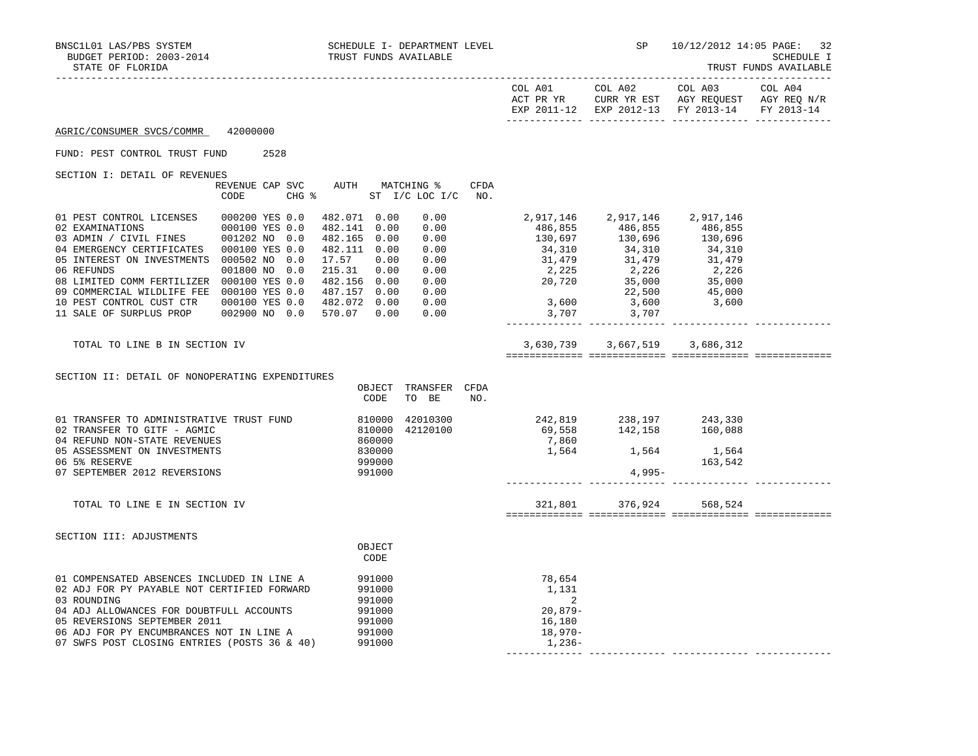------------- ------------- ------------- -------------

|                                                                                                                                                                                                                                                                                                                                                                                                                                                                                                                                                           |               |                                                                                                           |             |                                                                                                                                                                                                                                                                              |                                              | COL A01 COL A02 COL A03<br>ACT PR YR CURR YR EST AGY REQUEST AGY REQ N/R<br>EXP 2011-12 EXP 2012-13 FY 2013-14 FY 2013-14 | COL A04 |
|-----------------------------------------------------------------------------------------------------------------------------------------------------------------------------------------------------------------------------------------------------------------------------------------------------------------------------------------------------------------------------------------------------------------------------------------------------------------------------------------------------------------------------------------------------------|---------------|-----------------------------------------------------------------------------------------------------------|-------------|------------------------------------------------------------------------------------------------------------------------------------------------------------------------------------------------------------------------------------------------------------------------------|----------------------------------------------|---------------------------------------------------------------------------------------------------------------------------|---------|
| AGRIC/CONSUMER SVCS/COMMR 42000000                                                                                                                                                                                                                                                                                                                                                                                                                                                                                                                        |               |                                                                                                           |             |                                                                                                                                                                                                                                                                              |                                              |                                                                                                                           |         |
| FUND: PEST CONTROL TRUST FUND                                                                                                                                                                                                                                                                                                                                                                                                                                                                                                                             | 2528          |                                                                                                           |             |                                                                                                                                                                                                                                                                              |                                              |                                                                                                                           |         |
| SECTION I: DETAIL OF REVENUES                                                                                                                                                                                                                                                                                                                                                                                                                                                                                                                             | CODE          | REVENUE CAP SVC AUTH MATCHING %<br>CHG % ST I/C LOC I/C NO.                                               | <b>CFDA</b> |                                                                                                                                                                                                                                                                              |                                              |                                                                                                                           |         |
| 01 PEST CONTROL LICENSES 000200 YES 0.0<br>$\begin{tabular}{llllll} 02 \texttt{ EXAMPLE} & 000100 \texttt{ Yes} & 0.0 \\ 03 \texttt{ ADMIN} & / \texttt{CIVIL FINES} & 001202 \texttt{ NO} & 0.0 \\ \end{tabular}$<br>04 EMERGENCY CERTIFICATES 000100 YES 0.0<br>05 INTEREST ON INVESTMENTS 000502 NO 0.0<br>06 REFUNDS<br>08 LIMITED COMM FERTILIZER 000100 YES 0.0<br>09 COMMERCIAL WILDLIFE FEE  000100 YES 0.0  487.157  0.00<br>10 PEST CONTROL CUST CTR 000100 YES 0.0 482.072 0.00 0.00<br>11 SALE OF SURPLUS PROP 002900 NO 0.0 570.07 0.00 0.00 | 001800 NO 0.0 | 482.071 0.00<br>482.141 0.00<br>482.165 0.00<br>482.111 0.00<br>17.57 0.00<br>215.31 0.00<br>482.156 0.00 | 0.00        | $\begin{array}{cccccc} 0.00 & 2,917,146 & 2,917,146 & 2,917,146 \\ 0.00 & 486,855 & 486,855 & 486,856 \\ 0.00 & 34,310 & 34,310 & 34,310 \\ 0.00 & 34,310 & 34,310 & 34,310 \\ 0.00 & 31,479 & 31,479 & 31,479 \\ 0.00 & 2,225 & 2,226 & 2,226 \\ 0.00 & 20,720 & 35,000 & $ | 2,917,146 2,917,146 2,917,146<br>3,707 3,707 |                                                                                                                           |         |
| TOTAL TO LINE B IN SECTION IV                                                                                                                                                                                                                                                                                                                                                                                                                                                                                                                             |               |                                                                                                           |             |                                                                                                                                                                                                                                                                              | 3,630,739 3,667,519 3,686,312                |                                                                                                                           |         |
| SECTION II: DETAIL OF NONOPERATING EXPENDITURES                                                                                                                                                                                                                                                                                                                                                                                                                                                                                                           |               | OBJECT TRANSFER CFDA<br>CODE<br>TO BE                                                                     | NO.         |                                                                                                                                                                                                                                                                              |                                              |                                                                                                                           |         |
| 01 TRANSFER TO ADMINISTRATIVE TRUST FUND<br>02 TRANSFER TO GITF - AGMIC<br>04 REFUND NON-STATE REVENUES<br>05 ASSESSMENT ON INVESTMENTS<br>06 5% RESERVE<br>07 SEPTEMBER 2012 REVERSIONS                                                                                                                                                                                                                                                                                                                                                                  |               | 810000<br>810000<br>860000<br>42010300<br>42120100<br>830000<br>999000<br>991000                          |             | 242,819 238,197 243,330<br>69,558 142,158 160,088                                                                                                                                                                                                                            | 7,860<br>1,564 1,564 1,564<br>4,995-         | 163,542                                                                                                                   |         |
| TOTAL TO LINE E IN SECTION IV                                                                                                                                                                                                                                                                                                                                                                                                                                                                                                                             |               |                                                                                                           |             |                                                                                                                                                                                                                                                                              | 321,801 376,924 568,524                      |                                                                                                                           |         |
| SECTION III: ADJUSTMENTS                                                                                                                                                                                                                                                                                                                                                                                                                                                                                                                                  |               | OBJECT<br>CODE                                                                                            |             |                                                                                                                                                                                                                                                                              |                                              |                                                                                                                           |         |
| 01 COMPENSATED ABSENCES INCLUDED IN LINE A<br>02 ADJ FOR PY PAYABLE NOT CERTIFIED FORWARD<br>03 ROUNDING<br>04 ADJ ALLOWANCES FOR DOUBTFULL ACCOUNTS<br>05 REVERSIONS SEPTEMBER 2011<br>06 ADJ FOR PY ENCUMBRANCES NOT IN LINE A<br>07 SWFS POST CLOSING ENTRIES (POSTS 36 & 40)                                                                                                                                                                                                                                                                          |               | 991000<br>991000<br>991000<br>991000<br>991000<br>991000<br>991000                                        |             | 78,654<br>1,131<br>2<br>$20,879-$<br>16,180<br>18,970-<br>1,236-                                                                                                                                                                                                             |                                              |                                                                                                                           |         |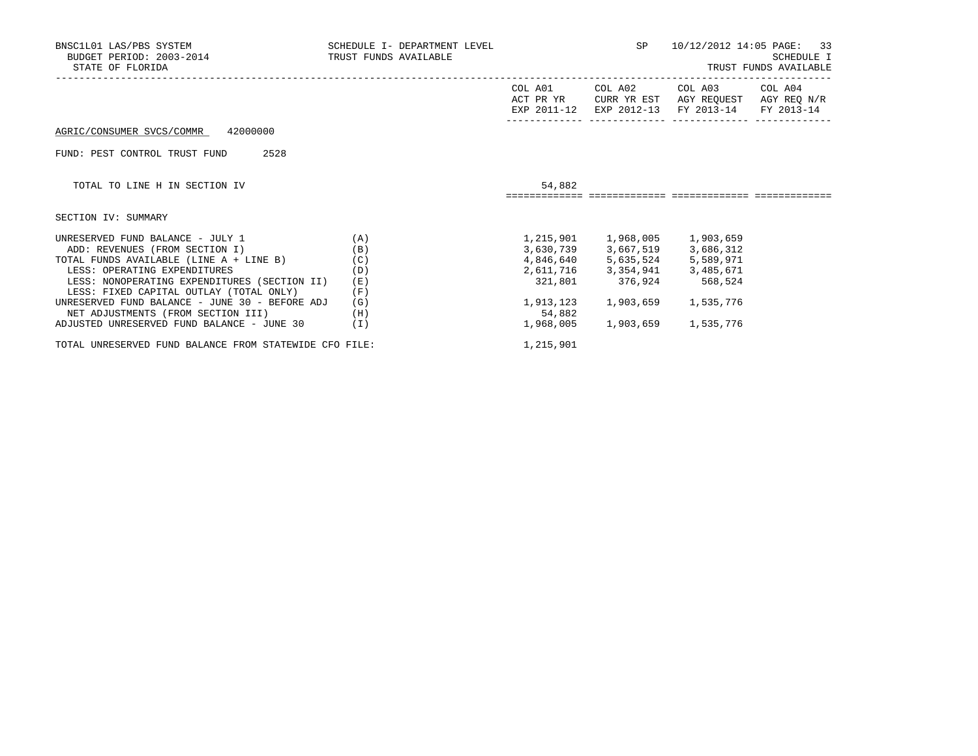| BNSC1L01 LAS/PBS SYSTEM<br>BUDGET PERIOD: 2003-2014<br>STATE OF FLORIDA | SCHEDULE I- DEPARTMENT LEVEL<br>TRUST FUNDS AVAILABLE |                      | SP                                                             | 10/12/2012 14:05 PAGE:             | -33<br>SCHEDULE I<br>TRUST FUNDS AVAILABLE |
|-------------------------------------------------------------------------|-------------------------------------------------------|----------------------|----------------------------------------------------------------|------------------------------------|--------------------------------------------|
|                                                                         |                                                       | COL A01<br>ACT PR YR | COL A02<br>CURR YR EST                                         | COL A03                            | COL A04<br>AGY REOUEST AGY REO N/R         |
|                                                                         |                                                       |                      |                                                                | EXP 2011-12 EXP 2012-13 FY 2013-14 | FY 2013-14                                 |
| 42000000<br>AGRIC/CONSUMER SVCS/COMMR                                   |                                                       |                      |                                                                |                                    |                                            |
| 2528<br>FUND: PEST CONTROL TRUST FUND                                   |                                                       |                      |                                                                |                                    |                                            |
| TOTAL TO LINE H IN SECTION IV                                           |                                                       | 54,882               |                                                                |                                    |                                            |
|                                                                         |                                                       |                      |                                                                |                                    |                                            |
| SECTION IV: SUMMARY                                                     |                                                       |                      |                                                                |                                    |                                            |
| UNRESERVED FUND BALANCE - JULY 1                                        | (A)                                                   |                      | 1,215,901   1,968,005   1,903,659                              |                                    |                                            |
| ADD: REVENUES (FROM SECTION I)                                          | (B)                                                   |                      | 3,630,739 3,667,519 3,686,312<br>4,846,640 5,635,524 5,589,971 |                                    |                                            |
| TOTAL FUNDS AVAILABLE (LINE A + LINE B)                                 | (C)                                                   |                      |                                                                |                                    |                                            |
| LESS: OPERATING EXPENDITURES                                            | (D)                                                   |                      | 2,611,716 3,354,941 3,485,671                                  |                                    |                                            |
| LESS: NONOPERATING EXPENDITURES (SECTION II)                            | (E)                                                   | 321,801              | 376,924                                                        | 568,524                            |                                            |
| LESS: FIXED CAPITAL OUTLAY (TOTAL ONLY)                                 | (F)                                                   |                      |                                                                |                                    |                                            |
| UNRESERVED FUND BALANCE - JUNE 30 - BEFORE ADJ                          | (G)                                                   | 1,913,123            | 1,903,659                                                      | 1,535,776                          |                                            |
| NET ADJUSTMENTS (FROM SECTION III)                                      | (H)                                                   | 54,882               |                                                                |                                    |                                            |
| ADJUSTED UNRESERVED FUND BALANCE - JUNE 30                              | (I)                                                   | 1,968,005            | 1,903,659                                                      | 1,535,776                          |                                            |
| TOTAL UNRESERVED FUND BALANCE FROM STATEWIDE CFO FILE:                  |                                                       | 1,215,901            |                                                                |                                    |                                            |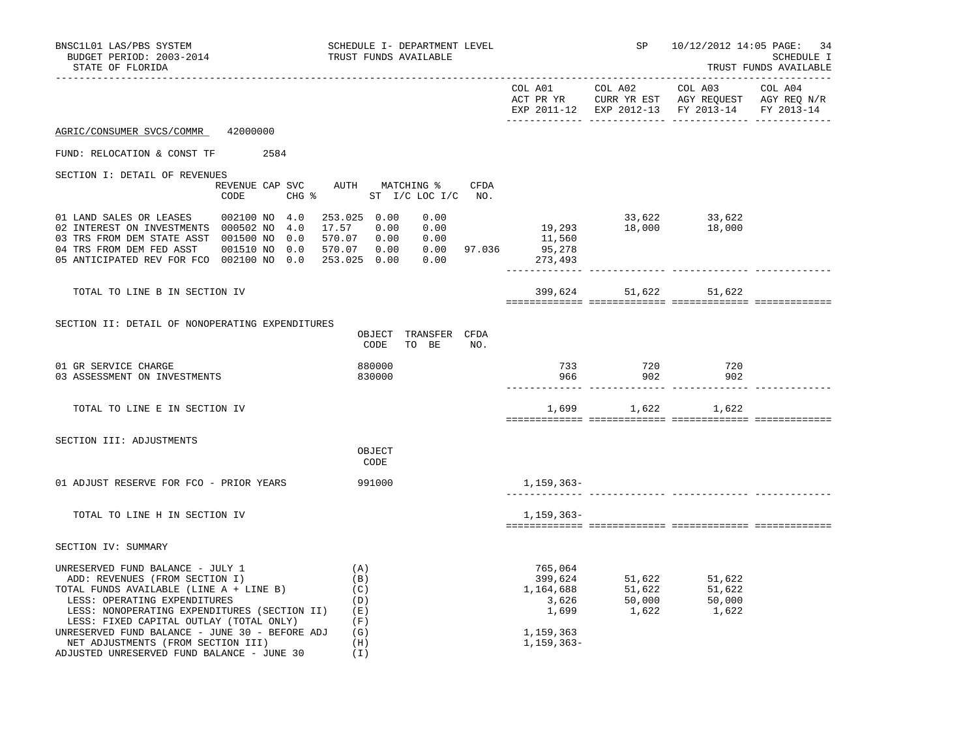| BNSC1L01 LAS/PBS SYSTEM<br>BUDGET PERIOD: 2003-2014<br>STATE OF FLORIDA                                                                                                                                                                                                                                                                                                        | SCHEDULE I- DEPARTMENT LEVEL<br>TRUST FUNDS AVAILABLE                                                |                                                                                 |                | SP 10/12/2012 14:05 PAGE: 34                                                                                                                                          | SCHEDULE I<br>TRUST FUNDS AVAILABLE |
|--------------------------------------------------------------------------------------------------------------------------------------------------------------------------------------------------------------------------------------------------------------------------------------------------------------------------------------------------------------------------------|------------------------------------------------------------------------------------------------------|---------------------------------------------------------------------------------|----------------|-----------------------------------------------------------------------------------------------------------------------------------------------------------------------|-------------------------------------|
|                                                                                                                                                                                                                                                                                                                                                                                |                                                                                                      |                                                                                 |                | EXP 2011-12 EXP 2012-13 FY 2013-14 FY 2013-14                                                                                                                         |                                     |
| AGRIC/CONSUMER SVCS/COMMR 42000000                                                                                                                                                                                                                                                                                                                                             |                                                                                                      |                                                                                 |                |                                                                                                                                                                       |                                     |
| FUND: RELOCATION & CONST TF 2584                                                                                                                                                                                                                                                                                                                                               |                                                                                                      |                                                                                 |                |                                                                                                                                                                       |                                     |
| SECTION I: DETAIL OF REVENUES<br>CODE                                                                                                                                                                                                                                                                                                                                          | REVENUE CAP SVC AUTH MATCHING %<br>CFDA<br>CHG % ST I/C LOC I/C NO.                                  |                                                                                 |                |                                                                                                                                                                       |                                     |
| 01 LAND SALES OR LEASES 002100 NO 4.0<br>02 INTEREST ON INVESTMENTS 000502 NO 4.0<br>03 TRS FROM DEM STATE ASST 001500 NO 0.0<br>04 TRS FROM DEM FED ASST 001510 NO 0.0<br>05 ANTICIPATED REV FOR FCO 002100 NO 0.0 253.025 0.00 0.00                                                                                                                                          | 253.025 0.00<br>0.00<br>17.57 0.00<br>0.00<br>$570.07$ 0.00 0.00<br>$570.07$ 0.00 0.00 97.036 95,278 | $33,622$<br>$19,293$<br>$18,000$<br>$18,000$<br>$18,000$<br>$18,000$<br>273,493 |                |                                                                                                                                                                       |                                     |
| TOTAL TO LINE B IN SECTION IV                                                                                                                                                                                                                                                                                                                                                  |                                                                                                      |                                                                                 | 399,624 51,622 | 51,622                                                                                                                                                                |                                     |
| SECTION II: DETAIL OF NONOPERATING EXPENDITURES                                                                                                                                                                                                                                                                                                                                | OBJECT TRANSFER CFDA<br>CODE<br>TO BE NO.                                                            |                                                                                 |                |                                                                                                                                                                       |                                     |
| 01 GR SERVICE CHARGE<br>03 ASSESSMENT ON INVESTMENTS                                                                                                                                                                                                                                                                                                                           | 880000<br>830000                                                                                     | 966                                                                             | 733 720<br>902 | 720<br>902                                                                                                                                                            |                                     |
| TOTAL TO LINE E IN SECTION IV                                                                                                                                                                                                                                                                                                                                                  |                                                                                                      |                                                                                 |                | 1,699 1,622 1,622                                                                                                                                                     |                                     |
| SECTION III: ADJUSTMENTS                                                                                                                                                                                                                                                                                                                                                       | OBJECT<br>CODE                                                                                       |                                                                                 |                |                                                                                                                                                                       |                                     |
| 01 ADJUST RESERVE FOR FCO - PRIOR YEARS 991000                                                                                                                                                                                                                                                                                                                                 |                                                                                                      | 1,159,363–                                                                      |                |                                                                                                                                                                       |                                     |
| TOTAL TO LINE H IN SECTION IV                                                                                                                                                                                                                                                                                                                                                  |                                                                                                      | 1,159,363–                                                                      |                |                                                                                                                                                                       |                                     |
| SECTION IV: SUMMARY                                                                                                                                                                                                                                                                                                                                                            |                                                                                                      |                                                                                 |                |                                                                                                                                                                       |                                     |
| UNRESERVED FUND BALANCE - JULY 1<br>ADD: REVENUES (FROM SECTION I)<br>TOTAL FUNDS AVAILABLE (LINE A + LINE B)<br>LESS: OPERATING EXPENDITURES<br>LESS: NONOPERATING EXPENDITURES (SECTION II)<br>LESS: FIXED CAPITAL OUTLAY (TOTAL ONLY)<br>UNRESERVED FUND BALANCE - JUNE 30 - BEFORE ADJ<br>NET ADJUSTMENTS (FROM SECTION III)<br>ADJUSTED UNRESERVED FUND BALANCE - JUNE 30 | (A)<br>(B)<br>(C)<br>(D)<br>(E)<br>(F)<br>(G)<br>(H)<br>(I)                                          | 765,064<br>399,624<br>1,159,363<br>1,159,363-                                   |                | 51,622 51,622<br>51,622 51,622<br>$\begin{array}{cccc} 1,164,688 & & & 51,622 & & 51,622 \\ 3,626 & & & 50,000 & & 50,000 \\ 1,699 & & & 1,622 & & 1,622 \end{array}$ |                                     |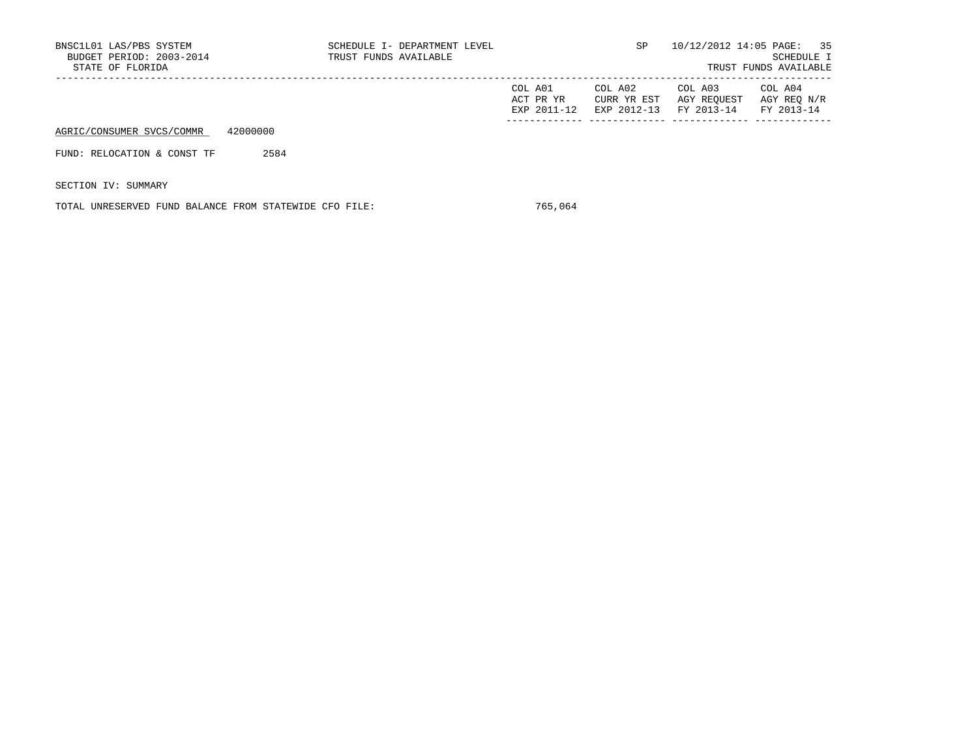| BNSC1L01 LAS/PBS SYSTEM<br>BUDGET PERIOD: 2003-2014<br>STATE OF FLORIDA |          | TRUST FUNDS AVAILABLE | SCHEDULE I- DEPARTMENT LEVEL |                                     | SP.                                   |                                      | 10/12/2012 14:05 PAGE: 35<br>SCHEDULE I<br>TRUST FUNDS AVAILABLE |
|-------------------------------------------------------------------------|----------|-----------------------|------------------------------|-------------------------------------|---------------------------------------|--------------------------------------|------------------------------------------------------------------|
|                                                                         |          |                       |                              | COL A01<br>ACT PR YR<br>EXP 2011-12 | COL A02<br>CURR YR EST<br>EXP 2012-13 | COL A03<br>AGY REOUEST<br>FY 2013-14 | COL A04<br>AGY REO N/R<br>FY 2013-14                             |
| AGRIC/CONSUMER SVCS/COMMR                                               | 42000000 |                       |                              |                                     |                                       |                                      |                                                                  |
| FUND: RELOCATION & CONST TF                                             | 2584     |                       |                              |                                     |                                       |                                      |                                                                  |
| SECTION IV: SUMMARY                                                     |          |                       |                              |                                     |                                       |                                      |                                                                  |

TOTAL UNRESERVED FUND BALANCE FROM STATEWIDE CFO FILE: 765,064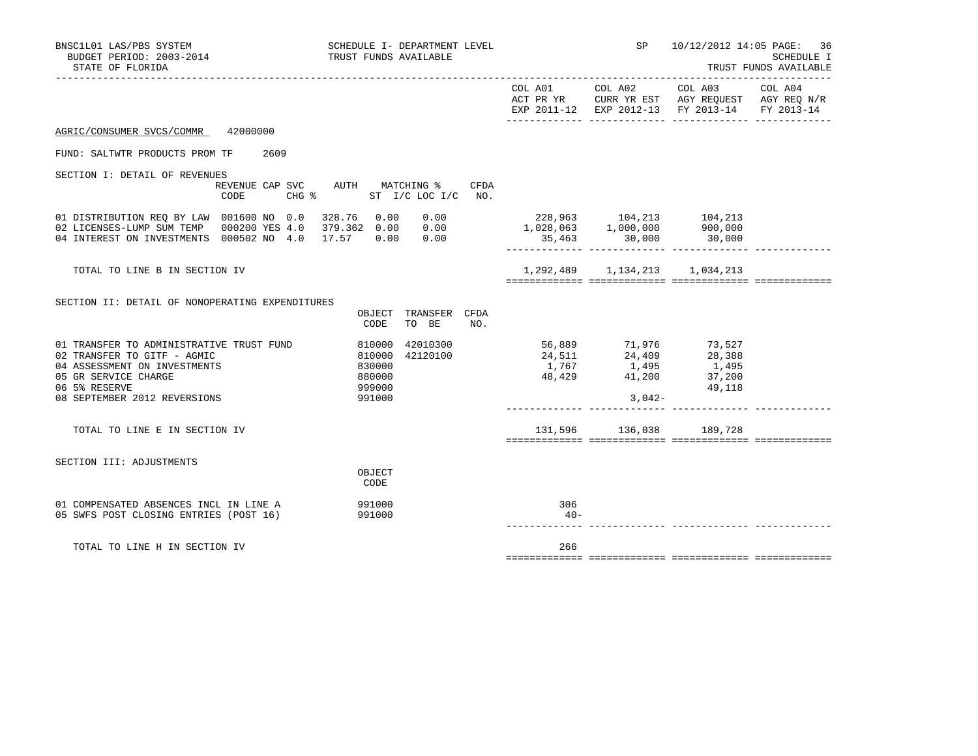| BNSC1L01 LAS/PBS SYSTEM<br>BUDGET PERIOD: 2003-2014<br>STATE OF FLORIDA                                                                                                             | SCHEDULE I- DEPARTMENT LEVEL<br>TRUST FUNDS AVAILABLE                           |                                                                                      |                 | SP 10/12/2012 14:05 PAGE: 36                                                                                                           | SCHEDULE I<br>TRUST FUNDS AVAILABLE |
|-------------------------------------------------------------------------------------------------------------------------------------------------------------------------------------|---------------------------------------------------------------------------------|--------------------------------------------------------------------------------------|-----------------|----------------------------------------------------------------------------------------------------------------------------------------|-------------------------------------|
|                                                                                                                                                                                     |                                                                                 |                                                                                      | COL A01 COL A02 | COL A03 COL A04<br>ACT PR YR $\,$ CURR YR EST $\,$ AGY REQUEST $\,$ AGY REQ $\rm N/R$<br>EXP 2011-12 EXP 2012-13 FY 2013-14 FY 2013-14 |                                     |
| AGRIC/CONSUMER SVCS/COMMR 42000000                                                                                                                                                  |                                                                                 |                                                                                      |                 |                                                                                                                                        |                                     |
| FUND: SALTWTR PRODUCTS PROM TF 2609                                                                                                                                                 |                                                                                 |                                                                                      |                 |                                                                                                                                        |                                     |
| SECTION I: DETAIL OF REVENUES<br>CODE                                                                                                                                               | REVENUE CAP SVC AUTH MATCHING %<br>CFDA<br>CHG $\textdegree$ ST I/C LOC I/C NO. |                                                                                      |                 |                                                                                                                                        |                                     |
| 01 DISTRIBUTION REQ BY LAW 001600 NO 0.0 328.76 0.00 0.00<br>02 LICENSES-LUMP SUM TEMP 000200 YES 4.0 379.362 0.00 0.00<br>04 INTEREST ON INVESTMENTS 000502 NO 4.0 17.57 0.00 0.00 |                                                                                 | 228,963 104,213 104,213<br>1,028,063 1,000,000 900,000<br>$35,463$ $30,000$ $30,000$ |                 |                                                                                                                                        |                                     |
| TOTAL TO LINE B IN SECTION IV                                                                                                                                                       |                                                                                 |                                                                                      |                 | 1,292,489 1,134,213 1,034,213                                                                                                          |                                     |
| SECTION II: DETAIL OF NONOPERATING EXPENDITURES                                                                                                                                     | OBJECT TRANSFER CFDA<br>CODE<br>TO BE<br>NO.                                    |                                                                                      |                 |                                                                                                                                        |                                     |
| 01 TRANSFER TO ADMINISTRATIVE TRUST FUND<br>02 TRANSFER TO GITF - AGMIC<br>04 ASSESSMENT ON INVESTMENTS<br>05 GR SERVICE CHARGE<br>06 5% RESERVE                                    | 42010300<br>810000<br>42120100<br>810000<br>830000<br>880000<br>999000          | 56,889 71,976 73,527<br>24,511 24,409 28,388<br>1,767 1,495 1,495                    |                 | $48,429$ $41,200$ $37,200$<br>49,118                                                                                                   |                                     |
| 08 SEPTEMBER 2012 REVERSIONS                                                                                                                                                        | 991000                                                                          |                                                                                      | $3,042-$        |                                                                                                                                        |                                     |
| TOTAL TO LINE E IN SECTION IV                                                                                                                                                       |                                                                                 |                                                                                      |                 | 131,596 136,038 189,728                                                                                                                |                                     |
| SECTION III: ADJUSTMENTS                                                                                                                                                            | OBJECT<br>CODE                                                                  |                                                                                      |                 |                                                                                                                                        |                                     |
| 01 COMPENSATED ABSENCES INCL IN LINE A 391000<br>05 SWFS POST CLOSING ENTRIES (POST 16)                                                                                             | 991000                                                                          | 306<br>$40 -$                                                                        |                 |                                                                                                                                        |                                     |
| TOTAL TO LINE H IN SECTION IV                                                                                                                                                       |                                                                                 | 266                                                                                  |                 |                                                                                                                                        |                                     |
|                                                                                                                                                                                     |                                                                                 |                                                                                      |                 |                                                                                                                                        |                                     |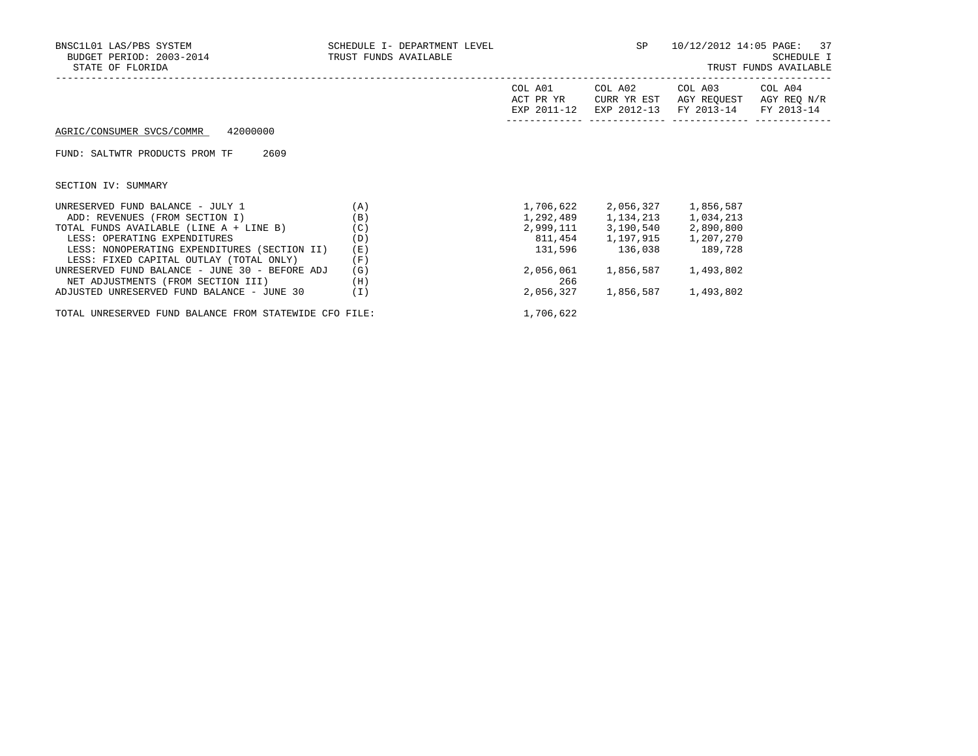| BNSC1L01 LAS/PBS SYSTEM<br>BUDGET PERIOD: 2003-2014 TRUST FUNDS AVAILABLE<br>STATE OF FLORIDA | SCHEDULE I- DEPARTMENT LEVEL |                      | SP                     | 10/12/2012 14:05 PAGE: 37                                                                   | SCHEDULE I<br>TRUST FUNDS AVAILABLE |
|-----------------------------------------------------------------------------------------------|------------------------------|----------------------|------------------------|---------------------------------------------------------------------------------------------|-------------------------------------|
|                                                                                               |                              | COL A01<br>ACT PR YR | COL A02<br>CURR YR EST | COL A03 COL A04<br>AGY REQUEST AGY REQ N/R<br>EXP 2011-12 EXP 2012-13 FY 2013-14 FY 2013-14 |                                     |
| AGRIC/CONSUMER SVCS/COMMR 42000000                                                            |                              |                      |                        |                                                                                             |                                     |
| FUND: SALTWTR PRODUCTS PROM TF<br>2609                                                        |                              |                      |                        |                                                                                             |                                     |
| SECTION IV: SUMMARY                                                                           |                              |                      |                        |                                                                                             |                                     |
| UNRESERVED FUND BALANCE - JULY 1<br>(A)                                                       |                              |                      | 1,706,622 2,056,327    | 1,856,587                                                                                   |                                     |
| ADD: REVENUES (FROM SECTION I)                                                                | (B)                          |                      |                        | 1,292,489 1,134,213 1,034,213                                                               |                                     |
| TOTAL FUNDS AVAILABLE (LINE A + LINE B)                                                       | (C)                          |                      |                        | 2,999,111 3,190,540 2,890,800                                                               |                                     |
| LESS: OPERATING EXPENDITURES                                                                  | (D)                          |                      |                        | 811,454 1,197,915 1,207,270                                                                 |                                     |
| LESS: NONOPERATING EXPENDITURES (SECTION II)                                                  | (E)                          |                      |                        | 131,596 136,038 189,728                                                                     |                                     |
| LESS: FIXED CAPITAL OUTLAY (TOTAL ONLY)                                                       | (F)                          |                      |                        |                                                                                             |                                     |
| UNRESERVED FUND BALANCE - JUNE 30 - BEFORE ADJ                                                | (G)                          | 2,056,061            | 1,856,587              | 1,493,802                                                                                   |                                     |
| NET ADJUSTMENTS (FROM SECTION III)                                                            | (H)                          | 266                  |                        |                                                                                             |                                     |
| ADJUSTED UNRESERVED FUND BALANCE - JUNE 30                                                    | (I)                          | 2,056,327            | 1,856,587              | 1,493,802                                                                                   |                                     |
|                                                                                               |                              |                      |                        |                                                                                             |                                     |

TOTAL UNRESERVED FUND BALANCE FROM STATEWIDE CFO FILE: 1,706,622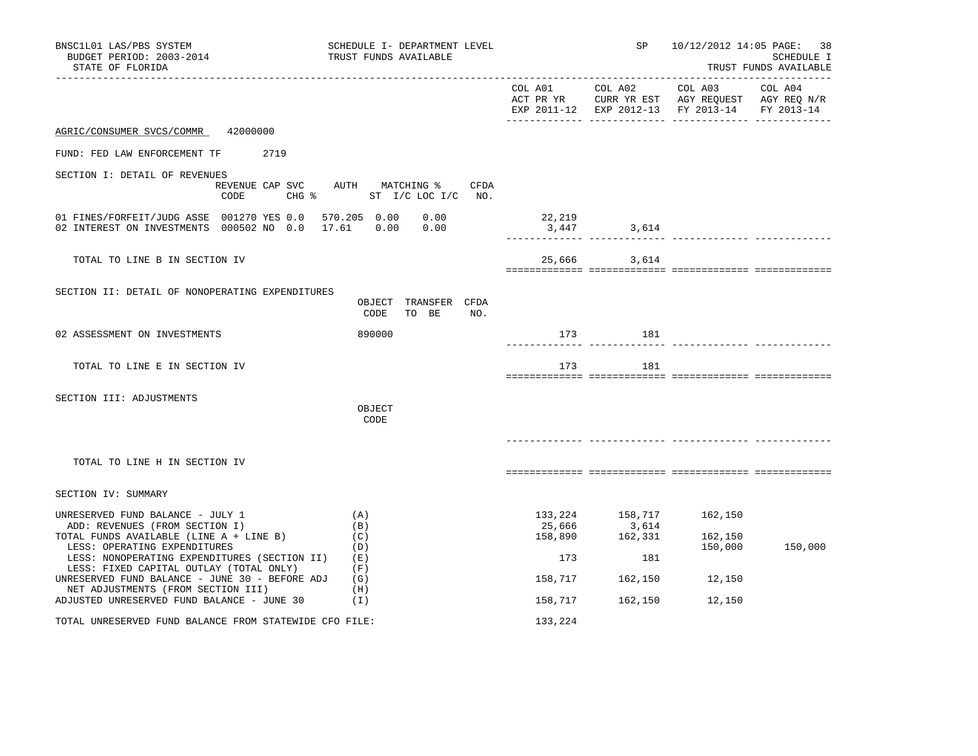| BNSC1L01 LAS/PBS SYSTEM<br>BUDGET PERIOD: 2003-2014<br>STATE OF FLORIDA                                                                                                                       | SCHEDULE I- DEPARTMENT LEVEL<br>TRUST FUNDS AVAILABLE         |                                     | SP                                 | 10/12/2012 14:05 PAGE: 38                                                                                 | SCHEDULE I<br>TRUST FUNDS AVAILABLE |
|-----------------------------------------------------------------------------------------------------------------------------------------------------------------------------------------------|---------------------------------------------------------------|-------------------------------------|------------------------------------|-----------------------------------------------------------------------------------------------------------|-------------------------------------|
|                                                                                                                                                                                               |                                                               | COL A01 COL A02                     |                                    | COL A03<br>ACT PR YR CURR YR EST AGY REQUEST AGY REQ N/R<br>EXP 2011-12 EXP 2012-13 FY 2013-14 FY 2013-14 | COL A04                             |
| 42000000<br>AGRIC/CONSUMER SVCS/COMMR                                                                                                                                                         |                                                               |                                     |                                    |                                                                                                           |                                     |
| 2719<br>FUND: FED LAW ENFORCEMENT TF                                                                                                                                                          |                                                               |                                     |                                    |                                                                                                           |                                     |
| SECTION I: DETAIL OF REVENUES<br>CODE<br>$CHG$ $\frac{1}{6}$                                                                                                                                  | REVENUE CAP SVC AUTH MATCHING %<br>CFDA<br>ST I/C LOC I/C NO. |                                     |                                    |                                                                                                           |                                     |
| 01 FINES/FORFEIT/JUDG ASSE 001270 YES 0.0 570.205 0.00<br>02 INTEREST ON INVESTMENTS 000502 NO 0.0                                                                                            | 0.00<br>0.00<br>17.61<br>0.00                                 | 22,219<br>3,447                     | 3,614                              |                                                                                                           |                                     |
| TOTAL TO LINE B IN SECTION IV                                                                                                                                                                 |                                                               |                                     | 25,666 3,614                       |                                                                                                           |                                     |
| SECTION II: DETAIL OF NONOPERATING EXPENDITURES                                                                                                                                               | OBJECT TRANSFER CFDA<br>CODE<br>TO BE<br>NO.                  |                                     |                                    |                                                                                                           |                                     |
| 02 ASSESSMENT ON INVESTMENTS                                                                                                                                                                  | 890000                                                        | 173                                 | 181                                |                                                                                                           |                                     |
| TOTAL TO LINE E IN SECTION IV                                                                                                                                                                 |                                                               | 173                                 | 181                                |                                                                                                           |                                     |
| SECTION III: ADJUSTMENTS                                                                                                                                                                      | OBJECT<br>CODE                                                |                                     |                                    |                                                                                                           |                                     |
| TOTAL TO LINE H IN SECTION IV                                                                                                                                                                 |                                                               |                                     |                                    |                                                                                                           |                                     |
| SECTION IV: SUMMARY                                                                                                                                                                           |                                                               |                                     |                                    |                                                                                                           |                                     |
| UNRESERVED FUND BALANCE - JULY 1<br>ADD: REVENUES (FROM SECTION I)<br>TOTAL FUNDS AVAILABLE (LINE A + LINE B)<br>LESS: OPERATING EXPENDITURES<br>LESS: NONOPERATING EXPENDITURES (SECTION II) | (A)<br>(B)<br>(C)<br>(D)<br>(E)                               | 133,224<br>25,666<br>158,890<br>173 | 158,717<br>3,614<br>162,331<br>181 | 162,150<br>162,150<br>150,000                                                                             | 150,000                             |
| LESS: FIXED CAPITAL OUTLAY (TOTAL ONLY)<br>UNRESERVED FUND BALANCE - JUNE 30 - BEFORE ADJ<br>NET ADJUSTMENTS (FROM SECTION III)                                                               | (F)<br>(G)<br>(H)                                             | 158,717                             | 162,150                            | 12,150                                                                                                    |                                     |
| ADJUSTED UNRESERVED FUND BALANCE - JUNE 30                                                                                                                                                    | (I)                                                           | 158,717                             | 162,150                            | 12,150                                                                                                    |                                     |
| TOTAL UNRESERVED FUND BALANCE FROM STATEWIDE CFO FILE:                                                                                                                                        |                                                               | 133,224                             |                                    |                                                                                                           |                                     |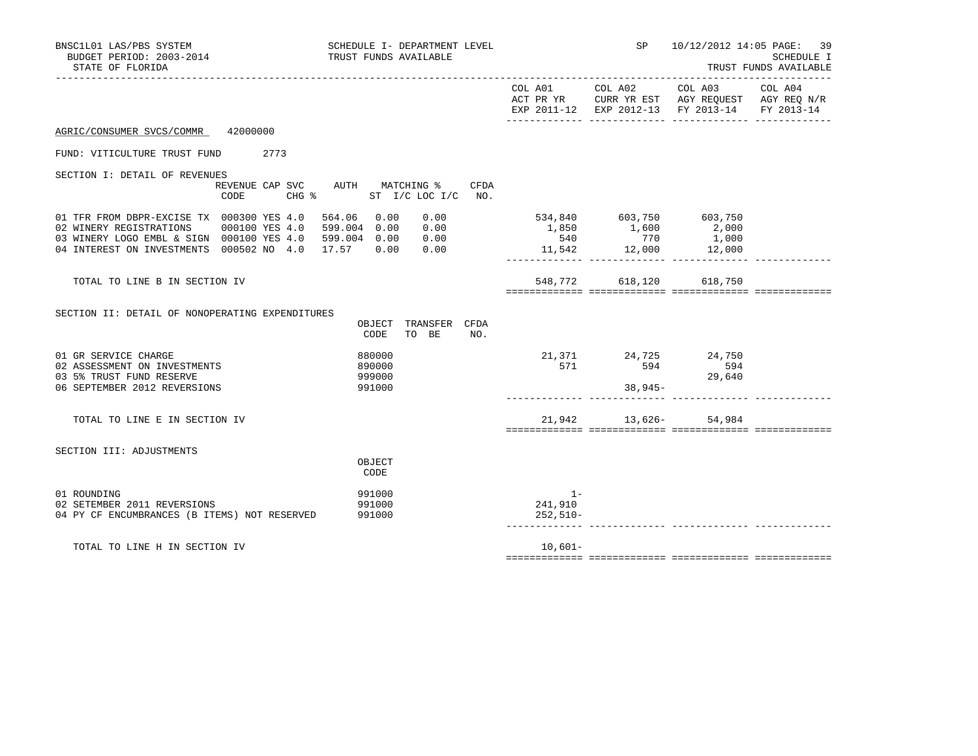|                              |                                                           | TRUST FUNDS AVAILABLE                                                                                                                                                                                                                                                                                                                                 |
|------------------------------|-----------------------------------------------------------|-------------------------------------------------------------------------------------------------------------------------------------------------------------------------------------------------------------------------------------------------------------------------------------------------------------------------------------------------------|
|                              | ______________________<br>COL A01 COL A02 COL A03 COL A04 |                                                                                                                                                                                                                                                                                                                                                       |
|                              |                                                           |                                                                                                                                                                                                                                                                                                                                                       |
|                              |                                                           |                                                                                                                                                                                                                                                                                                                                                       |
|                              |                                                           |                                                                                                                                                                                                                                                                                                                                                       |
|                              |                                                           |                                                                                                                                                                                                                                                                                                                                                       |
|                              |                                                           |                                                                                                                                                                                                                                                                                                                                                       |
|                              |                                                           |                                                                                                                                                                                                                                                                                                                                                       |
|                              | 29,640                                                    |                                                                                                                                                                                                                                                                                                                                                       |
|                              |                                                           |                                                                                                                                                                                                                                                                                                                                                       |
|                              |                                                           |                                                                                                                                                                                                                                                                                                                                                       |
| $1 -$<br>241,910<br>252,510- |                                                           |                                                                                                                                                                                                                                                                                                                                                       |
| $10.601 -$                   |                                                           |                                                                                                                                                                                                                                                                                                                                                       |
|                              |                                                           | ACT PR YR $\,$ CURR YR EST $\,$ AGY REQUEST $\,$ AGY REQ $\,$ N/R $\,$<br>EXP 2011-12 EXP 2012-13 FY 2013-14 FY 2013-14<br>534,840 603,750 603,750<br>$1,850$ $1,600$ $2,000$<br>$540$ $770$ $1,000$<br>$11,542$ $12,000$ $12,000$<br>548,772 618,120 618,750<br>21,371 24,725 24,750<br>594 594 594<br>571 594<br>$38,945-$<br>21,942 13,626- 54,984 |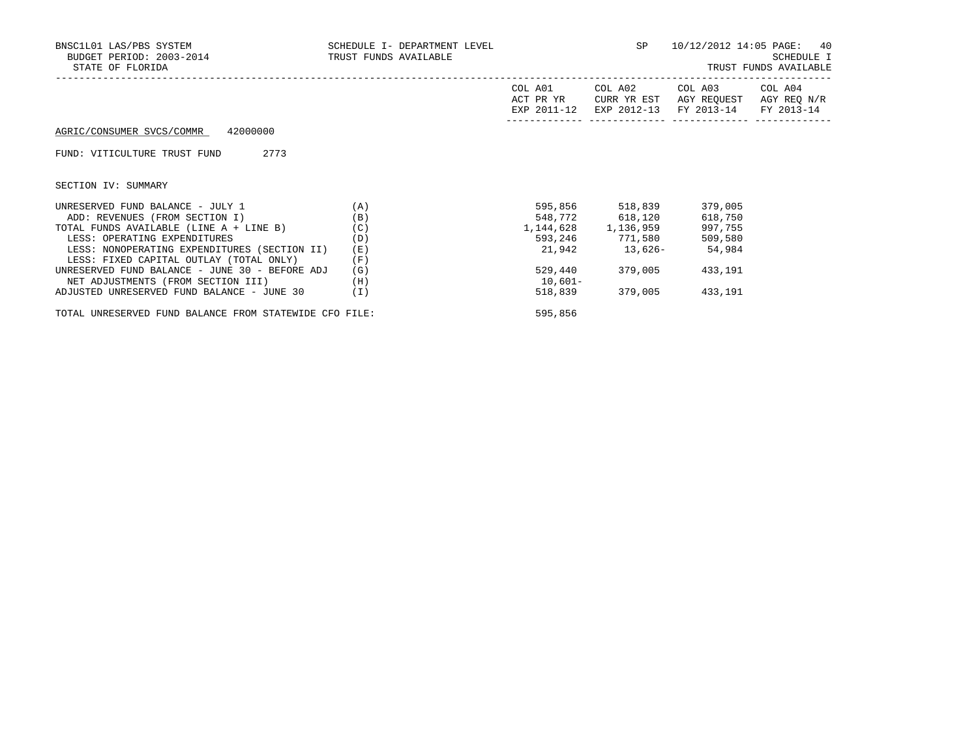| BNSC1L01 LAS/PBS SYSTEM<br>BUDGET PERIOD: 2003-2014 TRUST FUNDS AVAILABLE<br>STATE OF FLORIDA | SCHEDULE I- DEPARTMENT LEVEL |                 | <b>SP</b>               | 10/12/2012 14:05 PAGE: 40                                                                                         | SCHEDULE I<br>TRUST FUNDS AVAILABLE |
|-----------------------------------------------------------------------------------------------|------------------------------|-----------------|-------------------------|-------------------------------------------------------------------------------------------------------------------|-------------------------------------|
|                                                                                               |                              | COL A01         | COL A02                 | COL A03 COL A04<br>ACT PR YR CURR YR EST AGY REQUEST AGY REQ N/R<br>EXP 2011-12 EXP 2012-13 FY 2013-14 FY 2013-14 |                                     |
| AGRIC/CONSUMER SVCS/COMMR 42000000                                                            |                              |                 |                         |                                                                                                                   |                                     |
| 2773<br>FUND: VITICULTURE TRUST FUND                                                          |                              |                 |                         |                                                                                                                   |                                     |
| SECTION IV: SUMMARY                                                                           |                              |                 |                         |                                                                                                                   |                                     |
| UNRESERVED FUND BALANCE - JULY $1$ (A)                                                        |                              |                 | 595,856 518,839         | 379,005                                                                                                           |                                     |
| ADD: REVENUES (FROM SECTION I)                                                                | (B)                          | 548,772 618,120 |                         | 618,750                                                                                                           |                                     |
| TOTAL FUNDS AVAILABLE (LINE $A + LINE B$ ) (C)                                                |                              |                 | 1, 144, 628 1, 136, 959 | 997,755                                                                                                           |                                     |
| LESS: OPERATING EXPENDITURES<br>(D)                                                           |                              |                 |                         | 593,246 771,580 509,580                                                                                           |                                     |
| LESS: NONOPERATING EXPENDITURES (SECTION II)                                                  | (E)                          |                 |                         | 21,942 13,626- 54,984                                                                                             |                                     |
| LESS: FIXED CAPITAL OUTLAY (TOTAL ONLY)                                                       | (F)                          |                 |                         |                                                                                                                   |                                     |
| UNRESERVED FUND BALANCE - JUNE 30 - BEFORE ADJ                                                | (G)                          |                 | 529,440 379,005         | 433,191                                                                                                           |                                     |
| NET ADJUSTMENTS (FROM SECTION III)                                                            | (H)                          | $10,601-$       |                         |                                                                                                                   |                                     |
| ADJUSTED UNRESERVED FUND BALANCE - JUNE 30                                                    | (I)                          |                 | 518,839 379,005         | 433,191                                                                                                           |                                     |
| TOTAL UNRESERVED FUND BALANCE FROM STATEWIDE CFO FILE:                                        |                              | 595,856         |                         |                                                                                                                   |                                     |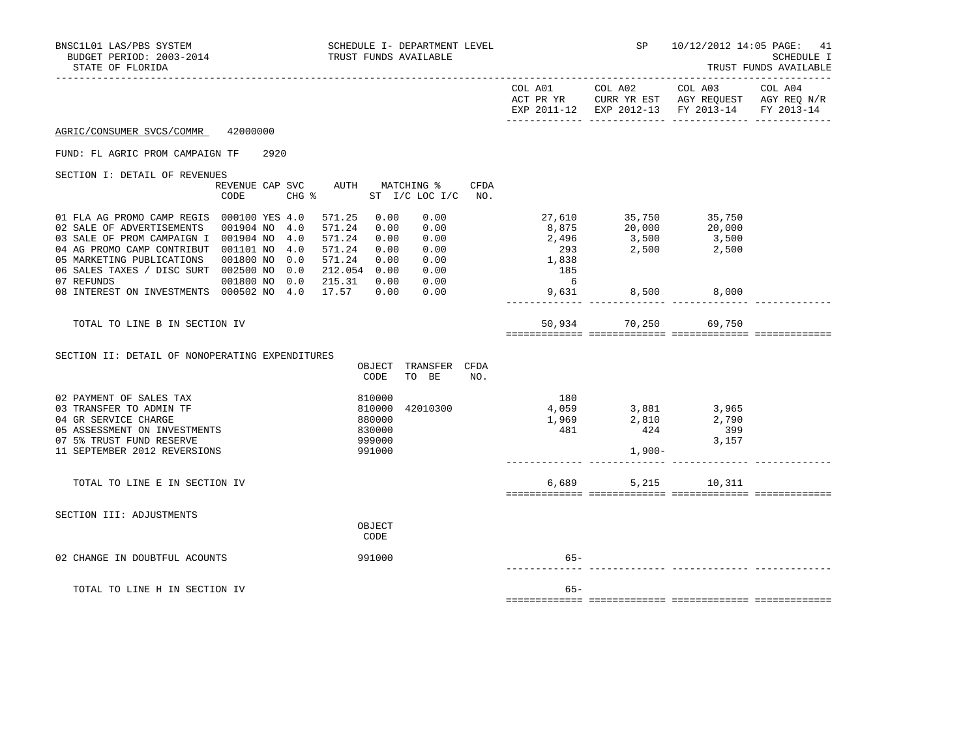| BNSC1L01 LAS/PBS SYSTEM<br>BUDGET PERIOD: 2003-2014<br>STATE OF FLORIDA                                                                                                                                                                                                                                     | SCHEDULE I- DEPARTMENT LEVEL<br>TRUST FUNDS AVAILABLE                                                                                                                  |                                 | SP                                                                                                                                                                                                                 | 10/12/2012 14:05 PAGE: 41<br>----------------                                                                      | SCHEDULE I<br>TRUST FUNDS AVAILABLE |
|-------------------------------------------------------------------------------------------------------------------------------------------------------------------------------------------------------------------------------------------------------------------------------------------------------------|------------------------------------------------------------------------------------------------------------------------------------------------------------------------|---------------------------------|--------------------------------------------------------------------------------------------------------------------------------------------------------------------------------------------------------------------|--------------------------------------------------------------------------------------------------------------------|-------------------------------------|
|                                                                                                                                                                                                                                                                                                             |                                                                                                                                                                        | COL A01                         | COL A02                                                                                                                                                                                                            | COL A03<br>ACT PR YR $\,$ CURR YR EST $\,$ AGY REQUEST $\,$ AGY REQ N/R $\,$<br>EXP 2011-12 EXP 2012-13 FY 2013-14 | COL A04<br>FY 2013-14               |
| 42000000<br>AGRIC/CONSUMER SVCS/COMMR                                                                                                                                                                                                                                                                       |                                                                                                                                                                        |                                 |                                                                                                                                                                                                                    |                                                                                                                    |                                     |
| FUND: FL AGRIC PROM CAMPAIGN TF<br>2920                                                                                                                                                                                                                                                                     |                                                                                                                                                                        |                                 |                                                                                                                                                                                                                    |                                                                                                                    |                                     |
| SECTION I: DETAIL OF REVENUES<br>REVENUE CAP SVC<br><b>CODE</b>                                                                                                                                                                                                                                             | AUTH MATCHING %<br>CFDA<br>$CHG$ $\approx$<br>ST I/C LOC I/C NO.                                                                                                       |                                 |                                                                                                                                                                                                                    |                                                                                                                    |                                     |
| 01 FLA AG PROMO CAMP REGIS 000100 YES 4.0<br>02 SALE OF ADVERTISEMENTS<br>001904 NO 4.0<br>03 SALE OF PROM CAMPAIGN I 001904 NO<br>4.0<br>04 AG PROMO CAMP CONTRIBUT 001101 NO 4.0<br>05 MARKETING PUBLICATIONS 001800 NO 0.0<br>06 SALES TAXES / DISC SURT 002500 NO<br>0.0<br>07 REFUNDS<br>001800 NO 0.0 | 571.25<br>0.00<br>0.00<br>571.24<br>0.00<br>0.00<br>571.24<br>0.00<br>0.00<br>0.00<br>571.24<br>0.00<br>571.24<br>0.00 0.00<br>212.054 0.00 0.00<br>215.31  0.00  0.00 | 1,838<br>185<br>$6\overline{6}$ | 27,610 35,750 35,750                                                                                                                                                                                               |                                                                                                                    |                                     |
| 08 INTEREST ON INVESTMENTS 000502 NO 4.0                                                                                                                                                                                                                                                                    | 17.57 0.00<br>0.00                                                                                                                                                     | 9,631                           | 8,500                                                                                                                                                                                                              | 8,000                                                                                                              |                                     |
| TOTAL TO LINE B IN SECTION IV                                                                                                                                                                                                                                                                               |                                                                                                                                                                        |                                 | 50,934 70,250                                                                                                                                                                                                      | 69,750                                                                                                             |                                     |
| SECTION II: DETAIL OF NONOPERATING EXPENDITURES                                                                                                                                                                                                                                                             | OBJECT TRANSFER CFDA<br>CODE<br>TO BE<br>NO.                                                                                                                           |                                 |                                                                                                                                                                                                                    |                                                                                                                    |                                     |
| 02 PAYMENT OF SALES TAX<br>03 TRANSFER TO ADMIN TF<br>04 GR SERVICE CHARGE<br>05 ASSESSMENT ON INVESTMENTS<br>07 5% TRUST FUND RESERVE<br>11 SEPTEMBER 2012 REVERSIONS                                                                                                                                      | 810000<br>42010300<br>810000<br>880000<br>830000<br>999000<br>991000                                                                                                   | 180                             | $\begin{array}{cccc} 1800 \\ 4,059 \\ 1,969 \\ 481 \end{array}$ $\begin{array}{cccc} 3,881 \\ 2,810 \\ 424 \\ 3 & 399 \\ 3,157 \end{array}$ $\begin{array}{cccc} 3,965 \\ 2,790 \\ 33,157 \end{array}$<br>$1,900-$ |                                                                                                                    |                                     |
| TOTAL TO LINE E IN SECTION IV                                                                                                                                                                                                                                                                               |                                                                                                                                                                        | 6,689                           | 5,215                                                                                                                                                                                                              | 10,311                                                                                                             |                                     |
| SECTION III: ADJUSTMENTS                                                                                                                                                                                                                                                                                    | OBJECT<br>CODE                                                                                                                                                         |                                 |                                                                                                                                                                                                                    |                                                                                                                    |                                     |
| 02 CHANGE IN DOUBTFUL ACOUNTS                                                                                                                                                                                                                                                                               | 991000                                                                                                                                                                 | 65-                             |                                                                                                                                                                                                                    |                                                                                                                    |                                     |
| TOTAL TO LINE H IN SECTION IV                                                                                                                                                                                                                                                                               |                                                                                                                                                                        | $65 -$                          |                                                                                                                                                                                                                    |                                                                                                                    |                                     |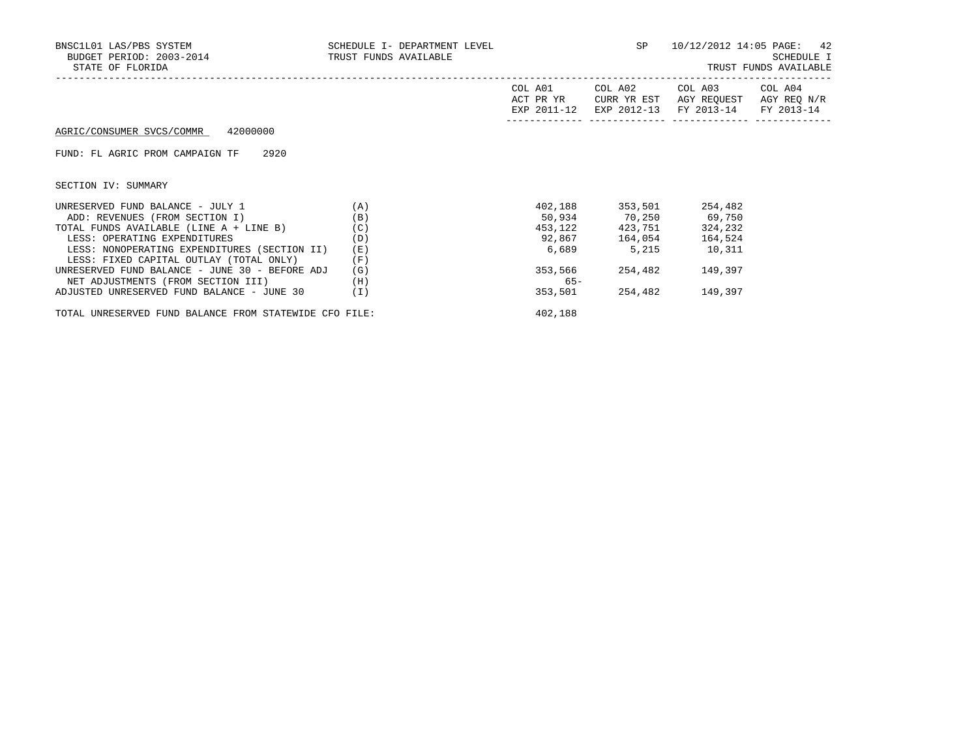| BNSC1L01 LAS/PBS SYSTEM<br>BUDGET PERIOD: 2003-2014 TRUST FUNDS AVAILABLE<br>STATE OF FLORIDA | SCHEDULE I- DEPARTMENT LEVEL |         | <b>SP</b>      | 10/12/2012 14:05 PAGE: 42                                                                                         | SCHEDULE I<br>TRUST FUNDS AVAILABLE |
|-----------------------------------------------------------------------------------------------|------------------------------|---------|----------------|-------------------------------------------------------------------------------------------------------------------|-------------------------------------|
|                                                                                               |                              | COL A01 | COL A02        | COL A03 COL A04<br>ACT PR YR CURR YR EST AGY REQUEST AGY REQ N/R<br>EXP 2011-12 EXP 2012-13 FY 2013-14 FY 2013-14 |                                     |
| AGRIC/CONSUMER SVCS/COMMR 42000000                                                            |                              |         |                |                                                                                                                   |                                     |
| FUND: FL AGRIC PROM CAMPAIGN TF 2920                                                          |                              |         |                |                                                                                                                   |                                     |
| SECTION IV: SUMMARY                                                                           |                              |         |                |                                                                                                                   |                                     |
| UNRESERVED FUND BALANCE - JULY $1$ (A)                                                        |                              |         |                | 402,188 353,501 254,482                                                                                           |                                     |
| ADD: REVENUES (FROM SECTION I)                                                                | (B)                          |         |                | 50,934 70,250 69,750                                                                                              |                                     |
| TOTAL FUNDS AVAILABLE (LINE A + LINE B)                                                       | (C)                          |         |                | 453, 122 423, 751 324, 232                                                                                        |                                     |
| LESS: OPERATING EXPENDITURES                                                                  | (D)                          |         | 92,867 164,054 | 164,524                                                                                                           |                                     |
| LESS: NONOPERATING EXPENDITURES (SECTION II)                                                  | (E)                          |         | 6,689 5,215    | 10,311                                                                                                            |                                     |
| LESS: FIXED CAPITAL OUTLAY (TOTAL ONLY)                                                       | (F)                          |         |                |                                                                                                                   |                                     |
| UNRESERVED FUND BALANCE - JUNE 30 - BEFORE ADJ                                                | (G)                          | 353,566 | 254,482        | 149,397                                                                                                           |                                     |
| NET ADJUSTMENTS (FROM SECTION III)                                                            | (H)                          | $65 -$  |                |                                                                                                                   |                                     |
| ADJUSTED UNRESERVED FUND BALANCE - JUNE 30                                                    | (I)                          | 353,501 | 254,482        | 149,397                                                                                                           |                                     |
| TOTAL UNRESERVED FUND BALANCE FROM STATEWIDE CFO FILE:                                        |                              | 402,188 |                |                                                                                                                   |                                     |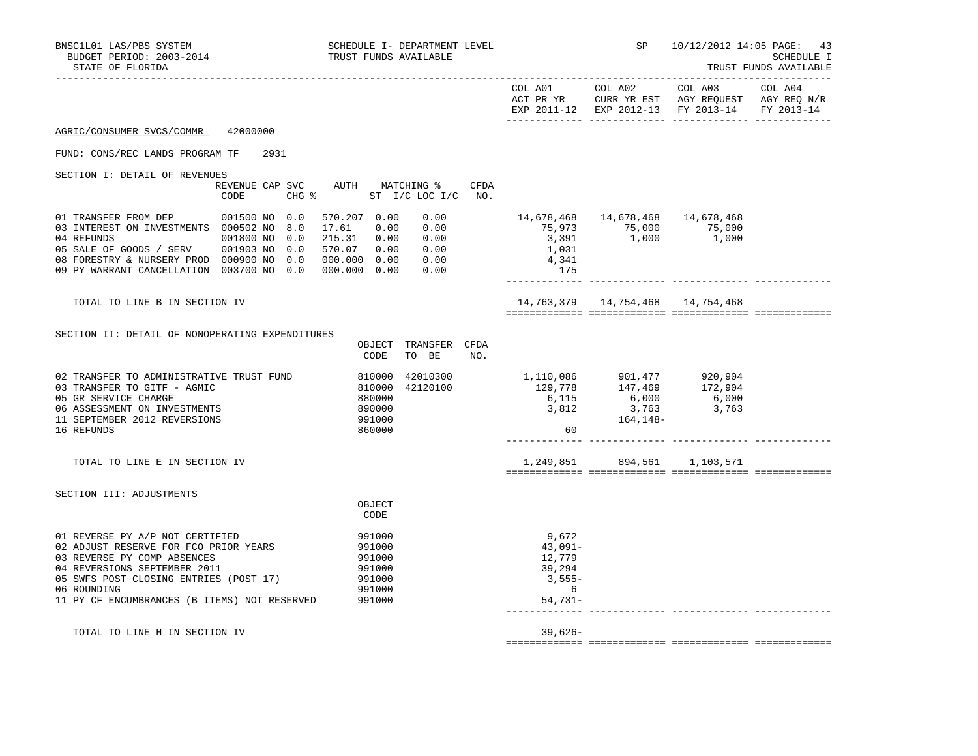| BNSC1L01 LAS/PBS SYSTEM<br>BUDGET PERIOD: 2003-2014<br>STATE OF FLORIDA                                                                                                                                                                          |                                | SCHEDULE I- DEPARTMENT LEVEL<br>TRUST FUNDS AVAILABLE                                                                       |                                                                                                                                                                                                                                                            | <b>SP</b> SP SP                                                                 | 10/12/2012 14:05 PAGE:                        | 43<br>SCHEDULE I<br>TRUST FUNDS AVAILABLE |
|--------------------------------------------------------------------------------------------------------------------------------------------------------------------------------------------------------------------------------------------------|--------------------------------|-----------------------------------------------------------------------------------------------------------------------------|------------------------------------------------------------------------------------------------------------------------------------------------------------------------------------------------------------------------------------------------------------|---------------------------------------------------------------------------------|-----------------------------------------------|-------------------------------------------|
|                                                                                                                                                                                                                                                  |                                |                                                                                                                             |                                                                                                                                                                                                                                                            |                                                                                 | EXP 2011-12 EXP 2012-13 FY 2013-14 FY 2013-14 |                                           |
| AGRIC/CONSUMER SVCS/COMMR 42000000                                                                                                                                                                                                               |                                |                                                                                                                             |                                                                                                                                                                                                                                                            |                                                                                 |                                               |                                           |
| FUND: CONS/REC LANDS PROGRAM TF 2931                                                                                                                                                                                                             |                                |                                                                                                                             |                                                                                                                                                                                                                                                            |                                                                                 |                                               |                                           |
| SECTION I: DETAIL OF REVENUES                                                                                                                                                                                                                    |                                |                                                                                                                             |                                                                                                                                                                                                                                                            |                                                                                 |                                               |                                           |
|                                                                                                                                                                                                                                                  | CODE                           | CFDA<br>REVENUE CAP SVC AUTH MATCHING %<br>CHG % ST I/C LOC I/C NO.                                                         |                                                                                                                                                                                                                                                            |                                                                                 |                                               |                                           |
| 01 TRANSFER FROM DEP<br>03 INTEREST ON INVESTMENTS 000502 NO 8.0<br>04 REFUNDS<br>05 SALE OF GOODS / SERV 001903 NO 0.0<br>08 FORESTRY & NURSERY PROD 000900 NO 0.0<br>09 PY WARRANT CANCELLATION 003700 NO 0.0 000.000 0.00                     | 001500 NO 0.0<br>001800 NO 0.0 | 570.207 0.00<br>0.00<br>17.61<br>0.00<br>0.00<br>215.31 0.00<br>0.00<br>0.00<br>570.07 0.00<br>0.00<br>000.000 0.00<br>0.00 | 1,031<br>4,341<br>175                                                                                                                                                                                                                                      | 14,678,468  14,678,468  14,678,468<br>75,973 75,000 75,000<br>3,391 1,000 1,000 |                                               |                                           |
| TOTAL TO LINE B IN SECTION IV                                                                                                                                                                                                                    |                                |                                                                                                                             |                                                                                                                                                                                                                                                            |                                                                                 |                                               |                                           |
| SECTION II: DETAIL OF NONOPERATING EXPENDITURES                                                                                                                                                                                                  |                                | OBJECT TRANSFER CFDA<br>CODE<br>TO BE<br>NO.                                                                                |                                                                                                                                                                                                                                                            |                                                                                 |                                               |                                           |
| 02 TRANSFER TO ADMINISTRATIVE TRUST FUND<br>03 TRANSFER TO GITF - AGMIC<br>05 GR SERVICE CHARGE<br>06 ASSESSMENT ON INVESTMENTS<br>11 SEPTEMBER 2012 REVERSIONS<br>16 REFUNDS                                                                    |                                | 42010300<br>42120100<br>810000<br>810000<br>880000<br>890000<br>991000<br>860000                                            | $\begin{array}{cccc} 1,110\,, 086 & \quad & 901\,, 477 & \quad & 920\,, 904 \\ 129\,, 778 & \quad & 147\,, 469 & \quad & 172\,, 904 \\ 6\,, 115 & \quad & 6\,, 000 & \quad & 6\,, 000 \\ 3\,, 812 & \quad & 3\,, 763 & \quad & 3\,, 763 \end{array}$<br>60 |                                                                                 |                                               |                                           |
| TOTAL TO LINE E IN SECTION IV                                                                                                                                                                                                                    |                                |                                                                                                                             |                                                                                                                                                                                                                                                            | 1,249,851 894,561 1,103,571                                                     |                                               |                                           |
| SECTION III: ADJUSTMENTS                                                                                                                                                                                                                         |                                | OBJECT<br>CODE                                                                                                              |                                                                                                                                                                                                                                                            |                                                                                 |                                               |                                           |
| 01 REVERSE PY A/P NOT CERTIFIED<br>02 ADJUST RESERVE FOR FCO PRIOR YEARS<br>03 REVERSE PY COMP ABSENCES<br>04 REVERSIONS SEPTEMBER 2011<br>05 SWFS POST CLOSING ENTRIES (POST 17)<br>06 ROUNDING<br>11 PY CF ENCUMBRANCES (B ITEMS) NOT RESERVED |                                | 991000<br>991000<br>991000<br>991000<br>991000<br>991000<br>991000                                                          | 9,672<br>43,091-<br>12,779<br>39,294<br>3,555-<br>$6\overline{6}$<br>$54,731-$                                                                                                                                                                             |                                                                                 |                                               |                                           |
| TOTAL TO LINE H IN SECTION IV                                                                                                                                                                                                                    |                                |                                                                                                                             | $39,626-$                                                                                                                                                                                                                                                  |                                                                                 |                                               |                                           |